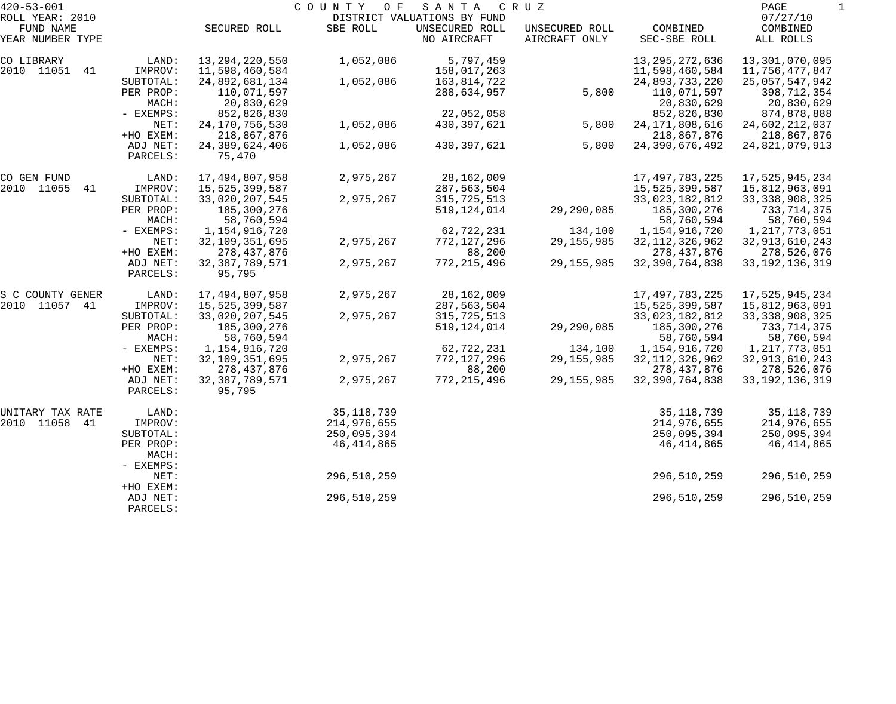| $420 - 53 - 001$ |           |                   | COUNTY<br>O F | SANTA                       | C R U Z        |                   | PAGE              |  |
|------------------|-----------|-------------------|---------------|-----------------------------|----------------|-------------------|-------------------|--|
| ROLL YEAR: 2010  |           |                   |               | DISTRICT VALUATIONS BY FUND |                |                   | 07/27/10          |  |
| FUND NAME        |           | SECURED ROLL      | SBE ROLL      | UNSECURED ROLL              | UNSECURED ROLL | COMBINED          | COMBINED          |  |
| YEAR NUMBER TYPE |           |                   |               | NO AIRCRAFT                 | AIRCRAFT ONLY  | SEC-SBE ROLL      | ALL ROLLS         |  |
| CO LIBRARY       | LAND:     | 13, 294, 220, 550 | 1,052,086     | 5,797,459                   |                | 13, 295, 272, 636 | 13,301,070,095    |  |
| 2010 11051<br>41 | IMPROV:   | 11,598,460,584    |               | 158,017,263                 |                | 11,598,460,584    | 11,756,477,847    |  |
|                  | SUBTOTAL: | 24,892,681,134    | 1,052,086     | 163,814,722                 |                | 24,893,733,220    | 25,057,547,942    |  |
|                  | PER PROP: | 110,071,597       |               | 288,634,957                 | 5,800          | 110,071,597       | 398,712,354       |  |
|                  | MACH:     | 20,830,629        |               |                             |                | 20,830,629        | 20,830,629        |  |
|                  | - EXEMPS: | 852,826,830       |               | 22,052,058                  |                | 852,826,830       | 874,878,888       |  |
|                  | NET:      | 24, 170, 756, 530 | 1,052,086     | 430,397,621                 | 5,800          | 24, 171, 808, 616 | 24,602,212,037    |  |
|                  | +HO EXEM: | 218,867,876       |               |                             |                | 218,867,876       | 218,867,876       |  |
|                  | ADJ NET:  | 24, 389, 624, 406 | 1,052,086     | 430, 397, 621               | 5,800          | 24,390,676,492    | 24,821,079,913    |  |
|                  | PARCELS:  | 75,470            |               |                             |                |                   |                   |  |
| CO GEN FUND      | LAND:     | 17,494,807,958    | 2,975,267     | 28,162,009                  |                | 17, 497, 783, 225 | 17,525,945,234    |  |
| 2010 11055<br>41 | IMPROV:   | 15,525,399,587    |               | 287,563,504                 |                | 15,525,399,587    | 15,812,963,091    |  |
|                  | SUBTOTAL: | 33,020,207,545    | 2,975,267     | 315,725,513                 |                | 33,023,182,812    | 33, 338, 908, 325 |  |
|                  | PER PROP: | 185,300,276       |               | 519, 124, 014               | 29,290,085     | 185,300,276       | 733,714,375       |  |
|                  | MACH:     | 58,760,594        |               |                             |                | 58,760,594        | 58,760,594        |  |
|                  | - EXEMPS: | 1,154,916,720     |               | 62,722,231                  | 134,100        | 1,154,916,720     | 1,217,773,051     |  |
|                  | NET:      | 32, 109, 351, 695 | 2,975,267     | 772,127,296                 | 29, 155, 985   | 32, 112, 326, 962 | 32, 913, 610, 243 |  |
|                  | +HO EXEM: | 278, 437, 876     |               | 88,200                      |                | 278, 437, 876     | 278,526,076       |  |
|                  | ADJ NET:  | 32, 387, 789, 571 | 2,975,267     | 772, 215, 496               | 29, 155, 985   | 32, 390, 764, 838 | 33, 192, 136, 319 |  |
|                  | PARCELS:  | 95,795            |               |                             |                |                   |                   |  |
| S C COUNTY GENER | LAND:     | 17,494,807,958    | 2,975,267     | 28,162,009                  |                | 17,497,783,225    | 17,525,945,234    |  |
| 2010 11057 41    | IMPROV:   | 15,525,399,587    |               | 287,563,504                 |                | 15,525,399,587    | 15,812,963,091    |  |
|                  | SUBTOTAL: | 33,020,207,545    | 2,975,267     | 315,725,513                 |                | 33,023,182,812    | 33, 338, 908, 325 |  |
|                  | PER PROP: | 185,300,276       |               | 519, 124, 014               | 29,290,085     | 185,300,276       | 733,714,375       |  |
|                  | MACH:     | 58,760,594        |               |                             |                | 58,760,594        | 58,760,594        |  |
|                  | - EXEMPS: | 1, 154, 916, 720  |               | 62,722,231                  | 134,100        | 1,154,916,720     | 1,217,773,051     |  |
|                  | NET:      | 32,109,351,695    | 2,975,267     | 772,127,296                 | 29, 155, 985   | 32, 112, 326, 962 | 32, 913, 610, 243 |  |
|                  | +HO EXEM: | 278, 437, 876     |               | 88,200                      |                | 278, 437, 876     | 278,526,076       |  |
|                  | ADJ NET:  | 32, 387, 789, 571 | 2,975,267     | 772, 215, 496               | 29, 155, 985   | 32, 390, 764, 838 | 33, 192, 136, 319 |  |
|                  | PARCELS:  | 95,795            |               |                             |                |                   |                   |  |
| UNITARY TAX RATE | LAND:     |                   | 35, 118, 739  |                             |                | 35, 118, 739      | 35, 118, 739      |  |
| 2010 11058<br>41 | IMPROV:   |                   | 214,976,655   |                             |                | 214,976,655       | 214,976,655       |  |
|                  | SUBTOTAL: |                   | 250,095,394   |                             |                | 250,095,394       | 250,095,394       |  |
|                  | PER PROP: |                   | 46,414,865    |                             |                | 46,414,865        | 46, 414, 865      |  |
|                  | MACH:     |                   |               |                             |                |                   |                   |  |
|                  | - EXEMPS: |                   |               |                             |                |                   |                   |  |
|                  | NET:      |                   | 296,510,259   |                             |                | 296,510,259       | 296,510,259       |  |
|                  | +HO EXEM: |                   |               |                             |                |                   |                   |  |
|                  | ADJ NET:  |                   | 296,510,259   |                             |                | 296,510,259       | 296,510,259       |  |
|                  | PARCELS:  |                   |               |                             |                |                   |                   |  |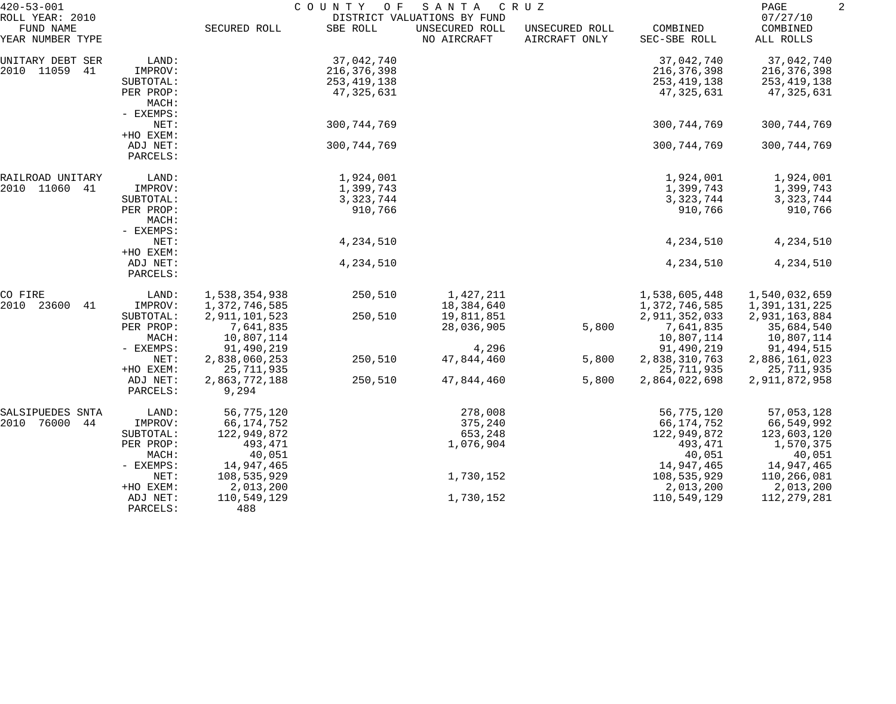| $420 - 53 - 001$<br>ROLL YEAR: 2010 |                                 | COUNTY<br>O F<br>SANTA<br>C R U Z<br>DISTRICT VALUATIONS BY FUND |               |                               |                                 |                          |                                   |
|-------------------------------------|---------------------------------|------------------------------------------------------------------|---------------|-------------------------------|---------------------------------|--------------------------|-----------------------------------|
| FUND NAME<br>YEAR NUMBER TYPE       |                                 | SECURED ROLL                                                     | SBE ROLL      | UNSECURED ROLL<br>NO AIRCRAFT | UNSECURED ROLL<br>AIRCRAFT ONLY | COMBINED<br>SEC-SBE ROLL | 07/27/10<br>COMBINED<br>ALL ROLLS |
| UNITARY DEBT SER                    | LAND:                           |                                                                  | 37,042,740    |                               |                                 | 37,042,740               | 37,042,740                        |
| 2010 11059<br>41                    | IMPROV:                         |                                                                  | 216, 376, 398 |                               |                                 | 216, 376, 398            | 216,376,398                       |
|                                     | SUBTOTAL:                       |                                                                  | 253,419,138   |                               |                                 | 253,419,138              | 253,419,138                       |
|                                     | PER PROP:<br>MACH:<br>- EXEMPS: |                                                                  | 47,325,631    |                               |                                 | 47,325,631               | 47,325,631                        |
|                                     | NET:                            |                                                                  | 300, 744, 769 |                               |                                 | 300, 744, 769            | 300, 744, 769                     |
|                                     | +HO EXEM:                       |                                                                  |               |                               |                                 |                          |                                   |
|                                     | ADJ NET:<br>PARCELS:            |                                                                  | 300, 744, 769 |                               |                                 | 300, 744, 769            | 300, 744, 769                     |
| RAILROAD UNITARY                    | LAND:                           |                                                                  | 1,924,001     |                               |                                 | 1,924,001                | 1,924,001                         |
| 2010 11060<br>-41                   | IMPROV:                         |                                                                  | 1,399,743     |                               |                                 | 1,399,743                | 1,399,743                         |
|                                     | SUBTOTAL:                       |                                                                  | 3, 323, 744   |                               |                                 | 3, 323, 744              | 3, 323, 744                       |
|                                     | PER PROP:<br>MACH:<br>- EXEMPS: |                                                                  | 910,766       |                               |                                 | 910,766                  | 910,766                           |
|                                     | NET:                            |                                                                  | 4,234,510     |                               |                                 | 4,234,510                | 4,234,510                         |
|                                     | +HO EXEM:                       |                                                                  |               |                               |                                 |                          |                                   |
|                                     | ADJ NET:<br>PARCELS:            |                                                                  | 4,234,510     |                               |                                 | 4,234,510                | 4,234,510                         |
| CO FIRE                             | LAND:                           | 1,538,354,938                                                    | 250,510       | 1,427,211                     |                                 | 1,538,605,448            | 1,540,032,659                     |
| 2010<br>23600<br>41                 | IMPROV:                         | 1,372,746,585                                                    |               | 18,384,640                    |                                 | 1,372,746,585            | 1,391,131,225                     |
|                                     | SUBTOTAL:                       | 2,911,101,523                                                    | 250,510       | 19,811,851                    |                                 | 2,911,352,033            | 2,931,163,884                     |
|                                     | PER PROP:                       | 7,641,835                                                        |               | 28,036,905                    | 5,800                           | 7,641,835                | 35,684,540                        |
|                                     | MACH:                           | 10,807,114                                                       |               |                               |                                 | 10,807,114               | 10,807,114                        |
|                                     | - EXEMPS:                       | 91,490,219                                                       |               | 4,296                         |                                 | 91,490,219               | 91,494,515                        |
|                                     | NET:                            | 2,838,060,253                                                    | 250,510       | 47,844,460                    | 5,800                           | 2,838,310,763            | 2,886,161,023                     |
|                                     | +HO EXEM:                       | 25, 711, 935                                                     |               |                               |                                 | 25,711,935               | 25,711,935                        |
|                                     | ADJ NET:<br>PARCELS:            | 2,863,772,188<br>9,294                                           | 250,510       | 47,844,460                    | 5,800                           | 2,864,022,698            | 2,911,872,958                     |
| SALSIPUEDES SNTA                    | LAND:                           | 56,775,120                                                       |               | 278,008                       |                                 | 56,775,120               | 57,053,128                        |
| 2010<br>76000<br>44                 | IMPROV:                         | 66,174,752                                                       |               | 375,240                       |                                 | 66,174,752               | 66,549,992                        |
|                                     | SUBTOTAL:                       | 122,949,872                                                      |               | 653,248                       |                                 | 122,949,872              | 123,603,120                       |
|                                     | PER PROP:                       | 493,471                                                          |               | 1,076,904                     |                                 | 493,471                  | 1,570,375                         |
|                                     | MACH:                           | 40,051                                                           |               |                               |                                 | 40,051                   | 40,051                            |
|                                     | - EXEMPS:                       | 14,947,465                                                       |               |                               |                                 | 14,947,465               | 14,947,465                        |
|                                     | NET:                            | 108,535,929                                                      |               | 1,730,152                     |                                 | 108,535,929              | 110,266,081                       |
|                                     | +HO EXEM:                       | 2,013,200                                                        |               |                               |                                 | 2,013,200                | 2,013,200                         |
|                                     | ADJ NET:<br>PARCELS:            | 110,549,129<br>488                                               |               | 1,730,152                     |                                 | 110,549,129              | 112, 279, 281                     |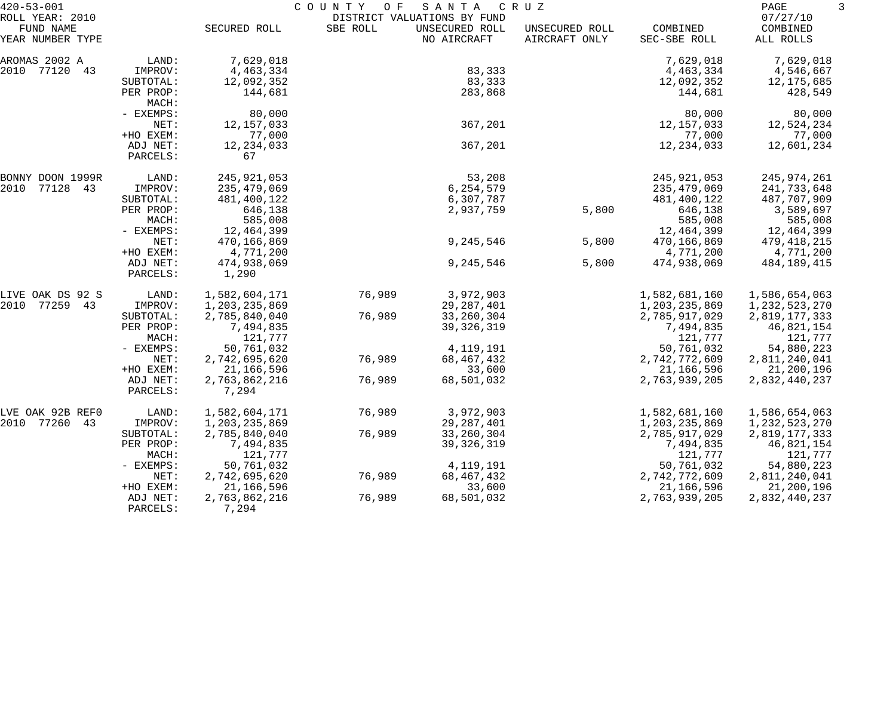| $420 - 53 - 001$             |                      |                        | COUNTY<br>O F | SANTA                                         | C R U Z        |               | PAGE                 | 3 |
|------------------------------|----------------------|------------------------|---------------|-----------------------------------------------|----------------|---------------|----------------------|---|
| ROLL YEAR: 2010<br>FUND NAME |                      | SECURED ROLL           | SBE ROLL      | DISTRICT VALUATIONS BY FUND<br>UNSECURED ROLL | UNSECURED ROLL | COMBINED      | 07/27/10<br>COMBINED |   |
| YEAR NUMBER TYPE             |                      |                        |               | NO AIRCRAFT                                   | AIRCRAFT ONLY  | SEC-SBE ROLL  | ALL ROLLS            |   |
| AROMAS 2002 A                | LAND:                | 7,629,018              |               |                                               |                | 7,629,018     | 7,629,018            |   |
| 2010 77120<br>43             | IMPROV:              | 4,463,334              |               | 83,333                                        |                | 4,463,334     | 4,546,667            |   |
|                              | SUBTOTAL:            | 12,092,352             |               | 83,333                                        |                | 12,092,352    | 12,175,685           |   |
|                              | PER PROP:<br>MACH:   | 144,681                |               | 283,868                                       |                | 144,681       | 428,549              |   |
|                              | - EXEMPS:            | 80,000                 |               |                                               |                | 80,000        | 80,000               |   |
|                              | NET:                 | 12, 157, 033           |               | 367,201                                       |                | 12, 157, 033  | 12,524,234           |   |
|                              | +HO EXEM:            | 77,000                 |               |                                               |                | 77,000        | 77,000               |   |
|                              | ADJ NET:<br>PARCELS: | 12, 234, 033<br>67     |               | 367,201                                       |                | 12, 234, 033  | 12,601,234           |   |
| BONNY DOON 1999R             | LAND:                | 245,921,053            |               | 53,208                                        |                | 245,921,053   | 245,974,261          |   |
| 2010<br>77128 43             | IMPROV:              | 235,479,069            |               | 6,254,579                                     |                | 235,479,069   | 241,733,648          |   |
|                              | SUBTOTAL:            | 481,400,122            |               | 6,307,787                                     |                | 481,400,122   | 487,707,909          |   |
|                              | PER PROP:            | 646,138                |               | 2,937,759                                     | 5,800          | 646,138       | 3,589,697            |   |
|                              | MACH:                | 585,008                |               |                                               |                | 585,008       | 585,008              |   |
|                              | - EXEMPS:            | 12,464,399             |               |                                               |                | 12,464,399    | 12,464,399           |   |
|                              | NET:                 | 470,166,869            |               | 9,245,546                                     | 5,800          | 470,166,869   | 479,418,215          |   |
|                              | +HO EXEM:            | 4,771,200              |               |                                               |                | 4,771,200     | 4,771,200            |   |
|                              | ADJ NET:<br>PARCELS: | 474,938,069<br>1,290   |               | 9,245,546                                     | 5,800          | 474,938,069   | 484,189,415          |   |
| LIVE OAK DS 92 S             | LAND:                | 1,582,604,171          | 76,989        | 3,972,903                                     |                | 1,582,681,160 | 1,586,654,063        |   |
| 2010 77259 43                | IMPROV:              | 1,203,235,869          |               | 29, 287, 401                                  |                | 1,203,235,869 | 1,232,523,270        |   |
|                              | SUBTOTAL:            | 2,785,840,040          | 76,989        | 33, 260, 304                                  |                | 2,785,917,029 | 2,819,177,333        |   |
|                              | PER PROP:            | 7,494,835              |               | 39, 326, 319                                  |                | 7,494,835     | 46,821,154           |   |
|                              | MACH:                | 121,777                |               |                                               |                | 121,777       | 121,777              |   |
|                              | - EXEMPS:            | 50,761,032             |               | 4, 119, 191                                   |                | 50,761,032    | 54,880,223           |   |
|                              | NET:                 | 2,742,695,620          | 76,989        | 68, 467, 432                                  |                | 2,742,772,609 | 2,811,240,041        |   |
|                              | +HO EXEM:            | 21,166,596             |               | 33,600                                        |                | 21,166,596    | 21,200,196           |   |
|                              | ADJ NET:<br>PARCELS: | 2,763,862,216<br>7,294 | 76,989        | 68,501,032                                    |                | 2,763,939,205 | 2,832,440,237        |   |
| LVE OAK 92B REFO             | LAND:                | 1,582,604,171          | 76,989        | 3,972,903                                     |                | 1,582,681,160 | 1,586,654,063        |   |
| 2010<br>77260<br>43          | IMPROV:              | 1,203,235,869          |               | 29, 287, 401                                  |                | 1,203,235,869 | 1,232,523,270        |   |
|                              | SUBTOTAL:            | 2,785,840,040          | 76,989        | 33, 260, 304                                  |                | 2,785,917,029 | 2,819,177,333        |   |
|                              | PER PROP:            | 7,494,835              |               | 39, 326, 319                                  |                | 7,494,835     | 46,821,154           |   |
|                              | MACH:                | 121,777                |               |                                               |                | 121,777       | 121,777              |   |
|                              | - EXEMPS:            | 50,761,032             |               | 4, 119, 191                                   |                | 50,761,032    | 54,880,223           |   |
|                              | NET:                 | 2,742,695,620          | 76,989        | 68,467,432                                    |                | 2,742,772,609 | 2,811,240,041        |   |
|                              | +HO EXEM:            | 21,166,596             |               | 33,600                                        |                | 21,166,596    | 21,200,196           |   |
|                              | ADJ NET:<br>PARCELS: | 2,763,862,216<br>7,294 | 76,989        | 68,501,032                                    |                | 2,763,939,205 | 2,832,440,237        |   |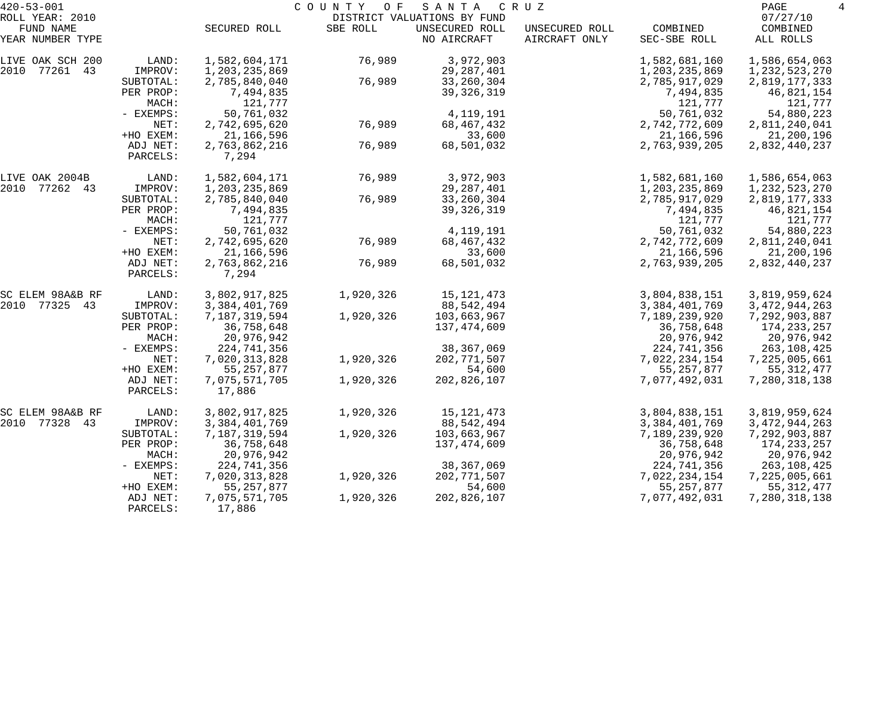| $420 - 53 - 001$    |           | COUNTY OF<br>SANTA<br>C R U Z |           |                             |                |                  |                  |  |
|---------------------|-----------|-------------------------------|-----------|-----------------------------|----------------|------------------|------------------|--|
| ROLL YEAR: 2010     |           |                               |           | DISTRICT VALUATIONS BY FUND |                |                  | 07/27/10         |  |
| FUND NAME           |           | SECURED ROLL                  | SBE ROLL  | UNSECURED ROLL              | UNSECURED ROLL | COMBINED         | COMBINED         |  |
| YEAR NUMBER TYPE    |           |                               |           | NO AIRCRAFT                 | AIRCRAFT ONLY  | SEC-SBE ROLL     | ALL ROLLS        |  |
| LIVE OAK SCH 200    | LAND:     | 1,582,604,171                 | 76,989    | 3,972,903                   |                | 1,582,681,160    | 1,586,654,063    |  |
| 2010<br>77261<br>43 | IMPROV:   | 1,203,235,869                 |           | 29, 287, 401                |                | 1,203,235,869    | 1, 232, 523, 270 |  |
|                     | SUBTOTAL: | 2,785,840,040                 | 76,989    | 33, 260, 304                |                | 2,785,917,029    | 2,819,177,333    |  |
|                     | PER PROP: | 7,494,835                     |           | 39, 326, 319                |                | 7,494,835        | 46,821,154       |  |
|                     | MACH:     | 121,777                       |           |                             |                | 121,777          | 121,777          |  |
|                     | - EXEMPS: | 50,761,032                    |           | 4,119,191                   |                | 50,761,032       | 54,880,223       |  |
|                     | NET:      | 2,742,695,620                 | 76,989    | 68, 467, 432                |                | 2,742,772,609    | 2,811,240,041    |  |
|                     | +HO EXEM: | 21,166,596                    |           | 33,600                      |                | 21,166,596       | 21,200,196       |  |
|                     | ADJ NET:  | 2,763,862,216                 | 76,989    | 68,501,032                  |                | 2,763,939,205    | 2,832,440,237    |  |
|                     | PARCELS:  | 7,294                         |           |                             |                |                  |                  |  |
| LIVE OAK 2004B      | LAND:     | 1,582,604,171                 | 76,989    | 3,972,903                   |                | 1,582,681,160    | 1,586,654,063    |  |
| 77262 43<br>2010    | IMPROV:   | 1,203,235,869                 |           | 29, 287, 401                |                | 1,203,235,869    | 1, 232, 523, 270 |  |
|                     | SUBTOTAL: | 2,785,840,040                 | 76,989    | 33, 260, 304                |                | 2,785,917,029    | 2,819,177,333    |  |
|                     | PER PROP: | 7,494,835                     |           | 39, 326, 319                |                | 7,494,835        | 46,821,154       |  |
|                     | MACH:     | 121,777                       |           |                             |                | 121,777          | 121,777          |  |
|                     | - EXEMPS: | 50,761,032                    |           | 4,119,191                   |                | 50,761,032       | 54,880,223       |  |
|                     | NET:      | 2,742,695,620                 | 76,989    | 68, 467, 432                |                | 2,742,772,609    | 2,811,240,041    |  |
|                     | +HO EXEM: | 21,166,596                    |           | 33,600                      |                | 21, 166, 596     | 21,200,196       |  |
|                     | ADJ NET:  | 2,763,862,216                 | 76,989    | 68,501,032                  |                | 2,763,939,205    | 2,832,440,237    |  |
|                     | PARCELS:  | 7,294                         |           |                             |                |                  |                  |  |
| SC ELEM 98A&B RF    | LAND:     | 3,802,917,825                 | 1,920,326 | 15, 121, 473                |                | 3,804,838,151    | 3,819,959,624    |  |
| 77325 43<br>2010    | IMPROV:   | 3, 384, 401, 769              |           | 88, 542, 494                |                | 3,384,401,769    | 3, 472, 944, 263 |  |
|                     | SUBTOTAL: | 7,187,319,594                 | 1,920,326 | 103,663,967                 |                | 7,189,239,920    | 7,292,903,887    |  |
|                     | PER PROP: | 36,758,648                    |           | 137,474,609                 |                | 36,758,648       | 174, 233, 257    |  |
|                     | MACH:     | 20,976,942                    |           |                             |                | 20,976,942       | 20,976,942       |  |
|                     | - EXEMPS: | 224,741,356                   |           | 38,367,069                  |                | 224,741,356      | 263,108,425      |  |
|                     | NET:      | 7,020,313,828                 | 1,920,326 | 202, 771, 507               |                | 7,022,234,154    | 7,225,005,661    |  |
|                     | +HO EXEM: | 55, 257, 877                  |           | 54,600                      |                | 55, 257, 877     | 55, 312, 477     |  |
|                     | ADJ NET:  | 7,075,571,705                 | 1,920,326 | 202,826,107                 |                | 7,077,492,031    | 7,280,318,138    |  |
|                     | PARCELS:  | 17,886                        |           |                             |                |                  |                  |  |
| SC ELEM 98A&B RF    | LAND:     | 3,802,917,825                 | 1,920,326 | 15, 121, 473                |                | 3,804,838,151    | 3,819,959,624    |  |
| 77328<br>2010<br>43 | IMPROV:   | 3,384,401,769                 |           | 88,542,494                  |                | 3, 384, 401, 769 | 3, 472, 944, 263 |  |
|                     | SUBTOTAL: | 7,187,319,594                 | 1,920,326 | 103,663,967                 |                | 7,189,239,920    | 7,292,903,887    |  |
|                     | PER PROP: | 36,758,648                    |           | 137,474,609                 |                | 36,758,648       | 174,233,257      |  |
|                     | MACH:     | 20,976,942                    |           |                             |                | 20,976,942       | 20,976,942       |  |
|                     | - EXEMPS: | 224,741,356                   |           | 38, 367, 069                |                | 224,741,356      | 263,108,425      |  |
|                     | NET:      | 7,020,313,828                 | 1,920,326 | 202,771,507                 |                | 7,022,234,154    | 7,225,005,661    |  |
|                     | +HO EXEM: | 55, 257, 877                  |           | 54,600                      |                | 55, 257, 877     | 55, 312, 477     |  |
|                     | ADJ NET:  | 7,075,571,705                 | 1,920,326 | 202,826,107                 |                | 7,077,492,031    | 7,280,318,138    |  |
|                     | PARCELS:  | 17,886                        |           |                             |                |                  |                  |  |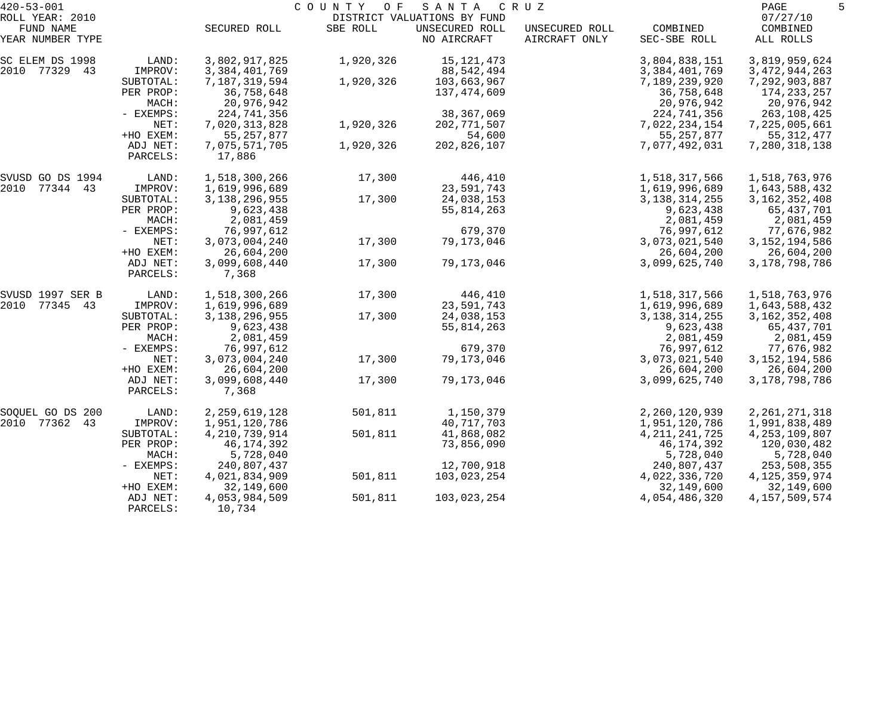| $420 - 53 - 001$             |                      | COUNTY<br>O F<br>SANTA<br>C R U Z |           |                                               |                |                  |                      |
|------------------------------|----------------------|-----------------------------------|-----------|-----------------------------------------------|----------------|------------------|----------------------|
| ROLL YEAR: 2010<br>FUND NAME |                      | SECURED ROLL                      | SBE ROLL  | DISTRICT VALUATIONS BY FUND<br>UNSECURED ROLL | UNSECURED ROLL | COMBINED         | 07/27/10<br>COMBINED |
| YEAR NUMBER TYPE             |                      |                                   |           | NO AIRCRAFT                                   | AIRCRAFT ONLY  | SEC-SBE ROLL     | ALL ROLLS            |
| SC ELEM DS 1998              | LAND:                | 3,802,917,825                     | 1,920,326 | 15,121,473                                    |                | 3,804,838,151    | 3,819,959,624        |
| 2010 77329 43                | IMPROV:              | 3, 384, 401, 769                  |           | 88,542,494                                    |                | 3, 384, 401, 769 | 3, 472, 944, 263     |
|                              | SUBTOTAL:            | 7,187,319,594                     | 1,920,326 | 103,663,967                                   |                | 7,189,239,920    | 7,292,903,887        |
|                              | PER PROP:            | 36,758,648                        |           | 137,474,609                                   |                | 36,758,648       | 174, 233, 257        |
|                              | MACH:                | 20,976,942                        |           |                                               |                | 20,976,942       | 20,976,942           |
|                              | - EXEMPS:            | 224,741,356                       |           | 38, 367, 069                                  |                | 224,741,356      | 263,108,425          |
|                              | NET:                 | 7,020,313,828                     | 1,920,326 | 202, 771, 507                                 |                | 7,022,234,154    | 7,225,005,661        |
|                              | +HO EXEM:            | 55, 257, 877                      |           | 54,600                                        |                | 55, 257, 877     | 55, 312, 477         |
|                              | ADJ NET:<br>PARCELS: | 7,075,571,705<br>17,886           | 1,920,326 | 202,826,107                                   |                | 7,077,492,031    | 7,280,318,138        |
| SVUSD GO DS 1994             | LAND:                | 1,518,300,266                     | 17,300    | 446,410                                       |                | 1,518,317,566    | 1,518,763,976        |
| 2010 77344 43                | IMPROV:              | 1,619,996,689                     |           | 23,591,743                                    |                | 1,619,996,689    | 1,643,588,432        |
|                              | SUBTOTAL:            | 3, 138, 296, 955                  | 17,300    | 24,038,153                                    |                | 3, 138, 314, 255 | 3, 162, 352, 408     |
|                              | PER PROP:            | 9,623,438                         |           | 55,814,263                                    |                | 9,623,438        | 65,437,701           |
|                              | MACH:                | 2,081,459                         |           |                                               |                | 2,081,459        | 2,081,459            |
|                              | - EXEMPS:            | 76,997,612                        |           | 679,370                                       |                | 76,997,612       | 77,676,982           |
|                              | NET:                 | 3,073,004,240                     | 17,300    | 79,173,046                                    |                | 3,073,021,540    | 3, 152, 194, 586     |
|                              | +HO EXEM:            | 26,604,200                        |           |                                               |                | 26,604,200       | 26,604,200           |
|                              | ADJ NET:<br>PARCELS: | 3,099,608,440<br>7,368            | 17,300    | 79,173,046                                    |                | 3,099,625,740    | 3, 178, 798, 786     |
| SVUSD 1997 SER B             | LAND:                | 1,518,300,266                     | 17,300    | 446,410                                       |                | 1,518,317,566    | 1,518,763,976        |
| 2010 77345 43                | IMPROV:              | 1,619,996,689                     |           | 23,591,743                                    |                | 1,619,996,689    | 1,643,588,432        |
|                              | SUBTOTAL:            | 3, 138, 296, 955                  | 17,300    | 24,038,153                                    |                | 3, 138, 314, 255 | 3, 162, 352, 408     |
|                              | PER PROP:            | 9,623,438                         |           | 55,814,263                                    |                | 9,623,438        | 65,437,701           |
|                              | MACH:                | 2,081,459                         |           |                                               |                | 2,081,459        | 2,081,459            |
|                              | - EXEMPS:            | 76,997,612                        |           | 679,370                                       |                | 76,997,612       | 77,676,982           |
|                              | NET:                 | 3,073,004,240                     | 17,300    | 79,173,046                                    |                | 3,073,021,540    | 3, 152, 194, 586     |
|                              | +HO EXEM:            | 26,604,200                        |           |                                               |                | 26,604,200       | 26,604,200           |
|                              | ADJ NET:<br>PARCELS: | 3,099,608,440<br>7,368            | 17,300    | 79,173,046                                    |                | 3,099,625,740    | 3, 178, 798, 786     |
| SOQUEL GO DS 200             | LAND:                | 2, 259, 619, 128                  | 501,811   | 1,150,379                                     |                | 2,260,120,939    | 2, 261, 271, 318     |
| 2010 77362<br>43             | IMPROV:              | 1,951,120,786                     |           | 40,717,703                                    |                | 1,951,120,786    | 1,991,838,489        |
|                              | SUBTOTAL:            | 4, 210, 739, 914                  | 501,811   | 41,868,082                                    |                | 4, 211, 241, 725 | 4, 253, 109, 807     |
|                              | PER PROP:            | 46, 174, 392                      |           | 73,856,090                                    |                | 46, 174, 392     | 120,030,482          |
|                              | MACH:                | 5,728,040                         |           |                                               |                | 5,728,040        | 5,728,040            |
|                              | - EXEMPS:            | 240,807,437                       |           | 12,700,918                                    |                | 240,807,437      | 253,508,355          |
|                              | NET:                 | 4,021,834,909                     | 501,811   | 103,023,254                                   |                | 4,022,336,720    | 4, 125, 359, 974     |
|                              | +HO EXEM:            | 32,149,600                        |           |                                               |                | 32,149,600       | 32,149,600           |
|                              | ADJ NET:<br>PARCELS: | 4,053,984,509<br>10,734           | 501,811   | 103,023,254                                   |                | 4,054,486,320    | 4, 157, 509, 574     |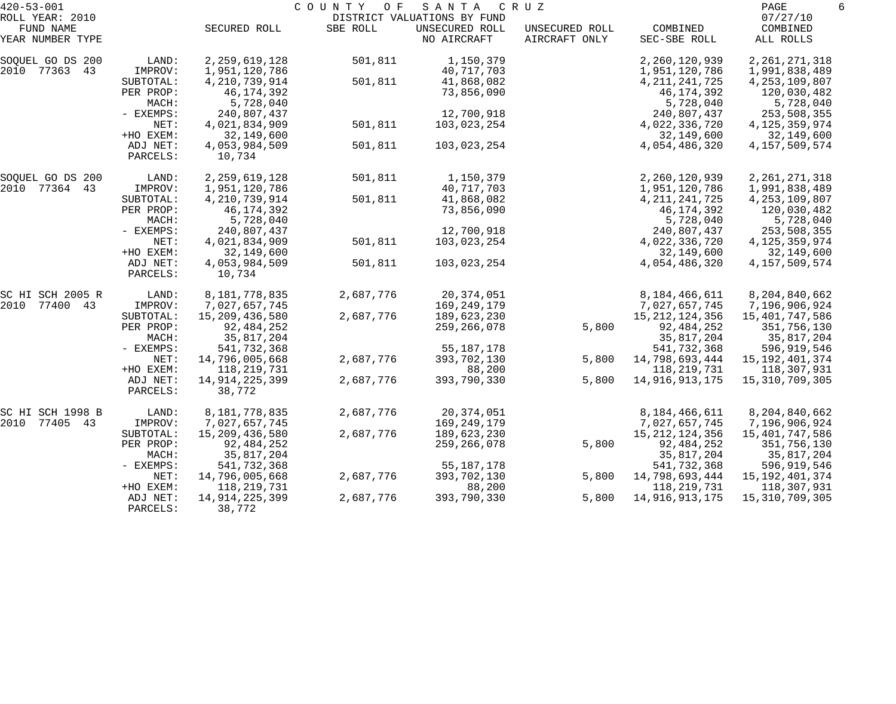| $420 - 53 - 001$             |                      |                             | COUNTY<br>O F | SANTA                                         | C R U Z        |                             | PAGE                           | 6 |
|------------------------------|----------------------|-----------------------------|---------------|-----------------------------------------------|----------------|-----------------------------|--------------------------------|---|
| ROLL YEAR: 2010<br>FUND NAME |                      | SECURED ROLL                | SBE ROLL      | DISTRICT VALUATIONS BY FUND<br>UNSECURED ROLL | UNSECURED ROLL | COMBINED                    | 07/27/10<br>COMBINED           |   |
| YEAR NUMBER TYPE             |                      |                             |               | NO AIRCRAFT                                   | AIRCRAFT ONLY  | SEC-SBE ROLL                | ALL ROLLS                      |   |
| SOQUEL GO DS 200             | LAND:                | 2, 259, 619, 128            | 501,811       | 1,150,379                                     |                | 2,260,120,939               | 2, 261, 271, 318               |   |
| 2010 77363<br>43             | IMPROV:              | 1,951,120,786               |               | 40,717,703                                    |                | 1,951,120,786               | 1,991,838,489                  |   |
|                              | SUBTOTAL:            | 4, 210, 739, 914            | 501,811       | 41,868,082                                    |                | 4, 211, 241, 725            | 4, 253, 109, 807               |   |
|                              | PER PROP:            | 46, 174, 392                |               | 73,856,090                                    |                | 46,174,392                  | 120,030,482                    |   |
|                              | MACH:<br>- EXEMPS:   | 5,728,040                   |               |                                               |                | 5,728,040                   | 5,728,040                      |   |
|                              | NET:                 | 240,807,437                 |               | 12,700,918                                    |                | 240,807,437                 | 253,508,355                    |   |
|                              | +HO EXEM:            | 4,021,834,909<br>32,149,600 | 501,811       | 103,023,254                                   |                | 4,022,336,720<br>32,149,600 | 4, 125, 359, 974<br>32,149,600 |   |
|                              | ADJ NET:             | 4,053,984,509               | 501,811       | 103,023,254                                   |                | 4,054,486,320               | 4, 157, 509, 574               |   |
|                              | PARCELS:             | 10,734                      |               |                                               |                |                             |                                |   |
| SOQUEL GO DS 200             | LAND:                | 2, 259, 619, 128            | 501,811       | 1,150,379                                     |                | 2,260,120,939               | 2, 261, 271, 318               |   |
| 2010 77364<br>43             | IMPROV:              | 1,951,120,786               |               | 40,717,703                                    |                | 1,951,120,786               | 1,991,838,489                  |   |
|                              | SUBTOTAL:            | 4, 210, 739, 914            | 501,811       | 41,868,082                                    |                | 4, 211, 241, 725            | 4, 253, 109, 807               |   |
|                              | PER PROP:            | 46,174,392                  |               | 73,856,090                                    |                | 46,174,392                  | 120,030,482                    |   |
|                              | MACH:                | 5,728,040                   |               |                                               |                | 5,728,040                   | 5,728,040                      |   |
|                              | - EXEMPS:            | 240,807,437                 |               | 12,700,918                                    |                | 240,807,437                 | 253,508,355                    |   |
|                              | NET:                 | 4,021,834,909               | 501,811       | 103,023,254                                   |                | 4,022,336,720               | 4, 125, 359, 974               |   |
|                              | +HO EXEM:            | 32,149,600                  |               |                                               |                | 32,149,600                  | 32,149,600                     |   |
|                              | ADJ NET:<br>PARCELS: | 4,053,984,509<br>10,734     | 501,811       | 103,023,254                                   |                | 4,054,486,320               | 4, 157, 509, 574               |   |
| SC HI SCH 2005 R             | LAND:                | 8,181,778,835               | 2,687,776     | 20, 374, 051                                  |                | 8,184,466,611               | 8,204,840,662                  |   |
| 2010<br>77400 43             | IMPROV:              | 7,027,657,745               |               | 169,249,179                                   |                | 7,027,657,745               | 7,196,906,924                  |   |
|                              | SUBTOTAL:            | 15,209,436,580              | 2,687,776     | 189,623,230                                   |                | 15, 212, 124, 356           | 15,401,747,586                 |   |
|                              | PER PROP:            | 92,484,252                  |               | 259,266,078                                   | 5,800          | 92, 484, 252                | 351,756,130                    |   |
|                              | MACH:                | 35,817,204                  |               |                                               |                | 35,817,204                  | 35,817,204                     |   |
|                              | - EXEMPS:            | 541,732,368                 |               | 55, 187, 178                                  |                | 541,732,368                 | 596,919,546                    |   |
|                              | NET:                 | 14,796,005,668              | 2,687,776     | 393,702,130                                   | 5,800          | 14,798,693,444              | 15, 192, 401, 374              |   |
|                              | +HO EXEM:            | 118, 219, 731               |               | 88,200                                        |                | 118, 219, 731               | 118,307,931                    |   |
|                              | ADJ NET:<br>PARCELS: | 14, 914, 225, 399<br>38,772 | 2,687,776     | 393,790,330                                   | 5,800          | 14,916,913,175              | 15,310,709,305                 |   |
| SC HI SCH 1998 B             | LAND:                | 8,181,778,835               | 2,687,776     | 20,374,051                                    |                | 8,184,466,611               | 8,204,840,662                  |   |
| 2010<br>77405 43             | IMPROV:              | 7,027,657,745               |               | 169,249,179                                   |                | 7,027,657,745               | 7,196,906,924                  |   |
|                              | SUBTOTAL:            | 15,209,436,580              | 2,687,776     | 189,623,230                                   |                | 15, 212, 124, 356           | 15,401,747,586                 |   |
|                              | PER PROP:            | 92,484,252                  |               | 259,266,078                                   | 5,800          | 92,484,252                  | 351,756,130                    |   |
|                              | MACH:                | 35,817,204                  |               |                                               |                | 35,817,204                  | 35,817,204                     |   |
|                              | - EXEMPS:            | 541,732,368                 |               | 55, 187, 178                                  |                | 541,732,368                 | 596,919,546                    |   |
|                              | NET:                 | 14,796,005,668              | 2,687,776     | 393,702,130                                   | 5,800          | 14,798,693,444              | 15, 192, 401, 374              |   |
|                              | +HO EXEM:            | 118,219,731                 |               | 88,200                                        |                | 118,219,731                 | 118,307,931                    |   |
|                              | ADJ NET:<br>PARCELS: | 14,914,225,399<br>38,772    | 2,687,776     | 393,790,330                                   | 5,800          | 14,916,913,175              | 15,310,709,305                 |   |
|                              |                      |                             |               |                                               |                |                             |                                |   |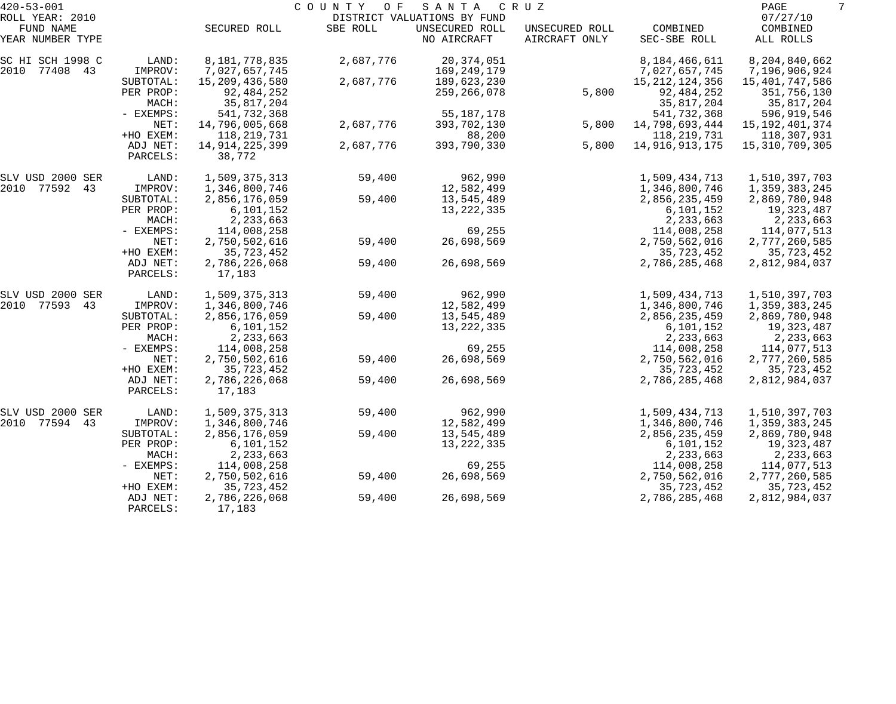| $420 - 53 - 001$                                 |                                   |                                            | COUNTY<br>O F | SANTA                                                        | C R U Z                         |                                               | PAGE                                        | 7 |
|--------------------------------------------------|-----------------------------------|--------------------------------------------|---------------|--------------------------------------------------------------|---------------------------------|-----------------------------------------------|---------------------------------------------|---|
| ROLL YEAR: 2010<br>FUND NAME<br>YEAR NUMBER TYPE |                                   | SECURED ROLL                               | SBE ROLL      | DISTRICT VALUATIONS BY FUND<br>UNSECURED ROLL<br>NO AIRCRAFT | UNSECURED ROLL<br>AIRCRAFT ONLY | COMBINED<br>SEC-SBE ROLL                      | 07/27/10<br>COMBINED<br>ALL ROLLS           |   |
| SC HI SCH 1998 C<br>2010 77408 43                | LAND:<br>IMPROV:                  | 8,181,778,835<br>7,027,657,745             | 2,687,776     | 20, 374, 051<br>169,249,179                                  |                                 | 8,184,466,611<br>7,027,657,745                | 8,204,840,662<br>7,196,906,924              |   |
|                                                  | SUBTOTAL:<br>PER PROP:<br>MACH:   | 15,209,436,580<br>92,484,252<br>35,817,204 | 2,687,776     | 189,623,230<br>259,266,078                                   | 5,800                           | 15, 212, 124, 356<br>92,484,252<br>35,817,204 | 15,401,747,586<br>351,756,130<br>35,817,204 |   |
|                                                  | - EXEMPS:<br>NET:                 | 541,732,368<br>14,796,005,668              | 2,687,776     | 55, 187, 178<br>393,702,130                                  | 5,800                           | 541,732,368<br>14,798,693,444                 | 596,919,546<br>15, 192, 401, 374            |   |
|                                                  | +HO EXEM:<br>ADJ NET:             | 118,219,731<br>14, 914, 225, 399           | 2,687,776     | 88,200<br>393,790,330                                        | 5,800                           | 118, 219, 731<br>14,916,913,175               | 118,307,931<br>15,310,709,305               |   |
|                                                  | PARCELS:                          | 38,772                                     |               |                                                              |                                 |                                               |                                             |   |
| SLV USD 2000 SER<br>2010 77592<br>43             | LAND:<br>IMPROV:                  | 1,509,375,313<br>1,346,800,746             | 59,400        | 962,990<br>12,582,499                                        |                                 | 1,509,434,713<br>1,346,800,746                | 1,510,397,703<br>1,359,383,245              |   |
|                                                  | SUBTOTAL:<br>PER PROP:            | 2,856,176,059<br>6,101,152                 | 59,400        | 13,545,489                                                   |                                 | 2,856,235,459<br>6,101,152                    | 2,869,780,948                               |   |
|                                                  | MACH:                             | 2,233,663                                  |               | 13, 222, 335                                                 |                                 | 2,233,663                                     | 19,323,487<br>2,233,663                     |   |
|                                                  | - EXEMPS:<br>NET:                 | 114,008,258<br>2,750,502,616               | 59,400        | 69,255<br>26,698,569                                         |                                 | 114,008,258<br>2,750,562,016                  | 114,077,513<br>2,777,260,585                |   |
|                                                  | +HO EXEM:<br>ADJ NET:<br>PARCELS: | 35,723,452<br>2,786,226,068<br>17,183      | 59,400        | 26,698,569                                                   |                                 | 35,723,452<br>2,786,285,468                   | 35,723,452<br>2,812,984,037                 |   |
| SLV USD 2000 SER                                 | LAND:                             | 1,509,375,313                              | 59,400        | 962,990                                                      |                                 | 1,509,434,713                                 | 1,510,397,703                               |   |
| 2010 77593<br>43                                 | IMPROV:<br>SUBTOTAL:              | 1,346,800,746<br>2,856,176,059             | 59,400        | 12,582,499<br>13,545,489                                     |                                 | 1,346,800,746<br>2,856,235,459                | 1,359,383,245<br>2,869,780,948              |   |
|                                                  | PER PROP:<br>MACH:                | 6,101,152<br>2,233,663                     |               | 13, 222, 335                                                 |                                 | 6,101,152<br>2,233,663                        | 19,323,487<br>2,233,663                     |   |
|                                                  | - EXEMPS:<br>NET:                 | 114,008,258<br>2,750,502,616               | 59,400        | 69,255<br>26,698,569                                         |                                 | 114,008,258<br>2,750,562,016                  | 114,077,513<br>2,777,260,585                |   |
|                                                  | +HO EXEM:                         | 35,723,452                                 |               |                                                              |                                 | 35,723,452                                    | 35,723,452                                  |   |
|                                                  | ADJ NET:<br>PARCELS:              | 2,786,226,068<br>17,183                    | 59,400        | 26,698,569                                                   |                                 | 2,786,285,468                                 | 2,812,984,037                               |   |
| SLV USD 2000 SER                                 | LAND:                             | 1,509,375,313                              | 59,400        | 962,990                                                      |                                 | 1,509,434,713                                 | 1,510,397,703                               |   |
| 2010 77594<br>43                                 | IMPROV:<br>SUBTOTAL:              | 1,346,800,746<br>2,856,176,059             | 59,400        | 12,582,499<br>13,545,489                                     |                                 | 1,346,800,746<br>2,856,235,459                | 1,359,383,245<br>2,869,780,948              |   |
|                                                  | PER PROP:<br>MACH:                | 6,101,152<br>2,233,663                     |               | 13, 222, 335                                                 |                                 | 6,101,152<br>2,233,663                        | 19,323,487<br>2,233,663                     |   |
|                                                  | - EXEMPS:                         | 114,008,258                                |               | 69,255                                                       |                                 | 114,008,258                                   | 114,077,513                                 |   |
|                                                  | NET:<br>+HO EXEM:                 | 2,750,502,616<br>35,723,452                | 59,400        | 26,698,569                                                   |                                 | 2,750,562,016<br>35,723,452                   | 2,777,260,585<br>35,723,452                 |   |
|                                                  | ADJ NET:<br>PARCELS:              | 2,786,226,068<br>17,183                    | 59,400        | 26,698,569                                                   |                                 | 2,786,285,468                                 | 2,812,984,037                               |   |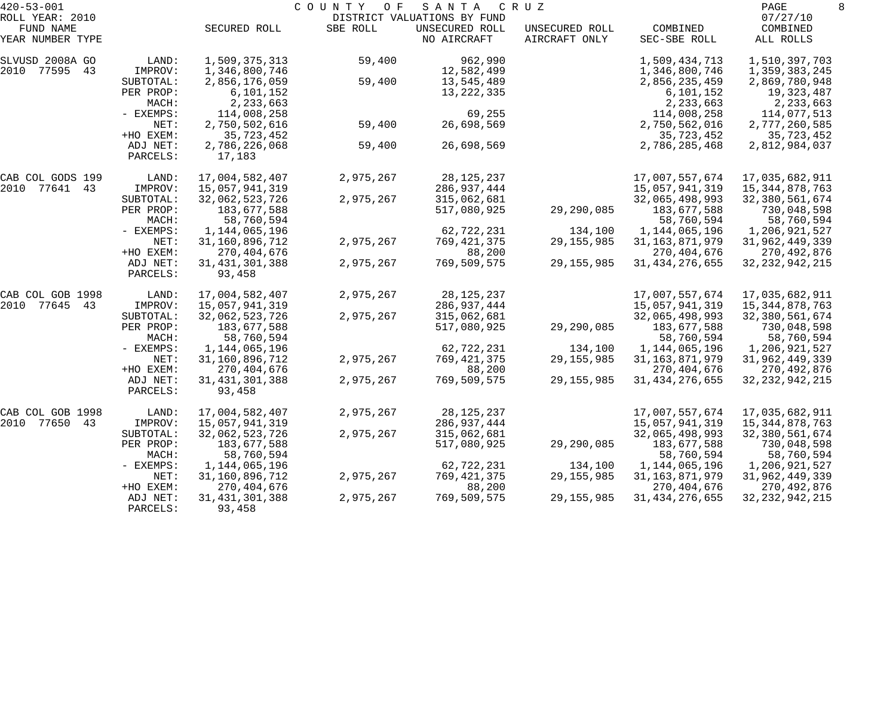| $420 - 53 - 001$              |                      |                             | COUNTY<br>O F | SANTA                         | C R U Z                         |                          | PAGE                  | 8 |
|-------------------------------|----------------------|-----------------------------|---------------|-------------------------------|---------------------------------|--------------------------|-----------------------|---|
| ROLL YEAR: 2010               |                      |                             |               | DISTRICT VALUATIONS BY FUND   |                                 |                          | 07/27/10              |   |
| FUND NAME<br>YEAR NUMBER TYPE |                      | SECURED ROLL                | SBE ROLL      | UNSECURED ROLL<br>NO AIRCRAFT | UNSECURED ROLL<br>AIRCRAFT ONLY | COMBINED<br>SEC-SBE ROLL | COMBINED<br>ALL ROLLS |   |
| SLVUSD 2008A GO               | LAND:                | 1,509,375,313               | 59,400        | 962,990                       |                                 | 1,509,434,713            | 1,510,397,703         |   |
| 2010 77595<br>43              | IMPROV:              | 1,346,800,746               |               | 12,582,499                    |                                 | 1,346,800,746            | 1,359,383,245         |   |
|                               | SUBTOTAL:            | 2,856,176,059               | 59,400        | 13,545,489                    |                                 | 2,856,235,459            | 2,869,780,948         |   |
|                               | PER PROP:            | 6,101,152                   |               | 13, 222, 335                  |                                 | 6,101,152                | 19,323,487            |   |
|                               | MACH:                | 2,233,663                   |               |                               |                                 | 2,233,663                | 2,233,663             |   |
|                               | - EXEMPS:            | 114,008,258                 |               | 69,255                        |                                 | 114,008,258              | 114,077,513           |   |
|                               | NET:                 | 2,750,502,616               | 59,400        | 26,698,569                    |                                 | 2,750,562,016            | 2,777,260,585         |   |
|                               | +HO EXEM:            | 35,723,452                  |               |                               |                                 | 35,723,452               | 35,723,452            |   |
|                               | ADJ NET:             | 2,786,226,068               | 59,400        | 26,698,569                    |                                 | 2,786,285,468            | 2,812,984,037         |   |
|                               | PARCELS:             | 17,183                      |               |                               |                                 |                          |                       |   |
| CAB COL GODS 199              | LAND:                | 17,004,582,407              | 2,975,267     | 28, 125, 237                  |                                 | 17,007,557,674           | 17,035,682,911        |   |
| 2010 77641<br>43              | IMPROV:              | 15,057,941,319              |               | 286,937,444                   |                                 | 15,057,941,319           | 15, 344, 878, 763     |   |
|                               | SUBTOTAL:            | 32,062,523,726              | 2,975,267     | 315,062,681                   |                                 | 32,065,498,993           | 32,380,561,674        |   |
|                               | PER PROP:            | 183,677,588                 |               | 517,080,925                   | 29,290,085                      | 183,677,588              | 730,048,598           |   |
|                               | MACH:                | 58,760,594                  |               |                               |                                 | 58,760,594               | 58,760,594            |   |
|                               | - EXEMPS:            | 1,144,065,196               |               | 62,722,231                    | 134,100                         | 1,144,065,196            | 1,206,921,527         |   |
|                               | NET:                 | 31,160,896,712              | 2,975,267     | 769,421,375                   | 29, 155, 985                    | 31, 163, 871, 979        | 31,962,449,339        |   |
|                               | +HO EXEM:            | 270,404,676                 |               | 88,200                        |                                 | 270, 404, 676            | 270,492,876           |   |
|                               | ADJ NET:             | 31, 431, 301, 388           | 2,975,267     | 769,509,575                   | 29, 155, 985                    | 31, 434, 276, 655        | 32, 232, 942, 215     |   |
|                               | PARCELS:             | 93,458                      |               |                               |                                 |                          |                       |   |
| CAB COL GOB 1998              | LAND:                | 17,004,582,407              | 2,975,267     | 28, 125, 237                  |                                 | 17,007,557,674           | 17,035,682,911        |   |
| 2010 77645<br>43              | IMPROV:              | 15,057,941,319              |               | 286,937,444                   |                                 | 15,057,941,319           | 15, 344, 878, 763     |   |
|                               | SUBTOTAL:            | 32,062,523,726              | 2,975,267     | 315,062,681                   |                                 | 32,065,498,993           | 32,380,561,674        |   |
|                               | PER PROP:            | 183,677,588                 |               | 517,080,925                   | 29,290,085                      | 183,677,588              | 730,048,598           |   |
|                               | MACH:                | 58,760,594                  |               |                               |                                 | 58,760,594               | 58,760,594            |   |
|                               | - EXEMPS:            | 1,144,065,196               |               | 62,722,231                    | 134,100                         | 1,144,065,196            | 1,206,921,527         |   |
|                               | NET:                 | 31,160,896,712              | 2,975,267     | 769,421,375                   | 29, 155, 985                    | 31, 163, 871, 979        | 31,962,449,339        |   |
|                               | +HO EXEM:            | 270,404,676                 |               | 88,200                        |                                 | 270,404,676              | 270,492,876           |   |
|                               | ADJ NET:<br>PARCELS: | 31, 431, 301, 388<br>93,458 | 2,975,267     | 769,509,575                   | 29, 155, 985                    | 31, 434, 276, 655        | 32, 232, 942, 215     |   |
|                               |                      |                             |               |                               |                                 |                          |                       |   |
| CAB COL GOB 1998              | LAND:                | 17,004,582,407              | 2,975,267     | 28, 125, 237                  |                                 | 17,007,557,674           | 17,035,682,911        |   |
| 2010<br>77650<br>43           | IMPROV:              | 15,057,941,319              |               | 286, 937, 444                 |                                 | 15,057,941,319           | 15,344,878,763        |   |
|                               | SUBTOTAL:            | 32,062,523,726              | 2,975,267     | 315,062,681                   |                                 | 32,065,498,993           | 32,380,561,674        |   |
|                               | PER PROP:            | 183,677,588                 |               | 517,080,925                   | 29,290,085                      | 183,677,588              | 730,048,598           |   |
|                               | MACH:                | 58,760,594                  |               |                               |                                 | 58,760,594               | 58,760,594            |   |
|                               | $-$ EXEMPS:          | 1,144,065,196               |               | 62,722,231                    | 134,100                         | 1,144,065,196            | 1,206,921,527         |   |
|                               | NET:                 | 31,160,896,712              | 2,975,267     | 769,421,375                   | 29, 155, 985                    | 31, 163, 871, 979        | 31,962,449,339        |   |
|                               | +HO EXEM:            | 270,404,676                 |               | 88,200                        |                                 | 270, 404, 676            | 270,492,876           |   |
|                               | ADJ NET:             | 31, 431, 301, 388           | 2,975,267     | 769,509,575                   | 29, 155, 985                    | 31, 434, 276, 655        | 32, 232, 942, 215     |   |
|                               | PARCELS:             | 93,458                      |               |                               |                                 |                          |                       |   |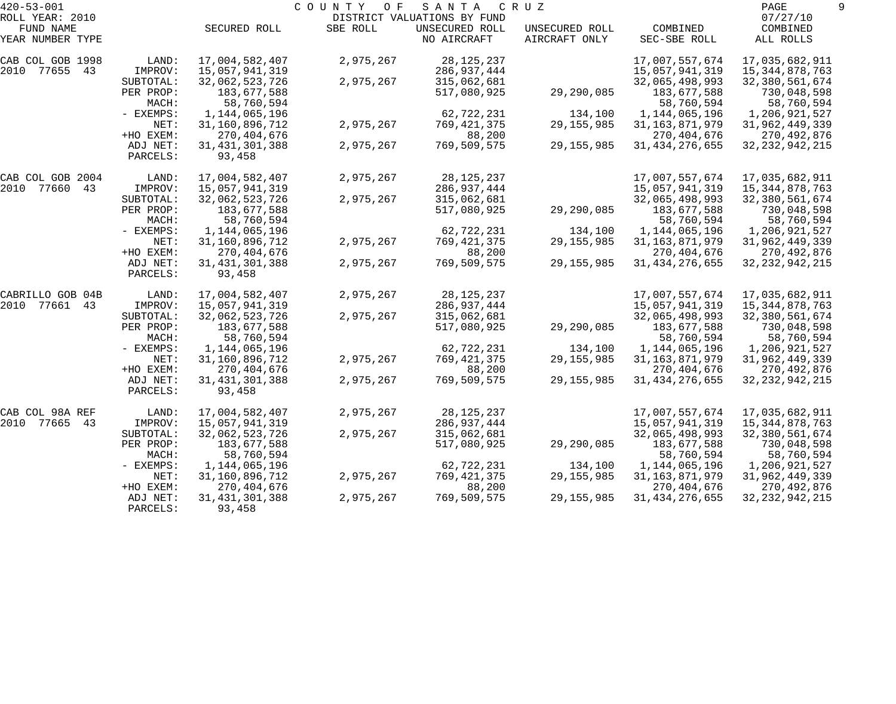| $420 - 53 - 001$             |                      |                             | COUNTY<br>O F | SANTA                                         | C R U Z        |                           | PAGE                      |  |
|------------------------------|----------------------|-----------------------------|---------------|-----------------------------------------------|----------------|---------------------------|---------------------------|--|
| ROLL YEAR: 2010<br>FUND NAME |                      | SECURED ROLL                | SBE ROLL      | DISTRICT VALUATIONS BY FUND<br>UNSECURED ROLL | UNSECURED ROLL | COMBINED                  | 07/27/10<br>COMBINED      |  |
| YEAR NUMBER TYPE             |                      |                             |               | NO AIRCRAFT                                   | AIRCRAFT ONLY  | SEC-SBE ROLL              | ALL ROLLS                 |  |
| CAB COL GOB 1998             | LAND:                | 17,004,582,407              | 2,975,267     | 28, 125, 237                                  |                | 17,007,557,674            | 17,035,682,911            |  |
| 2010 77655 43                | IMPROV:              | 15,057,941,319              |               | 286,937,444                                   |                | 15,057,941,319            | 15, 344, 878, 763         |  |
|                              | SUBTOTAL:            | 32,062,523,726              | 2,975,267     | 315,062,681                                   |                | 32,065,498,993            | 32,380,561,674            |  |
|                              | PER PROP:<br>MACH:   | 183,677,588<br>58,760,594   |               | 517,080,925                                   | 29,290,085     | 183,677,588<br>58,760,594 | 730,048,598<br>58,760,594 |  |
|                              | - EXEMPS:            | 1,144,065,196               |               | 62,722,231                                    | 134,100        | 1,144,065,196             | 1,206,921,527             |  |
|                              | NET:                 | 31,160,896,712              | 2,975,267     | 769,421,375                                   | 29, 155, 985   | 31, 163, 871, 979         | 31,962,449,339            |  |
|                              | +HO EXEM:            | 270, 404, 676               |               | 88,200                                        |                | 270, 404, 676             | 270,492,876               |  |
|                              | ADJ NET:<br>PARCELS: | 31, 431, 301, 388<br>93,458 | 2,975,267     | 769,509,575                                   | 29, 155, 985   | 31, 434, 276, 655         | 32, 232, 942, 215         |  |
| CAB COL GOB 2004             | LAND:                | 17,004,582,407              | 2,975,267     | 28, 125, 237                                  |                | 17,007,557,674            | 17,035,682,911            |  |
| 2010 77660 43                | IMPROV:              | 15,057,941,319              |               | 286,937,444                                   |                | 15,057,941,319            | 15, 344, 878, 763         |  |
|                              | SUBTOTAL:            | 32,062,523,726              | 2,975,267     | 315,062,681                                   |                | 32,065,498,993            | 32,380,561,674            |  |
|                              | PER PROP:            | 183,677,588                 |               | 517,080,925                                   | 29,290,085     | 183,677,588               | 730,048,598               |  |
|                              | MACH:                | 58,760,594                  |               |                                               |                | 58,760,594                | 58,760,594                |  |
|                              | - EXEMPS:            | 1,144,065,196               |               | 62,722,231                                    | 134,100        | 1,144,065,196             | 1,206,921,527             |  |
|                              | NET:                 | 31,160,896,712              | 2,975,267     | 769,421,375                                   | 29, 155, 985   | 31, 163, 871, 979         | 31,962,449,339            |  |
|                              | +HO EXEM:            | 270,404,676                 |               | 88,200                                        |                | 270, 404, 676             | 270,492,876               |  |
|                              | ADJ NET:<br>PARCELS: | 31, 431, 301, 388<br>93,458 | 2,975,267     | 769,509,575                                   | 29, 155, 985   | 31, 434, 276, 655         | 32, 232, 942, 215         |  |
| CABRILLO GOB 04B             | LAND:                | 17,004,582,407              | 2,975,267     | 28, 125, 237                                  |                | 17,007,557,674            | 17,035,682,911            |  |
| 2010 77661<br>43             | IMPROV:              | 15,057,941,319              |               | 286,937,444                                   |                | 15,057,941,319            | 15, 344, 878, 763         |  |
|                              | SUBTOTAL:            | 32,062,523,726              | 2,975,267     | 315,062,681                                   |                | 32,065,498,993            | 32,380,561,674            |  |
|                              | PER PROP:            | 183,677,588                 |               | 517,080,925                                   | 29,290,085     | 183,677,588               | 730,048,598               |  |
|                              | MACH:                | 58,760,594                  |               |                                               |                | 58,760,594                | 58,760,594                |  |
|                              | - EXEMPS:            | 1,144,065,196               |               | 62,722,231                                    | 134,100        | 1,144,065,196             | 1,206,921,527             |  |
|                              | NET:                 | 31,160,896,712              | 2,975,267     | 769, 421, 375                                 | 29, 155, 985   | 31, 163, 871, 979         | 31,962,449,339            |  |
|                              | +HO EXEM:            | 270,404,676                 |               | 88,200                                        |                | 270, 404, 676             | 270,492,876               |  |
|                              | ADJ NET:<br>PARCELS: | 31, 431, 301, 388<br>93,458 | 2,975,267     | 769,509,575                                   | 29, 155, 985   | 31, 434, 276, 655         | 32, 232, 942, 215         |  |
| CAB COL 98A REF              | LAND:                | 17,004,582,407              | 2,975,267     | 28,125,237                                    |                | 17,007,557,674            | 17,035,682,911            |  |
| 2010 77665<br>43             | IMPROV:              | 15,057,941,319              |               | 286,937,444                                   |                | 15,057,941,319            | 15, 344, 878, 763         |  |
|                              | SUBTOTAL:            | 32,062,523,726              | 2,975,267     | 315,062,681                                   |                | 32,065,498,993            | 32,380,561,674            |  |
|                              | PER PROP:            | 183,677,588                 |               | 517,080,925                                   | 29,290,085     | 183,677,588               | 730,048,598               |  |
|                              | MACH:                | 58,760,594                  |               |                                               |                | 58,760,594                | 58,760,594                |  |
|                              | - EXEMPS:            | 1,144,065,196               |               | 62,722,231                                    | 134,100        | 1,144,065,196             | 1,206,921,527             |  |
|                              | NET:                 | 31,160,896,712              | 2,975,267     | 769,421,375                                   | 29, 155, 985   | 31, 163, 871, 979         | 31,962,449,339            |  |
|                              | +HO EXEM:            | 270,404,676                 |               | 88,200                                        |                | 270,404,676               | 270,492,876               |  |
|                              | ADJ NET:             | 31, 431, 301, 388           | 2,975,267     | 769,509,575                                   | 29, 155, 985   | 31, 434, 276, 655         | 32, 232, 942, 215         |  |
|                              | PARCELS:             | 93,458                      |               |                                               |                |                           |                           |  |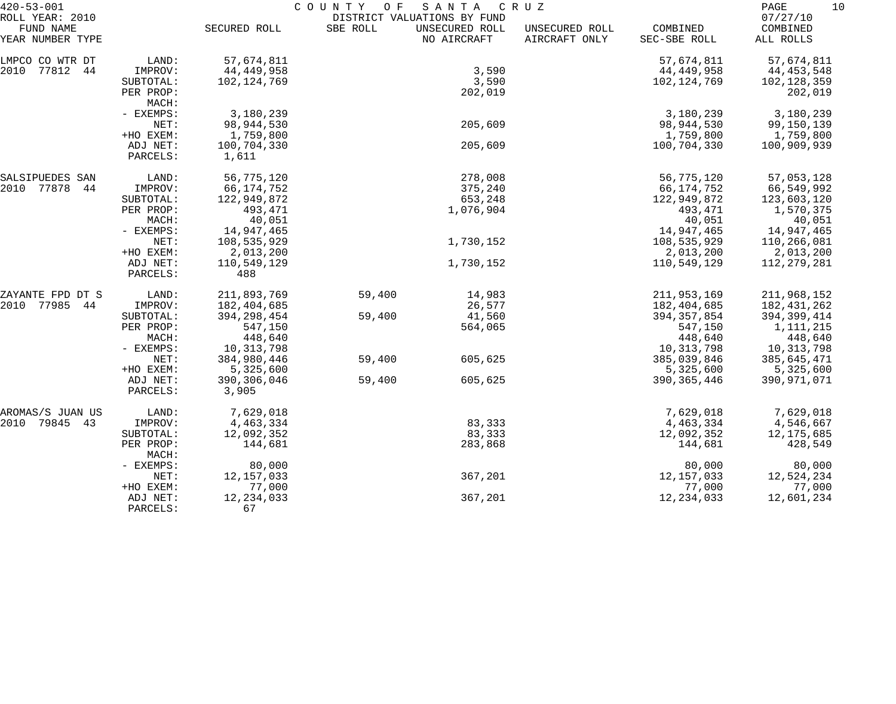| $420 - 53 - 001$                                 |                      | COUNTY OF<br>S A N T A<br>C R U Z |          |                                                              |                                 |                          |                                   |  |
|--------------------------------------------------|----------------------|-----------------------------------|----------|--------------------------------------------------------------|---------------------------------|--------------------------|-----------------------------------|--|
| ROLL YEAR: 2010<br>FUND NAME<br>YEAR NUMBER TYPE |                      | SECURED ROLL                      | SBE ROLL | DISTRICT VALUATIONS BY FUND<br>UNSECURED ROLL<br>NO AIRCRAFT | UNSECURED ROLL<br>AIRCRAFT ONLY | COMBINED<br>SEC-SBE ROLL | 07/27/10<br>COMBINED<br>ALL ROLLS |  |
| LMPCO CO WTR DT                                  | LAND:                | 57,674,811                        |          |                                                              |                                 | 57,674,811               | 57,674,811                        |  |
| 77812<br>2010<br>44                              | IMPROV:              | 44, 449, 958                      |          | 3,590                                                        |                                 | 44,449,958               | 44, 453, 548                      |  |
|                                                  | SUBTOTAL:            | 102,124,769                       |          | 3,590                                                        |                                 | 102, 124, 769            | 102,128,359                       |  |
|                                                  | PER PROP:<br>MACH:   |                                   |          | 202,019                                                      |                                 |                          | 202,019                           |  |
|                                                  | - EXEMPS:            | 3,180,239                         |          |                                                              |                                 | 3,180,239                | 3,180,239                         |  |
|                                                  | NET:                 | 98,944,530                        |          | 205,609                                                      |                                 | 98,944,530               | 99,150,139                        |  |
|                                                  | +HO EXEM:            | 1,759,800                         |          |                                                              |                                 | 1,759,800                | 1,759,800                         |  |
|                                                  | ADJ NET:             | 100,704,330                       |          | 205,609                                                      |                                 | 100,704,330              | 100,909,939                       |  |
|                                                  | PARCELS:             | 1,611                             |          |                                                              |                                 |                          |                                   |  |
| SALSIPUEDES SAN                                  | LAND:                | 56,775,120                        |          | 278,008                                                      |                                 | 56,775,120               | 57,053,128                        |  |
| 77878<br>44<br>2010                              | IMPROV:              | 66, 174, 752                      |          | 375,240                                                      |                                 | 66,174,752               | 66,549,992                        |  |
|                                                  | SUBTOTAL:            | 122,949,872                       |          | 653,248                                                      |                                 | 122,949,872              | 123,603,120                       |  |
|                                                  | PER PROP:            | 493,471                           |          | 1,076,904                                                    |                                 | 493,471                  | 1,570,375                         |  |
|                                                  | MACH:                | 40,051                            |          |                                                              |                                 | 40,051                   | 40,051                            |  |
|                                                  | - EXEMPS:            | 14,947,465                        |          |                                                              |                                 | 14,947,465               | 14,947,465                        |  |
|                                                  | NET:                 | 108,535,929                       |          | 1,730,152                                                    |                                 | 108,535,929              | 110,266,081                       |  |
|                                                  | +HO EXEM:            | 2,013,200                         |          |                                                              |                                 | 2,013,200                | 2,013,200                         |  |
|                                                  | ADJ NET:<br>PARCELS: | 110,549,129<br>488                |          | 1,730,152                                                    |                                 | 110,549,129              | 112,279,281                       |  |
| ZAYANTE FPD DT S                                 | LAND:                | 211,893,769                       | 59,400   | 14,983                                                       |                                 | 211,953,169              | 211,968,152                       |  |
| 77985<br>2010<br>44                              | IMPROV:              | 182,404,685                       |          | 26,577                                                       |                                 | 182,404,685              | 182,431,262                       |  |
|                                                  | SUBTOTAL:            | 394, 298, 454                     | 59,400   | 41,560                                                       |                                 | 394, 357, 854            | 394,399,414                       |  |
|                                                  | PER PROP:            | 547,150                           |          | 564,065                                                      |                                 | 547,150                  | 1,111,215                         |  |
|                                                  | MACH:                | 448,640                           |          |                                                              |                                 | 448,640                  | 448,640                           |  |
|                                                  | - EXEMPS:            | 10, 313, 798                      |          |                                                              |                                 | 10,313,798               | 10,313,798                        |  |
|                                                  | NET:                 | 384,980,446                       | 59,400   | 605,625                                                      |                                 | 385,039,846              | 385,645,471                       |  |
|                                                  | +HO EXEM:            | 5,325,600                         |          |                                                              |                                 | 5,325,600                | 5,325,600                         |  |
|                                                  | ADJ NET:<br>PARCELS: | 390,306,046<br>3,905              | 59,400   | 605,625                                                      |                                 | 390, 365, 446            | 390,971,071                       |  |
| AROMAS/S JUAN US                                 | LAND:                | 7,629,018                         |          |                                                              |                                 | 7,629,018                | 7,629,018                         |  |
| 2010 79845<br>43                                 | IMPROV:              | 4,463,334                         |          | 83,333                                                       |                                 | 4, 463, 334              | 4,546,667                         |  |
|                                                  | SUBTOTAL:            | 12,092,352                        |          | 83,333                                                       |                                 | 12,092,352               | 12,175,685                        |  |
|                                                  | PER PROP:            | 144,681                           |          | 283,868                                                      |                                 | 144,681                  | 428,549                           |  |
|                                                  | MACH:                |                                   |          |                                                              |                                 |                          |                                   |  |
|                                                  | - EXEMPS:            | 80,000                            |          |                                                              |                                 | 80,000                   | 80,000                            |  |
|                                                  | NET:                 | 12, 157, 033                      |          | 367,201                                                      |                                 | 12, 157, 033             | 12,524,234                        |  |
|                                                  | +HO EXEM:            | 77,000                            |          |                                                              |                                 | 77,000                   | 77,000                            |  |
|                                                  | ADJ NET:             | 12, 234, 033                      |          | 367,201                                                      |                                 | 12, 234, 033             | 12,601,234                        |  |
|                                                  | PARCELS:             | 67                                |          |                                                              |                                 |                          |                                   |  |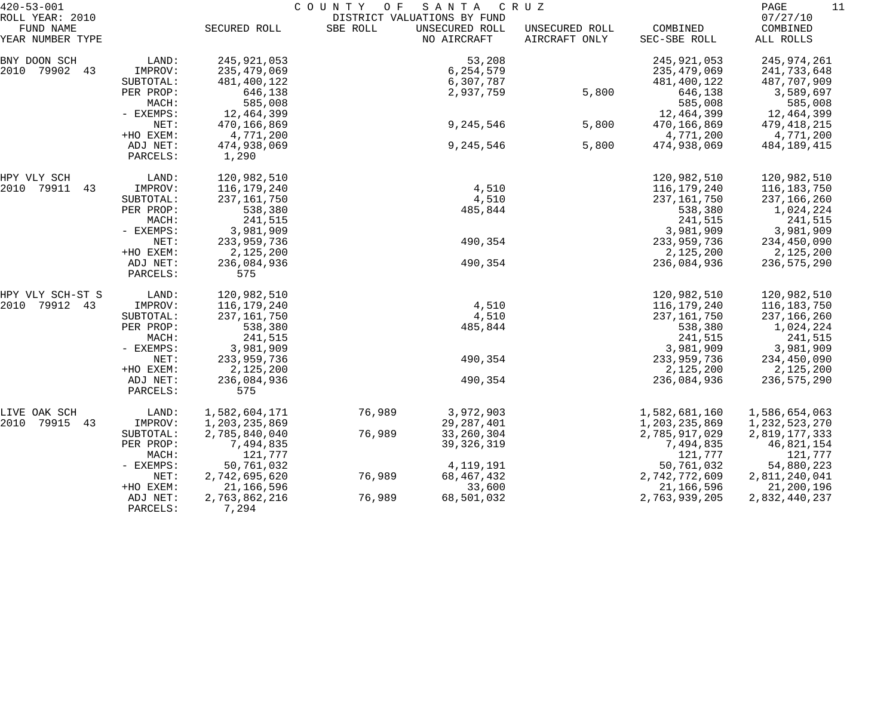| $420 - 53 - 001$              |             | COUNTY OF<br>SANTA<br>C R U Z |          |                               |                                 |                          |                       |
|-------------------------------|-------------|-------------------------------|----------|-------------------------------|---------------------------------|--------------------------|-----------------------|
| ROLL YEAR: 2010               |             |                               |          | DISTRICT VALUATIONS BY FUND   |                                 |                          | 07/27/10              |
| FUND NAME<br>YEAR NUMBER TYPE |             | SECURED ROLL                  | SBE ROLL | UNSECURED ROLL<br>NO AIRCRAFT | UNSECURED ROLL<br>AIRCRAFT ONLY | COMBINED<br>SEC-SBE ROLL | COMBINED<br>ALL ROLLS |
|                               |             |                               |          |                               |                                 |                          |                       |
| BNY DOON SCH                  | LAND:       | 245, 921, 053                 |          | 53,208                        |                                 | 245, 921, 053            | 245,974,261           |
| 2010 79902 43                 | IMPROV:     | 235,479,069                   |          | 6,254,579                     |                                 | 235, 479, 069            | 241,733,648           |
|                               | SUBTOTAL:   | 481,400,122                   |          | 6,307,787                     |                                 | 481,400,122              | 487,707,909           |
|                               | PER PROP:   | 646,138                       |          | 2,937,759                     | 5,800                           | 646,138                  | 3,589,697             |
|                               | MACH:       | 585,008                       |          |                               |                                 | 585,008                  | 585,008               |
|                               | - EXEMPS:   | 12,464,399                    |          |                               |                                 | 12,464,399               | 12,464,399            |
|                               | NET:        | 470,166,869                   |          | 9,245,546                     | 5,800                           | 470,166,869              | 479,418,215           |
|                               | +HO EXEM:   | 4,771,200                     |          |                               |                                 | 4,771,200                | 4,771,200             |
|                               | ADJ NET:    | 474,938,069                   |          | 9,245,546                     | 5,800                           | 474,938,069              | 484, 189, 415         |
|                               | PARCELS:    | 1,290                         |          |                               |                                 |                          |                       |
|                               |             |                               |          |                               |                                 |                          |                       |
| HPY VLY SCH                   | LAND:       | 120,982,510                   |          |                               |                                 | 120,982,510              | 120,982,510           |
| 2010<br>79911<br>43           | IMPROV:     | 116,179,240                   |          | 4,510                         |                                 | 116,179,240              | 116,183,750           |
|                               | SUBTOTAL:   | 237, 161, 750                 |          | 4,510                         |                                 | 237, 161, 750            | 237,166,260           |
|                               | PER PROP:   | 538,380                       |          | 485,844                       |                                 | 538,380                  | 1,024,224             |
|                               | MACH:       | 241,515                       |          |                               |                                 | 241,515                  | 241,515               |
|                               | - EXEMPS:   | 3,981,909                     |          |                               |                                 | 3,981,909                | 3,981,909             |
|                               | NET:        | 233,959,736                   |          | 490,354                       |                                 | 233,959,736              | 234,450,090           |
|                               | +HO EXEM:   | 2,125,200                     |          |                               |                                 | 2,125,200                | 2,125,200             |
|                               | ADJ NET:    | 236,084,936                   |          | 490,354                       |                                 | 236,084,936              | 236,575,290           |
|                               | PARCELS:    | 575                           |          |                               |                                 |                          |                       |
| HPY VLY SCH-ST S              | LAND:       | 120,982,510                   |          |                               |                                 | 120,982,510              | 120,982,510           |
| 2010<br>79912 43              | IMPROV:     | 116,179,240                   |          | 4,510                         |                                 | 116,179,240              | 116,183,750           |
|                               | SUBTOTAL:   | 237,161,750                   |          | 4,510                         |                                 | 237, 161, 750            | 237,166,260           |
|                               | PER PROP:   | 538,380                       |          | 485,844                       |                                 | 538,380                  | 1,024,224             |
|                               | MACH:       | 241,515                       |          |                               |                                 | 241,515                  | 241,515               |
|                               | - EXEMPS:   | 3,981,909                     |          |                               |                                 | 3,981,909                | 3,981,909             |
|                               | NET:        | 233,959,736                   |          | 490,354                       |                                 | 233,959,736              | 234,450,090           |
|                               | +HO EXEM:   | 2,125,200                     |          |                               |                                 | 2,125,200                | 2,125,200             |
|                               | ADJ NET:    | 236,084,936                   |          | 490,354                       |                                 | 236,084,936              | 236,575,290           |
|                               | PARCELS:    | 575                           |          |                               |                                 |                          |                       |
| LIVE OAK SCH                  | LAND:       | 1,582,604,171                 | 76,989   | 3,972,903                     |                                 | 1,582,681,160            | 1,586,654,063         |
| 2010<br>79915<br>43           | IMPROV:     | 1,203,235,869                 |          | 29, 287, 401                  |                                 | 1,203,235,869            | 1,232,523,270         |
|                               | SUBTOTAL:   | 2,785,840,040                 | 76,989   | 33, 260, 304                  |                                 | 2,785,917,029            | 2,819,177,333         |
|                               | PER PROP:   | 7,494,835                     |          | 39, 326, 319                  |                                 | 7,494,835                | 46,821,154            |
|                               | MACH:       | 121,777                       |          |                               |                                 | 121,777                  | 121,777               |
|                               | $-$ EXEMPS: | 50,761,032                    |          | 4,119,191                     |                                 | 50,761,032               | 54,880,223            |
|                               | NET:        | 2,742,695,620                 | 76,989   | 68,467,432                    |                                 | 2,742,772,609            | 2,811,240,041         |
|                               | +HO EXEM:   | 21,166,596                    |          | 33,600                        |                                 | 21,166,596               | 21,200,196            |
|                               | ADJ NET:    | 2,763,862,216                 | 76,989   | 68,501,032                    |                                 | 2,763,939,205            | 2,832,440,237         |
|                               | PARCELS:    | 7,294                         |          |                               |                                 |                          |                       |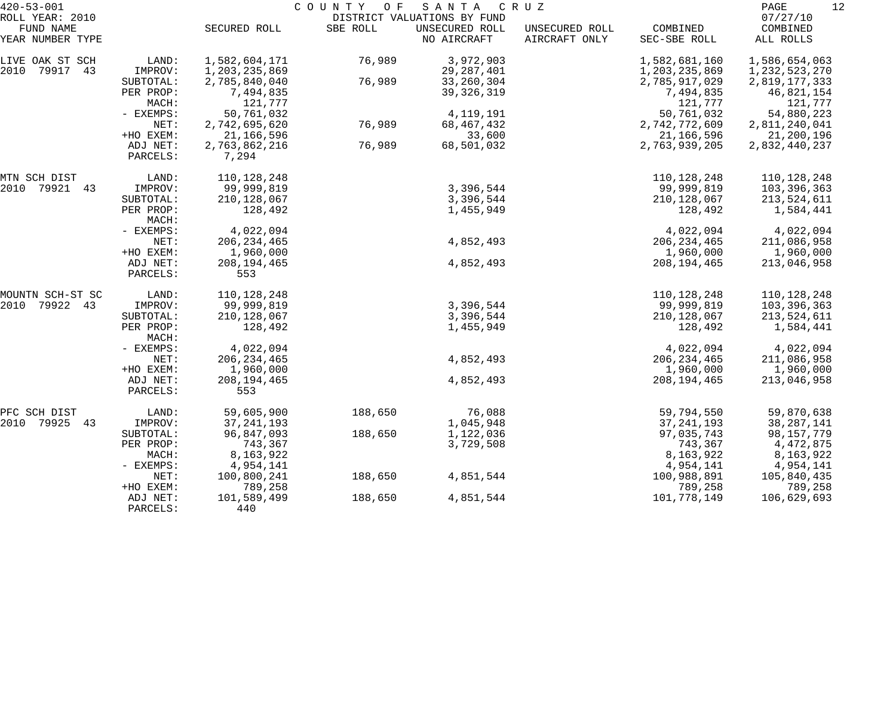| $420 - 53 - 001$<br>ROLL YEAR: 2010 |                      | COUNTY OF<br>SANTA CRUZ<br>DISTRICT VALUATIONS BY FUND |          |                               |                                 |                          |                                   |  |
|-------------------------------------|----------------------|--------------------------------------------------------|----------|-------------------------------|---------------------------------|--------------------------|-----------------------------------|--|
| FUND NAME<br>YEAR NUMBER TYPE       |                      | SECURED ROLL                                           | SBE ROLL | UNSECURED ROLL<br>NO AIRCRAFT | UNSECURED ROLL<br>AIRCRAFT ONLY | COMBINED<br>SEC-SBE ROLL | 07/27/10<br>COMBINED<br>ALL ROLLS |  |
| LIVE OAK ST SCH                     | LAND:                | 1,582,604,171                                          | 76,989   | 3,972,903                     |                                 | 1,582,681,160            | 1,586,654,063                     |  |
| 2010<br>79917<br>43                 | IMPROV:              | 1,203,235,869                                          |          | 29, 287, 401                  |                                 | 1,203,235,869            | 1, 232, 523, 270                  |  |
|                                     | SUBTOTAL:            | 2,785,840,040                                          | 76,989   | 33, 260, 304                  |                                 | 2,785,917,029            | 2,819,177,333                     |  |
|                                     | PER PROP:            | 7,494,835                                              |          | 39, 326, 319                  |                                 | 7,494,835                | 46,821,154                        |  |
|                                     | MACH:                | 121,777                                                |          |                               |                                 | 121,777                  | 121,777                           |  |
|                                     | - EXEMPS:            | 50,761,032                                             |          | 4, 119, 191                   |                                 | 50,761,032               | 54,880,223                        |  |
|                                     | NET:                 | 2,742,695,620                                          | 76,989   | 68, 467, 432                  |                                 | 2,742,772,609            | 2,811,240,041                     |  |
|                                     | +HO EXEM:            | 21,166,596                                             |          | 33,600                        |                                 | 21,166,596               | 21,200,196                        |  |
|                                     | ADJ NET:             | 2,763,862,216                                          | 76,989   | 68,501,032                    |                                 | 2,763,939,205            | 2,832,440,237                     |  |
|                                     | PARCELS:             | 7,294                                                  |          |                               |                                 |                          |                                   |  |
| MTN SCH DIST                        | LAND:                | 110,128,248                                            |          |                               |                                 | 110,128,248              | 110,128,248                       |  |
| 2010<br>79921<br>43                 | IMPROV:              | 99,999,819                                             |          | 3,396,544                     |                                 | 99,999,819               | 103,396,363                       |  |
|                                     | SUBTOTAL:            | 210, 128, 067                                          |          | 3,396,544                     |                                 | 210, 128, 067            | 213,524,611                       |  |
|                                     | PER PROP:<br>MACH:   | 128,492                                                |          | 1,455,949                     |                                 | 128,492                  | 1,584,441                         |  |
|                                     | - EXEMPS:            | 4,022,094                                              |          |                               |                                 | 4,022,094                | 4,022,094                         |  |
|                                     | NET:                 | 206, 234, 465                                          |          | 4,852,493                     |                                 | 206, 234, 465            | 211,086,958                       |  |
|                                     | +HO EXEM:            | 1,960,000                                              |          |                               |                                 | 1,960,000                | 1,960,000                         |  |
|                                     | ADJ NET:             | 208, 194, 465                                          |          | 4,852,493                     |                                 | 208, 194, 465            | 213,046,958                       |  |
|                                     | PARCELS:             | 553                                                    |          |                               |                                 |                          |                                   |  |
| MOUNTN SCH-ST SC                    | LAND:                | 110, 128, 248                                          |          |                               |                                 | 110,128,248              | 110,128,248                       |  |
| 79922 43<br>2010                    | IMPROV:              | 99,999,819                                             |          | 3,396,544                     |                                 | 99,999,819               | 103,396,363                       |  |
|                                     | SUBTOTAL:            | 210,128,067                                            |          | 3,396,544                     |                                 | 210, 128, 067            | 213,524,611                       |  |
|                                     | PER PROP:<br>MACH:   | 128,492                                                |          | 1,455,949                     |                                 | 128,492                  | 1,584,441                         |  |
|                                     | - EXEMPS:            | 4,022,094                                              |          |                               |                                 | 4,022,094                | 4,022,094                         |  |
|                                     | NET:                 | 206, 234, 465                                          |          | 4,852,493                     |                                 | 206, 234, 465            | 211,086,958                       |  |
|                                     | +HO EXEM:            | 1,960,000                                              |          |                               |                                 | 1,960,000                | 1,960,000                         |  |
|                                     | ADJ NET:<br>PARCELS: | 208, 194, 465<br>553                                   |          | 4,852,493                     |                                 | 208, 194, 465            | 213,046,958                       |  |
| PFC SCH DIST                        | LAND:                | 59,605,900                                             | 188,650  | 76,088                        |                                 | 59,794,550               | 59,870,638                        |  |
| 2010<br>79925 43                    | IMPROV:              | 37, 241, 193                                           |          | 1,045,948                     |                                 | 37, 241, 193             | 38,287,141                        |  |
|                                     | SUBTOTAL:            | 96,847,093                                             | 188,650  | 1,122,036                     |                                 | 97,035,743               | 98,157,779                        |  |
|                                     | PER PROP:            | 743,367                                                |          | 3,729,508                     |                                 | 743,367                  | 4,472,875                         |  |
|                                     | MACH:                | 8,163,922                                              |          |                               |                                 | 8,163,922                | 8,163,922                         |  |
|                                     | - EXEMPS:            | 4,954,141                                              |          |                               |                                 | 4,954,141                | 4,954,141                         |  |
|                                     | NET:                 | 100,800,241                                            | 188,650  | 4,851,544                     |                                 | 100,988,891              | 105,840,435                       |  |
|                                     | +HO EXEM:            | 789,258                                                |          |                               |                                 | 789,258                  | 789,258                           |  |
|                                     | ADJ NET:             | 101,589,499                                            | 188,650  | 4,851,544                     |                                 | 101,778,149              | 106,629,693                       |  |
|                                     | PARCELS:             | 440                                                    |          |                               |                                 |                          |                                   |  |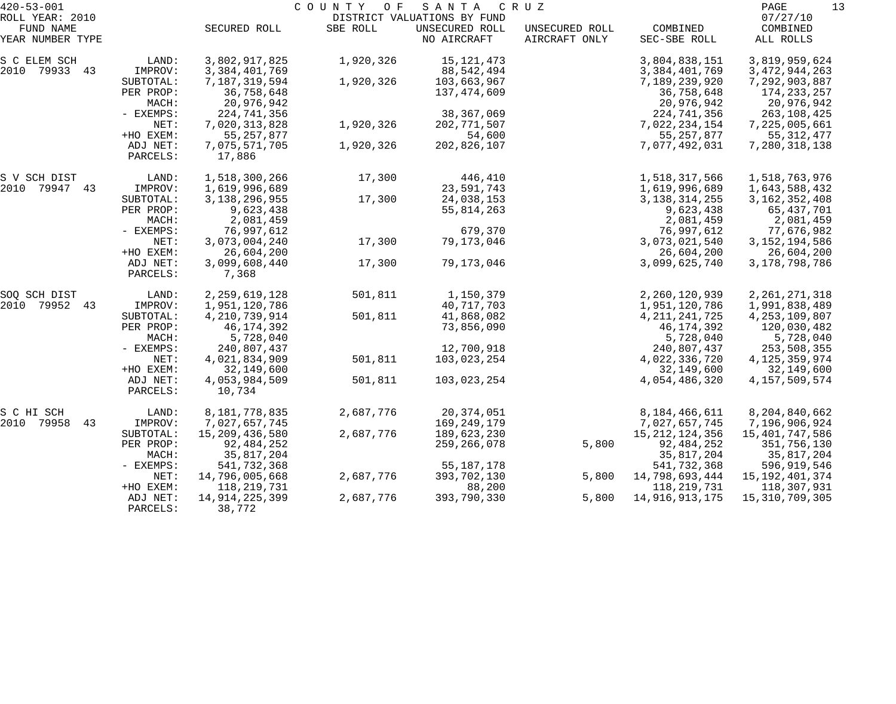| $420 - 53 - 001$              |                        | COUNTY OF<br>SANTA<br>C R U Z    |           |                               |                                 |                          |                          |  |
|-------------------------------|------------------------|----------------------------------|-----------|-------------------------------|---------------------------------|--------------------------|--------------------------|--|
| ROLL YEAR: 2010               |                        |                                  |           | DISTRICT VALUATIONS BY FUND   |                                 |                          | 07/27/10                 |  |
| FUND NAME<br>YEAR NUMBER TYPE |                        | SECURED ROLL                     | SBE ROLL  | UNSECURED ROLL<br>NO AIRCRAFT | UNSECURED ROLL<br>AIRCRAFT ONLY | COMBINED<br>SEC-SBE ROLL | COMBINED<br>ALL ROLLS    |  |
| S C ELEM SCH                  | LAND:                  | 3,802,917,825                    | 1,920,326 | 15, 121, 473                  |                                 | 3,804,838,151            | 3,819,959,624            |  |
| 2010 79933 43                 | IMPROV:                | 3, 384, 401, 769                 |           | 88,542,494                    |                                 | 3, 384, 401, 769         | 3, 472, 944, 263         |  |
|                               | SUBTOTAL:              | 7,187,319,594                    | 1,920,326 | 103,663,967                   |                                 | 7,189,239,920            | 7,292,903,887            |  |
|                               | PER PROP:              | 36,758,648                       |           | 137,474,609                   |                                 | 36,758,648               | 174, 233, 257            |  |
|                               | MACH:                  | 20,976,942                       |           |                               |                                 | 20,976,942               | 20,976,942               |  |
|                               | - EXEMPS:              | 224,741,356                      |           | 38, 367, 069                  |                                 | 224,741,356              | 263,108,425              |  |
|                               | NET:                   | 7,020,313,828                    | 1,920,326 | 202, 771, 507                 |                                 | 7,022,234,154            | 7,225,005,661            |  |
|                               | +HO EXEM:              | 55, 257, 877                     |           | 54,600                        |                                 | 55, 257, 877             | 55, 312, 477             |  |
|                               | ADJ NET:<br>PARCELS:   | 7,075,571,705<br>17,886          | 1,920,326 | 202,826,107                   |                                 | 7,077,492,031            | 7,280,318,138            |  |
|                               |                        |                                  |           |                               |                                 |                          |                          |  |
| S V SCH DIST                  | LAND:                  | 1,518,300,266                    | 17,300    | 446,410                       |                                 | 1,518,317,566            | 1,518,763,976            |  |
| 2010 79947 43                 | IMPROV:                | 1,619,996,689                    |           | 23,591,743                    |                                 | 1,619,996,689            | 1,643,588,432            |  |
|                               | SUBTOTAL:              | 3, 138, 296, 955                 | 17,300    | 24,038,153                    |                                 | 3, 138, 314, 255         | 3, 162, 352, 408         |  |
|                               | PER PROP:              | 9,623,438                        |           | 55,814,263                    |                                 | 9,623,438                | 65,437,701               |  |
|                               | MACH:                  | 2,081,459                        |           |                               |                                 | 2,081,459                | 2,081,459                |  |
|                               | - EXEMPS:              | 76,997,612                       |           | 679,370                       |                                 | 76,997,612               | 77,676,982               |  |
|                               | NET:                   | 3,073,004,240                    | 17,300    | 79,173,046                    |                                 | 3,073,021,540            | 3, 152, 194, 586         |  |
|                               | +HO EXEM:              | 26,604,200                       |           |                               |                                 | 26,604,200               | 26,604,200               |  |
|                               | ADJ NET:<br>PARCELS:   | 3,099,608,440<br>7,368           | 17,300    | 79,173,046                    |                                 | 3,099,625,740            | 3, 178, 798, 786         |  |
|                               |                        |                                  |           |                               |                                 |                          |                          |  |
| SOQ SCH DIST<br>2010          | LAND:                  | 2, 259, 619, 128                 | 501,811   | 1,150,379                     |                                 | 2,260,120,939            | 2, 261, 271, 318         |  |
| 79952<br>43                   | IMPROV:                | 1,951,120,786                    |           | 40, 717, 703                  |                                 | 1,951,120,786            | 1,991,838,489            |  |
|                               | SUBTOTAL:<br>PER PROP: | 4, 210, 739, 914<br>46, 174, 392 | 501,811   | 41,868,082<br>73,856,090      |                                 | 4, 211, 241, 725         | 4, 253, 109, 807         |  |
|                               | MACH:                  | 5,728,040                        |           |                               |                                 | 46,174,392<br>5,728,040  | 120,030,482<br>5,728,040 |  |
|                               | - EXEMPS:              | 240,807,437                      |           | 12,700,918                    |                                 | 240,807,437              | 253,508,355              |  |
|                               | NET:                   | 4,021,834,909                    | 501,811   | 103,023,254                   |                                 | 4,022,336,720            | 4, 125, 359, 974         |  |
|                               | +HO EXEM:              | 32,149,600                       |           |                               |                                 | 32,149,600               | 32,149,600               |  |
|                               | ADJ NET:               | 4,053,984,509                    | 501,811   | 103,023,254                   |                                 | 4,054,486,320            | 4, 157, 509, 574         |  |
|                               | PARCELS:               | 10,734                           |           |                               |                                 |                          |                          |  |
| S C HI SCH                    | LAND:                  | 8,181,778,835                    | 2,687,776 | 20,374,051                    |                                 | 8,184,466,611            | 8,204,840,662            |  |
| 2010<br>79958<br>43           | IMPROV:                | 7,027,657,745                    |           | 169, 249, 179                 |                                 | 7,027,657,745            | 7,196,906,924            |  |
|                               | SUBTOTAL:              | 15,209,436,580                   | 2,687,776 | 189,623,230                   |                                 | 15, 212, 124, 356        | 15,401,747,586           |  |
|                               | PER PROP:              | 92, 484, 252                     |           | 259, 266, 078                 | 5,800                           | 92, 484, 252             | 351,756,130              |  |
|                               | MACH:                  | 35,817,204                       |           |                               |                                 | 35,817,204               | 35,817,204               |  |
|                               | - EXEMPS:              | 541,732,368                      |           | 55, 187, 178                  |                                 | 541,732,368              | 596,919,546              |  |
|                               | NET:                   | 14,796,005,668                   | 2,687,776 | 393,702,130                   | 5,800                           | 14,798,693,444           | 15, 192, 401, 374        |  |
|                               | +HO EXEM:              | 118,219,731                      |           | 88,200                        |                                 | 118,219,731              | 118,307,931              |  |
|                               | ADJ NET:               | 14,914,225,399                   | 2,687,776 | 393,790,330                   | 5,800                           | 14,916,913,175           | 15, 310, 709, 305        |  |
|                               | PARCELS:               | 38,772                           |           |                               |                                 |                          |                          |  |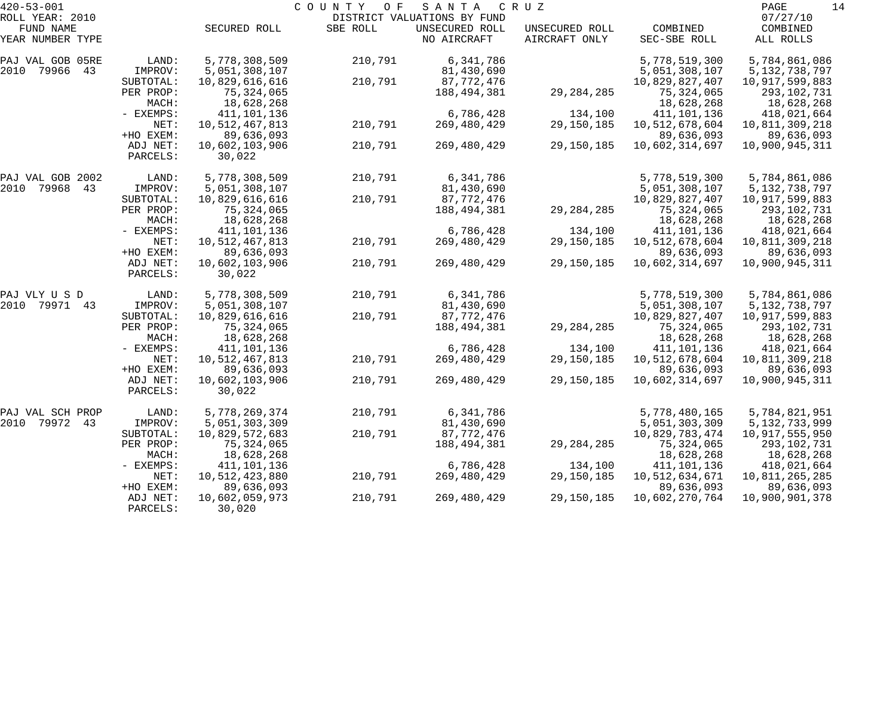| $420 - 53 - 001$    |             |                   | COUNTY<br>O F | SANTA                       | C R U Z        |                | 14<br>PAGE       |
|---------------------|-------------|-------------------|---------------|-----------------------------|----------------|----------------|------------------|
| ROLL YEAR: 2010     |             |                   |               | DISTRICT VALUATIONS BY FUND |                |                | 07/27/10         |
| FUND NAME           |             | SECURED ROLL      | SBE ROLL      | UNSECURED ROLL              | UNSECURED ROLL | COMBINED       | COMBINED         |
| YEAR NUMBER TYPE    |             |                   |               | NO AIRCRAFT                 | AIRCRAFT ONLY  | SEC-SBE ROLL   | ALL ROLLS        |
| PAJ VAL GOB 05RE    | LAND:       | 5,778,308,509     | 210,791       | 6,341,786                   |                | 5,778,519,300  | 5,784,861,086    |
| 2010<br>79966<br>43 | IMPROV:     | 5,051,308,107     |               | 81,430,690                  |                | 5,051,308,107  | 5, 132, 738, 797 |
|                     | SUBTOTAL:   | 10,829,616,616    | 210,791       | 87,772,476                  |                | 10,829,827,407 | 10,917,599,883   |
|                     | PER PROP:   | 75,324,065        |               | 188,494,381                 | 29, 284, 285   | 75,324,065     | 293,102,731      |
|                     | MACH:       | 18,628,268        |               |                             |                | 18,628,268     | 18,628,268       |
|                     | - EXEMPS:   | 411,101,136       |               | 6,786,428                   | 134,100        | 411,101,136    | 418,021,664      |
|                     | NET:        | 10,512,467,813    | 210,791       | 269,480,429                 | 29,150,185     | 10,512,678,604 | 10,811,309,218   |
|                     | +HO EXEM:   | 89,636,093        |               |                             |                | 89,636,093     | 89,636,093       |
|                     | ADJ NET:    | 10,602,103,906    | 210,791       | 269,480,429                 | 29,150,185     | 10,602,314,697 | 10,900,945,311   |
|                     | PARCELS:    | 30,022            |               |                             |                |                |                  |
| PAJ VAL GOB 2002    | LAND:       | 5,778,308,509     | 210,791       | 6,341,786                   |                | 5,778,519,300  | 5,784,861,086    |
| 2010<br>79968<br>43 | IMPROV:     | 5,051,308,107     |               | 81,430,690                  |                | 5,051,308,107  | 5, 132, 738, 797 |
|                     | SUBTOTAL:   | 10,829,616,616    | 210,791       | 87,772,476                  |                | 10,829,827,407 | 10,917,599,883   |
|                     | PER PROP:   | 75,324,065        |               | 188,494,381                 | 29, 284, 285   | 75, 324, 065   | 293,102,731      |
|                     | MACH:       | 18,628,268        |               |                             |                | 18,628,268     | 18,628,268       |
|                     | - EXEMPS:   | 411,101,136       |               | 6,786,428                   | 134,100        | 411,101,136    | 418,021,664      |
|                     | NET:        | 10,512,467,813    | 210,791       | 269,480,429                 | 29,150,185     | 10,512,678,604 | 10,811,309,218   |
|                     | +HO EXEM:   | 89,636,093        |               |                             |                | 89,636,093     | 89,636,093       |
|                     | ADJ NET:    | 10,602,103,906    | 210,791       | 269,480,429                 | 29,150,185     | 10,602,314,697 | 10,900,945,311   |
|                     | PARCELS:    | 30,022            |               |                             |                |                |                  |
| PAJ VLY U S D       | LAND:       | 5,778,308,509     | 210,791       | 6,341,786                   |                | 5,778,519,300  | 5,784,861,086    |
| 2010<br>79971<br>43 | IMPROV:     | 5,051,308,107     |               | 81,430,690                  |                | 5,051,308,107  | 5, 132, 738, 797 |
|                     | SUBTOTAL:   | 10,829,616,616    | 210,791       | 87,772,476                  |                | 10,829,827,407 | 10,917,599,883   |
|                     | PER PROP:   | 75,324,065        |               | 188,494,381                 | 29, 284, 285   | 75,324,065     | 293,102,731      |
|                     | MACH:       | 18,628,268        |               |                             |                | 18,628,268     | 18,628,268       |
|                     | - EXEMPS:   | 411,101,136       |               | 6,786,428                   | 134,100        | 411,101,136    | 418,021,664      |
|                     | NET:        | 10, 512, 467, 813 | 210,791       | 269,480,429                 | 29,150,185     | 10,512,678,604 | 10,811,309,218   |
|                     | +HO EXEM:   | 89,636,093        |               |                             |                | 89,636,093     | 89,636,093       |
|                     | ADJ NET:    | 10,602,103,906    | 210,791       | 269,480,429                 | 29,150,185     | 10,602,314,697 | 10,900,945,311   |
|                     | PARCELS:    | 30,022            |               |                             |                |                |                  |
| PAJ VAL SCH PROP    | LAND:       | 5,778,269,374     | 210,791       | 6,341,786                   |                | 5,778,480,165  | 5,784,821,951    |
| 2010<br>79972<br>43 | IMPROV:     | 5,051,303,309     |               | 81,430,690                  |                | 5,051,303,309  | 5, 132, 733, 999 |
|                     | SUBTOTAL:   | 10,829,572,683    | 210,791       | 87,772,476                  |                | 10,829,783,474 | 10,917,555,950   |
|                     | PER PROP:   | 75,324,065        |               | 188,494,381                 | 29, 284, 285   | 75,324,065     | 293,102,731      |
|                     | MACH:       | 18,628,268        |               |                             |                | 18,628,268     | 18,628,268       |
|                     | $-$ EXEMPS: | 411,101,136       |               | 6,786,428                   | 134,100        | 411,101,136    | 418,021,664      |
|                     | NET:        | 10,512,423,880    | 210,791       | 269,480,429                 | 29,150,185     | 10,512,634,671 | 10,811,265,285   |
|                     | +HO EXEM:   | 89,636,093        |               |                             |                | 89,636,093     | 89,636,093       |
|                     | ADJ NET:    | 10,602,059,973    | 210,791       | 269,480,429                 | 29,150,185     | 10,602,270,764 | 10,900,901,378   |
|                     | PARCELS:    | 30,020            |               |                             |                |                |                  |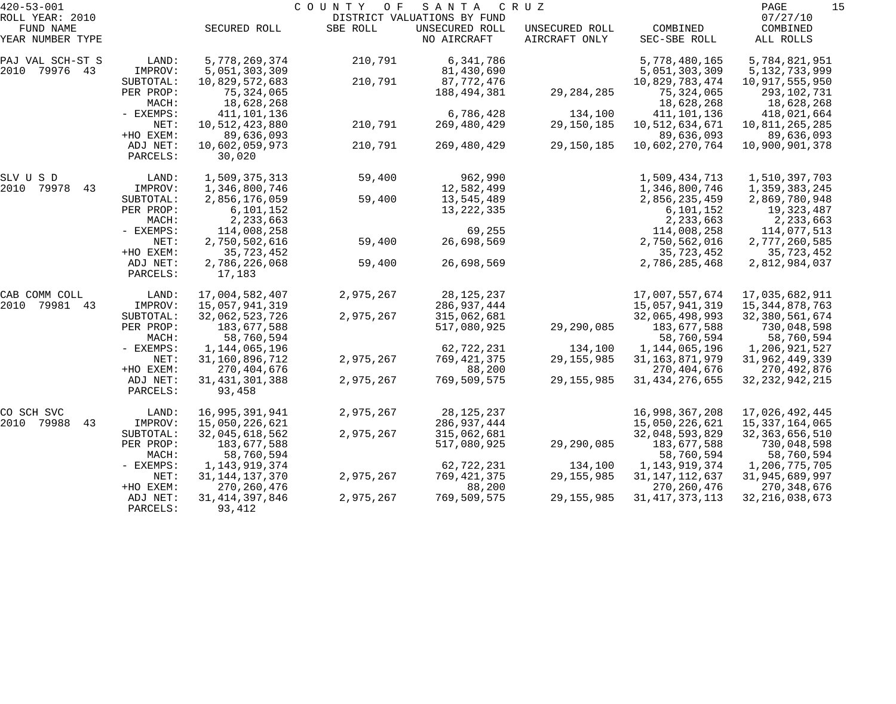| $420 - 53 - 001$    |             |                   | COUNTY<br>O F | SANTA                       | C R U Z        |                   | 15<br>PAGE        |
|---------------------|-------------|-------------------|---------------|-----------------------------|----------------|-------------------|-------------------|
| ROLL YEAR: 2010     |             |                   |               | DISTRICT VALUATIONS BY FUND |                |                   | 07/27/10          |
| FUND NAME           |             | SECURED ROLL      | SBE ROLL      | UNSECURED ROLL              | UNSECURED ROLL | COMBINED          | COMBINED          |
| YEAR NUMBER TYPE    |             |                   |               | NO AIRCRAFT                 | AIRCRAFT ONLY  | SEC-SBE ROLL      | ALL ROLLS         |
| PAJ VAL SCH-ST S    | LAND:       | 5,778,269,374     | 210,791       | 6,341,786                   |                | 5,778,480,165     | 5,784,821,951     |
| 2010<br>79976 43    | IMPROV:     | 5,051,303,309     |               | 81,430,690                  |                | 5,051,303,309     | 5, 132, 733, 999  |
|                     | SUBTOTAL:   | 10,829,572,683    | 210,791       | 87,772,476                  |                | 10,829,783,474    | 10,917,555,950    |
|                     | PER PROP:   | 75, 324, 065      |               | 188,494,381                 | 29, 284, 285   | 75,324,065        | 293,102,731       |
|                     | MACH:       | 18,628,268        |               |                             |                | 18,628,268        | 18,628,268        |
|                     | - EXEMPS:   | 411, 101, 136     |               | 6,786,428                   | 134,100        | 411,101,136       | 418,021,664       |
|                     | NET:        | 10,512,423,880    | 210,791       | 269,480,429                 | 29,150,185     | 10,512,634,671    | 10,811,265,285    |
|                     | +HO EXEM:   | 89,636,093        |               |                             |                | 89,636,093        | 89,636,093        |
|                     | ADJ NET:    | 10,602,059,973    | 210,791       | 269,480,429                 | 29,150,185     | 10,602,270,764    | 10,900,901,378    |
|                     | PARCELS:    | 30,020            |               |                             |                |                   |                   |
| SLV U S D           | LAND:       | 1,509,375,313     | 59,400        | 962,990                     |                | 1,509,434,713     | 1,510,397,703     |
| 2010<br>79978<br>43 | IMPROV:     | 1,346,800,746     |               | 12,582,499                  |                | 1,346,800,746     | 1,359,383,245     |
|                     | SUBTOTAL:   | 2,856,176,059     | 59,400        | 13,545,489                  |                | 2,856,235,459     | 2,869,780,948     |
|                     | PER PROP:   | 6,101,152         |               | 13, 222, 335                |                | 6,101,152         | 19,323,487        |
|                     | MACH:       | 2,233,663         |               |                             |                | 2,233,663         | 2,233,663         |
|                     | - EXEMPS:   | 114,008,258       |               | 69,255                      |                | 114,008,258       | 114,077,513       |
|                     | NET:        | 2,750,502,616     | 59,400        | 26,698,569                  |                | 2,750,562,016     | 2,777,260,585     |
|                     | +HO EXEM:   | 35,723,452        |               |                             |                | 35,723,452        | 35,723,452        |
|                     | ADJ NET:    | 2,786,226,068     | 59,400        | 26,698,569                  |                | 2,786,285,468     | 2,812,984,037     |
|                     | PARCELS:    | 17,183            |               |                             |                |                   |                   |
| CAB COMM COLL       | LAND:       | 17,004,582,407    | 2,975,267     | 28, 125, 237                |                | 17,007,557,674    | 17,035,682,911    |
| 2010<br>79981<br>43 | IMPROV:     | 15,057,941,319    |               | 286,937,444                 |                | 15,057,941,319    | 15, 344, 878, 763 |
|                     | SUBTOTAL:   | 32,062,523,726    | 2,975,267     | 315,062,681                 |                | 32,065,498,993    | 32,380,561,674    |
|                     | PER PROP:   | 183,677,588       |               | 517,080,925                 | 29,290,085     | 183,677,588       | 730,048,598       |
|                     | MACH:       | 58,760,594        |               |                             |                | 58,760,594        | 58,760,594        |
|                     | - EXEMPS:   | 1,144,065,196     |               | 62,722,231                  | 134,100        | 1,144,065,196     | 1,206,921,527     |
|                     | NET:        | 31,160,896,712    | 2,975,267     | 769, 421, 375               | 29, 155, 985   | 31, 163, 871, 979 | 31,962,449,339    |
|                     | +HO EXEM:   | 270,404,676       |               | 88,200                      |                | 270, 404, 676     | 270,492,876       |
|                     | ADJ NET:    | 31, 431, 301, 388 | 2,975,267     | 769,509,575                 | 29, 155, 985   | 31, 434, 276, 655 | 32, 232, 942, 215 |
|                     | PARCELS:    | 93,458            |               |                             |                |                   |                   |
| CO SCH SVC          | LAND:       | 16,995,391,941    | 2,975,267     | 28, 125, 237                |                | 16,998,367,208    | 17,026,492,445    |
| 2010 79988<br>43    | IMPROV:     | 15,050,226,621    |               | 286,937,444                 |                | 15,050,226,621    | 15, 337, 164, 065 |
|                     | SUBTOTAL:   | 32,045,618,562    | 2,975,267     | 315,062,681                 |                | 32,048,593,829    | 32, 363, 656, 510 |
|                     | PER PROP:   | 183,677,588       |               | 517,080,925                 | 29,290,085     | 183,677,588       | 730,048,598       |
|                     | MACH:       | 58,760,594        |               |                             |                | 58,760,594        | 58,760,594        |
|                     | $-$ EXEMPS: | 1, 143, 919, 374  |               | 62,722,231                  | 134,100        | 1,143,919,374     | 1,206,775,705     |
|                     | NET:        | 31, 144, 137, 370 | 2,975,267     | 769,421,375                 | 29, 155, 985   | 31, 147, 112, 637 | 31,945,689,997    |
|                     | +HO EXEM:   | 270, 260, 476     |               | 88,200                      |                | 270, 260, 476     | 270, 348, 676     |
|                     | ADJ NET:    | 31, 414, 397, 846 | 2,975,267     | 769,509,575                 | 29, 155, 985   | 31, 417, 373, 113 | 32, 216, 038, 673 |
|                     | PARCELS:    | 93,412            |               |                             |                |                   |                   |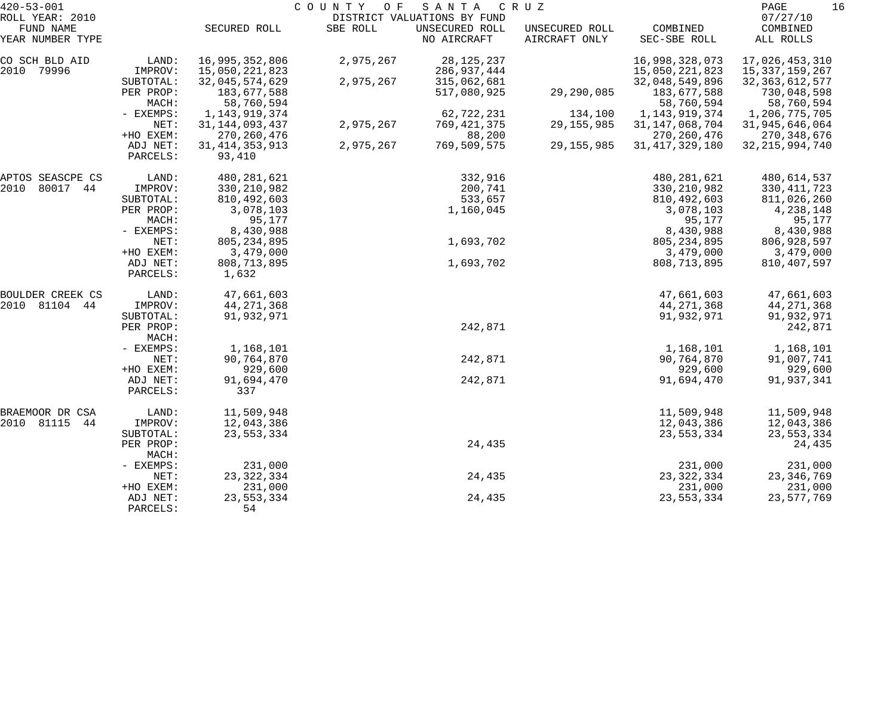| $420 - 53 - 001$             | COUNTY OF<br>SANTA<br>C R U Z |                             |           |                               |                                 |                          |                       |  |
|------------------------------|-------------------------------|-----------------------------|-----------|-------------------------------|---------------------------------|--------------------------|-----------------------|--|
| ROLL YEAR: 2010<br>FUND NAME |                               |                             |           | DISTRICT VALUATIONS BY FUND   |                                 |                          | 07/27/10              |  |
| YEAR NUMBER TYPE             |                               | SECURED ROLL                | SBE ROLL  | UNSECURED ROLL<br>NO AIRCRAFT | UNSECURED ROLL<br>AIRCRAFT ONLY | COMBINED<br>SEC-SBE ROLL | COMBINED<br>ALL ROLLS |  |
| CO SCH BLD AID               | LAND:                         | 16,995,352,806              | 2,975,267 | 28, 125, 237                  |                                 | 16,998,328,073           | 17,026,453,310        |  |
| 79996<br>2010                | IMPROV:                       | 15,050,221,823              |           | 286,937,444                   |                                 | 15,050,221,823           | 15, 337, 159, 267     |  |
|                              | SUBTOTAL:                     | 32,045,574,629              | 2,975,267 | 315,062,681                   |                                 | 32,048,549,896           | 32, 363, 612, 577     |  |
|                              | PER PROP:                     | 183,677,588                 |           | 517,080,925                   | 29,290,085                      | 183,677,588              | 730,048,598           |  |
|                              | MACH:                         | 58,760,594                  |           |                               |                                 | 58,760,594               | 58,760,594            |  |
|                              | - EXEMPS:                     | 1, 143, 919, 374            |           | 62,722,231                    | 134,100                         | 1,143,919,374            | 1,206,775,705         |  |
|                              | NET:                          | 31, 144, 093, 437           | 2,975,267 | 769, 421, 375                 | 29, 155, 985                    | 31, 147, 068, 704        | 31,945,646,064        |  |
|                              | +HO EXEM:                     | 270, 260, 476               |           | 88,200                        |                                 | 270, 260, 476            | 270, 348, 676         |  |
|                              | ADJ NET:<br>PARCELS:          | 31, 414, 353, 913<br>93,410 | 2,975,267 | 769,509,575                   | 29, 155, 985                    | 31, 417, 329, 180        | 32, 215, 994, 740     |  |
| APTOS SEASCPE CS             | LAND:                         | 480, 281, 621               |           | 332,916                       |                                 | 480, 281, 621            | 480,614,537           |  |
| 80017<br>2010<br>44          | IMPROV:                       | 330, 210, 982               |           | 200,741                       |                                 | 330, 210, 982            | 330, 411, 723         |  |
|                              | SUBTOTAL:                     | 810, 492, 603               |           | 533,657                       |                                 | 810, 492, 603            | 811,026,260           |  |
|                              | PER PROP:                     | 3,078,103                   |           | 1,160,045                     |                                 | 3,078,103                | 4,238,148             |  |
|                              | MACH:                         | 95,177                      |           |                               |                                 | 95,177                   | 95,177                |  |
|                              | - EXEMPS:                     | 8,430,988                   |           |                               |                                 | 8,430,988                | 8,430,988             |  |
|                              | NET:                          | 805, 234, 895               |           | 1,693,702                     |                                 | 805, 234, 895            | 806,928,597           |  |
|                              | +HO EXEM:                     | 3,479,000                   |           |                               |                                 | 3,479,000                | 3,479,000             |  |
|                              | ADJ NET:<br>PARCELS:          | 808, 713, 895<br>1,632      |           | 1,693,702                     |                                 | 808,713,895              | 810, 407, 597         |  |
| BOULDER CREEK CS             | LAND:                         | 47,661,603                  |           |                               |                                 | 47,661,603               | 47,661,603            |  |
| 81104<br>2010<br>44          | IMPROV:                       | 44, 271, 368                |           |                               |                                 | 44, 271, 368             | 44, 271, 368          |  |
|                              | SUBTOTAL:                     | 91,932,971                  |           |                               |                                 | 91,932,971               | 91,932,971            |  |
|                              | PER PROP:<br>MACH:            |                             |           | 242,871                       |                                 |                          | 242,871               |  |
|                              | - EXEMPS:                     | 1,168,101                   |           |                               |                                 | 1,168,101                | 1,168,101             |  |
|                              | NET:                          | 90,764,870                  |           | 242,871                       |                                 | 90,764,870               | 91,007,741            |  |
|                              | +HO EXEM:                     | 929,600                     |           |                               |                                 | 929,600                  | 929,600               |  |
|                              | ADJ NET:                      | 91,694,470                  |           | 242,871                       |                                 | 91,694,470               | 91,937,341            |  |
|                              | PARCELS:                      | 337                         |           |                               |                                 |                          |                       |  |
| BRAEMOOR DR CSA              | LAND:                         | 11,509,948                  |           |                               |                                 | 11,509,948               | 11,509,948            |  |
| 2010 81115<br>44             | IMPROV:                       | 12,043,386                  |           |                               |                                 | 12,043,386               | 12,043,386            |  |
|                              | SUBTOTAL:                     | 23, 553, 334                |           |                               |                                 | 23, 553, 334             | 23, 553, 334          |  |
|                              | PER PROP:<br>MACH:            |                             |           | 24,435                        |                                 |                          | 24,435                |  |
|                              | - EXEMPS:                     | 231,000                     |           |                               |                                 | 231,000                  | 231,000               |  |
|                              | NET:                          | 23, 322, 334                |           | 24,435                        |                                 | 23, 322, 334             | 23, 346, 769          |  |
|                              | +HO EXEM:                     | 231,000                     |           |                               |                                 | 231,000                  | 231,000               |  |
|                              | ADJ NET:<br>PARCELS:          | 23, 553, 334<br>54          |           | 24,435                        |                                 | 23, 553, 334             | 23,577,769            |  |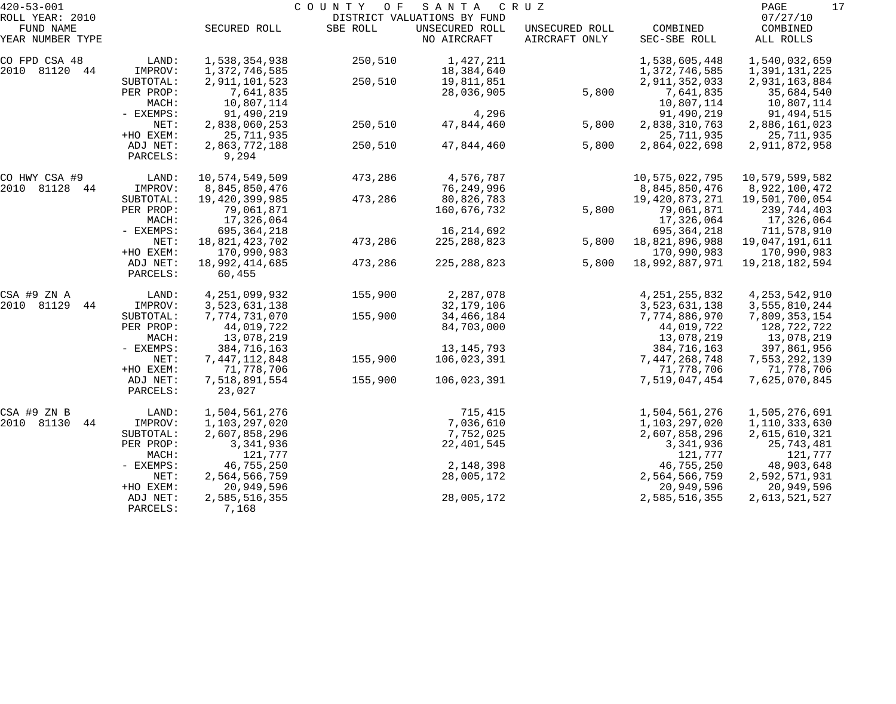| $420 - 53 - 001$             |           |                  | COUNTY OF | SANTA                                         | C R U Z        |                  | 17<br>PAGE           |
|------------------------------|-----------|------------------|-----------|-----------------------------------------------|----------------|------------------|----------------------|
| ROLL YEAR: 2010<br>FUND NAME |           | SECURED ROLL     | SBE ROLL  | DISTRICT VALUATIONS BY FUND<br>UNSECURED ROLL | UNSECURED ROLL | COMBINED         | 07/27/10<br>COMBINED |
| YEAR NUMBER TYPE             |           |                  |           | NO AIRCRAFT                                   | AIRCRAFT ONLY  | SEC-SBE ROLL     | ALL ROLLS            |
| CO FPD CSA 48                | LAND:     | 1,538,354,938    | 250,510   | 1,427,211                                     |                | 1,538,605,448    | 1,540,032,659        |
| 2010 81120<br>44             | IMPROV:   | 1,372,746,585    |           | 18,384,640                                    |                | 1,372,746,585    | 1,391,131,225        |
|                              | SUBTOTAL: | 2, 911, 101, 523 | 250,510   | 19,811,851                                    |                | 2,911,352,033    | 2,931,163,884        |
|                              | PER PROP: | 7,641,835        |           | 28,036,905                                    | 5,800          | 7,641,835        | 35,684,540           |
|                              | MACH:     | 10,807,114       |           |                                               |                | 10,807,114       | 10,807,114           |
|                              | - EXEMPS: | 91,490,219       |           | 4,296                                         |                | 91,490,219       | 91,494,515           |
|                              | NET:      | 2,838,060,253    | 250,510   | 47,844,460                                    | 5,800          | 2,838,310,763    | 2,886,161,023        |
|                              | +HO EXEM: | 25, 711, 935     |           |                                               |                | 25, 711, 935     | 25,711,935           |
|                              | ADJ NET:  | 2,863,772,188    | 250,510   | 47,844,460                                    | 5,800          | 2,864,022,698    | 2,911,872,958        |
|                              | PARCELS:  | 9,294            |           |                                               |                |                  |                      |
| CO HWY CSA #9                | LAND:     | 10,574,549,509   | 473,286   | 4,576,787                                     |                | 10,575,022,795   | 10,579,599,582       |
| 2010 81128<br>44             | IMPROV:   | 8,845,850,476    |           | 76, 249, 996                                  |                | 8,845,850,476    | 8,922,100,472        |
|                              | SUBTOTAL: | 19,420,399,985   | 473,286   | 80,826,783                                    |                | 19,420,873,271   | 19,501,700,054       |
|                              | PER PROP: | 79,061,871       |           | 160,676,732                                   | 5,800          | 79,061,871       | 239,744,403          |
|                              | MACH:     | 17,326,064       |           |                                               |                | 17,326,064       | 17,326,064           |
|                              | - EXEMPS: | 695, 364, 218    |           | 16, 214, 692                                  |                | 695, 364, 218    | 711,578,910          |
|                              | NET:      | 18,821,423,702   | 473,286   | 225, 288, 823                                 | 5,800          | 18,821,896,988   | 19,047,191,611       |
|                              | +HO EXEM: | 170,990,983      |           |                                               |                | 170,990,983      | 170,990,983          |
|                              | ADJ NET:  | 18,992,414,685   | 473,286   | 225, 288, 823                                 | 5,800          | 18,992,887,971   | 19, 218, 182, 594    |
|                              | PARCELS:  | 60,455           |           |                                               |                |                  |                      |
| CSA #9 ZN A                  | LAND:     | 4, 251, 099, 932 | 155,900   | 2,287,078                                     |                | 4, 251, 255, 832 | 4, 253, 542, 910     |
| 2010 81129<br>44             | IMPROV:   | 3,523,631,138    |           | 32, 179, 106                                  |                | 3,523,631,138    | 3,555,810,244        |
|                              | SUBTOTAL: | 7,774,731,070    | 155,900   | 34,466,184                                    |                | 7,774,886,970    | 7,809,353,154        |
|                              | PER PROP: | 44,019,722       |           | 84,703,000                                    |                | 44,019,722       | 128,722,722          |
|                              | MACH:     | 13,078,219       |           |                                               |                | 13,078,219       | 13,078,219           |
|                              | - EXEMPS: | 384,716,163      |           | 13, 145, 793                                  |                | 384,716,163      | 397,861,956          |
|                              | NET:      | 7,447,112,848    | 155,900   | 106,023,391                                   |                | 7,447,268,748    | 7,553,292,139        |
|                              | +HO EXEM: | 71,778,706       |           |                                               |                | 71,778,706       | 71,778,706           |
|                              | ADJ NET:  | 7,518,891,554    | 155,900   | 106,023,391                                   |                | 7,519,047,454    | 7,625,070,845        |
|                              | PARCELS:  | 23,027           |           |                                               |                |                  |                      |
| CSA #9 ZN B                  | LAND:     | 1,504,561,276    |           | 715,415                                       |                | 1,504,561,276    | 1,505,276,691        |
| 2010 81130<br>44             | IMPROV:   | 1,103,297,020    |           | 7,036,610                                     |                | 1,103,297,020    | 1,110,333,630        |
|                              | SUBTOTAL: | 2,607,858,296    |           | 7,752,025                                     |                | 2,607,858,296    | 2,615,610,321        |
|                              | PER PROP: | 3,341,936        |           | 22, 401, 545                                  |                | 3,341,936        | 25,743,481           |
|                              | MACH:     | 121,777          |           |                                               |                | 121,777          | 121,777              |
|                              | - EXEMPS: | 46,755,250       |           | 2,148,398                                     |                | 46,755,250       | 48,903,648           |
|                              | NET:      | 2,564,566,759    |           | 28,005,172                                    |                | 2,564,566,759    | 2,592,571,931        |
|                              | +HO EXEM: | 20,949,596       |           |                                               |                | 20,949,596       | 20,949,596           |
|                              | ADJ NET:  | 2,585,516,355    |           | 28,005,172                                    |                | 2,585,516,355    | 2,613,521,527        |
|                              | PARCELS:  | 7,168            |           |                                               |                |                  |                      |
|                              |           |                  |           |                                               |                |                  |                      |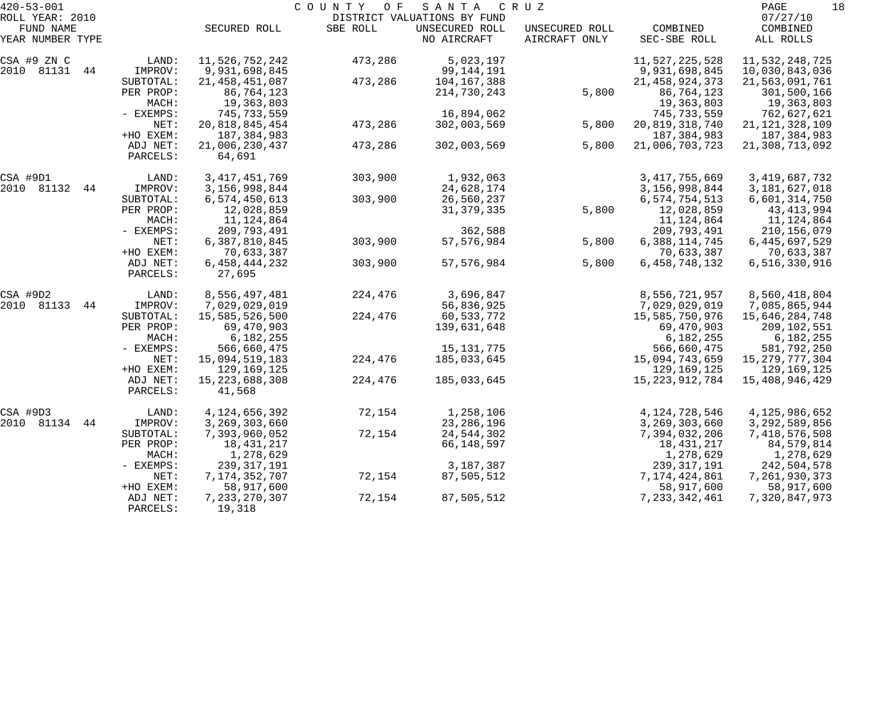| ROLL YEAR: 2010<br>DISTRICT VALUATIONS BY FUND<br>SBE ROLL<br>UNSECURED ROLL<br>FUND NAME<br>SECURED ROLL<br>COMBINED<br>UNSECURED ROLL<br>NO AIRCRAFT<br>YEAR NUMBER TYPE<br>AIRCRAFT ONLY<br>SEC-SBE ROLL<br>11,526,752,242<br>473,286<br>5,023,197<br>11,527,225,528<br>LAND:<br>IMPROV:<br>9,931,698,845<br>99,144,191<br>9,931,698,845<br>SUBTOTAL:<br>21, 458, 451, 087<br>473,286<br>104,167,388<br>21, 458, 924, 373<br>PER PROP:<br>86,764,123<br>5,800<br>86,764,123<br>214,730,243<br>19,363,803<br>19,363,803<br>MACH:<br>- EXEMPS:<br>745, 733, 559<br>16,894,062<br>745,733,559<br>NET:<br>20,818,845,454<br>473,286<br>302,003,569<br>5,800<br>20, 819, 318, 740<br>+HO EXEM:<br>187, 384, 983<br>187, 384, 983<br>ADJ NET:<br>21,006,230,437<br>473,286<br>302,003,569<br>5,800<br>21,006,703,723<br>64,691<br>PARCELS:<br>3, 417, 451, 769<br>303,900<br>1,932,063<br>3, 417, 755, 669<br>LAND:<br>IMPROV:<br>3, 156, 998, 844<br>24,628,174<br>3,156,998,844<br>44<br>6,574,450,613<br>303,900<br>26,560,237<br>6,574,754,513<br>SUBTOTAL:<br>5,800<br>PER PROP:<br>12,028,859<br>31, 379, 335<br>12,028,859 | PAGE<br>18<br>07/27/10           |
|--------------------------------------------------------------------------------------------------------------------------------------------------------------------------------------------------------------------------------------------------------------------------------------------------------------------------------------------------------------------------------------------------------------------------------------------------------------------------------------------------------------------------------------------------------------------------------------------------------------------------------------------------------------------------------------------------------------------------------------------------------------------------------------------------------------------------------------------------------------------------------------------------------------------------------------------------------------------------------------------------------------------------------------------------------------------------------------------------------------------------------|----------------------------------|
| CSA #9 ZN C<br>2010 81131 44<br>CSA #9D1<br>2010 81132                                                                                                                                                                                                                                                                                                                                                                                                                                                                                                                                                                                                                                                                                                                                                                                                                                                                                                                                                                                                                                                                         | COMBINED<br>ALL ROLLS            |
|                                                                                                                                                                                                                                                                                                                                                                                                                                                                                                                                                                                                                                                                                                                                                                                                                                                                                                                                                                                                                                                                                                                                | 11,532,248,725<br>10,030,843,036 |
|                                                                                                                                                                                                                                                                                                                                                                                                                                                                                                                                                                                                                                                                                                                                                                                                                                                                                                                                                                                                                                                                                                                                | 21,563,091,761<br>301,500,166    |
|                                                                                                                                                                                                                                                                                                                                                                                                                                                                                                                                                                                                                                                                                                                                                                                                                                                                                                                                                                                                                                                                                                                                | 19,363,803<br>762,627,621        |
|                                                                                                                                                                                                                                                                                                                                                                                                                                                                                                                                                                                                                                                                                                                                                                                                                                                                                                                                                                                                                                                                                                                                | 21, 121, 328, 109                |
|                                                                                                                                                                                                                                                                                                                                                                                                                                                                                                                                                                                                                                                                                                                                                                                                                                                                                                                                                                                                                                                                                                                                | 187,384,983<br>21,308,713,092    |
|                                                                                                                                                                                                                                                                                                                                                                                                                                                                                                                                                                                                                                                                                                                                                                                                                                                                                                                                                                                                                                                                                                                                |                                  |
|                                                                                                                                                                                                                                                                                                                                                                                                                                                                                                                                                                                                                                                                                                                                                                                                                                                                                                                                                                                                                                                                                                                                | 3, 419, 687, 732                 |
|                                                                                                                                                                                                                                                                                                                                                                                                                                                                                                                                                                                                                                                                                                                                                                                                                                                                                                                                                                                                                                                                                                                                | 3,181,627,018                    |
|                                                                                                                                                                                                                                                                                                                                                                                                                                                                                                                                                                                                                                                                                                                                                                                                                                                                                                                                                                                                                                                                                                                                | 6,601,314,750                    |
|                                                                                                                                                                                                                                                                                                                                                                                                                                                                                                                                                                                                                                                                                                                                                                                                                                                                                                                                                                                                                                                                                                                                | 43, 413, 994                     |
| MACH:<br>11,124,864<br>11,124,864                                                                                                                                                                                                                                                                                                                                                                                                                                                                                                                                                                                                                                                                                                                                                                                                                                                                                                                                                                                                                                                                                              | 11,124,864                       |
| - EXEMPS:<br>209,793,491<br>362,588<br>209,793,491                                                                                                                                                                                                                                                                                                                                                                                                                                                                                                                                                                                                                                                                                                                                                                                                                                                                                                                                                                                                                                                                             | 210,156,079                      |
| NET:<br>6,387,810,845<br>303,900<br>57, 576, 984<br>5,800<br>6,388,114,745                                                                                                                                                                                                                                                                                                                                                                                                                                                                                                                                                                                                                                                                                                                                                                                                                                                                                                                                                                                                                                                     | 6,445,697,529                    |
| +HO EXEM:<br>70,633,387<br>70,633,387                                                                                                                                                                                                                                                                                                                                                                                                                                                                                                                                                                                                                                                                                                                                                                                                                                                                                                                                                                                                                                                                                          | 70,633,387                       |
| 57, 576, 984<br>5,800<br>303,900<br>6,458,748,132<br>ADJ NET:<br>6, 458, 444, 232<br>27,695<br>PARCELS:                                                                                                                                                                                                                                                                                                                                                                                                                                                                                                                                                                                                                                                                                                                                                                                                                                                                                                                                                                                                                        | 6,516,330,916                    |
| 8,556,497,481<br>3,696,847<br>CSA #9D2<br>LAND:<br>224,476<br>8,556,721,957                                                                                                                                                                                                                                                                                                                                                                                                                                                                                                                                                                                                                                                                                                                                                                                                                                                                                                                                                                                                                                                    | 8,560,418,804                    |
| IMPROV:<br>7,029,029,019<br>56,836,925<br>2010 81133<br>7,029,029,019<br>44                                                                                                                                                                                                                                                                                                                                                                                                                                                                                                                                                                                                                                                                                                                                                                                                                                                                                                                                                                                                                                                    | 7,085,865,944                    |
| 15,585,526,500<br>224,476<br>60,533,772<br>15,585,750,976<br>SUBTOTAL:                                                                                                                                                                                                                                                                                                                                                                                                                                                                                                                                                                                                                                                                                                                                                                                                                                                                                                                                                                                                                                                         | 15,646,284,748                   |
| 69,470,903<br>PER PROP:<br>139,631,648<br>69,470,903                                                                                                                                                                                                                                                                                                                                                                                                                                                                                                                                                                                                                                                                                                                                                                                                                                                                                                                                                                                                                                                                           | 209,102,551                      |
| 6,182,255<br>MACH:<br>6,182,255                                                                                                                                                                                                                                                                                                                                                                                                                                                                                                                                                                                                                                                                                                                                                                                                                                                                                                                                                                                                                                                                                                | 6,182,255                        |
| - EXEMPS:<br>566,660,475<br>15,131,775<br>566,660,475                                                                                                                                                                                                                                                                                                                                                                                                                                                                                                                                                                                                                                                                                                                                                                                                                                                                                                                                                                                                                                                                          | 581,792,250                      |
| NET:<br>15,094,519,183<br>224,476<br>185,033,645<br>15,094,743,659                                                                                                                                                                                                                                                                                                                                                                                                                                                                                                                                                                                                                                                                                                                                                                                                                                                                                                                                                                                                                                                             | 15,279,777,304                   |
| +HO EXEM:<br>129,169,125<br>129,169,125                                                                                                                                                                                                                                                                                                                                                                                                                                                                                                                                                                                                                                                                                                                                                                                                                                                                                                                                                                                                                                                                                        | 129,169,125                      |
| 15, 223, 688, 308<br>224,476<br>185,033,645<br>ADJ NET:<br>15, 223, 912, 784<br>PARCELS:<br>41,568                                                                                                                                                                                                                                                                                                                                                                                                                                                                                                                                                                                                                                                                                                                                                                                                                                                                                                                                                                                                                             | 15,408,946,429                   |
| 72,154<br>1,258,106<br>CSA #9D3<br>LAND:<br>4, 124, 656, 392<br>4,124,728,546                                                                                                                                                                                                                                                                                                                                                                                                                                                                                                                                                                                                                                                                                                                                                                                                                                                                                                                                                                                                                                                  | 4, 125, 986, 652                 |
| 2010 81134<br>3,269,303,660<br>23, 286, 196<br>3, 269, 303, 660<br>44<br>IMPROV:                                                                                                                                                                                                                                                                                                                                                                                                                                                                                                                                                                                                                                                                                                                                                                                                                                                                                                                                                                                                                                               | 3, 292, 589, 856                 |
| 72,154<br>7,393,960,052<br>24,544,302<br>7,394,032,206<br>SUBTOTAL:                                                                                                                                                                                                                                                                                                                                                                                                                                                                                                                                                                                                                                                                                                                                                                                                                                                                                                                                                                                                                                                            | 7,418,576,508                    |
| 18,431,217<br>66,148,597<br>18,431,217<br>PER PROP:                                                                                                                                                                                                                                                                                                                                                                                                                                                                                                                                                                                                                                                                                                                                                                                                                                                                                                                                                                                                                                                                            | 84,579,814                       |
| 1,278,629<br>1,278,629<br>MACH:                                                                                                                                                                                                                                                                                                                                                                                                                                                                                                                                                                                                                                                                                                                                                                                                                                                                                                                                                                                                                                                                                                | 1,278,629                        |
| 3,187,387<br>239, 317, 191<br>239, 317, 191<br>- EXEMPS:                                                                                                                                                                                                                                                                                                                                                                                                                                                                                                                                                                                                                                                                                                                                                                                                                                                                                                                                                                                                                                                                       | 242,504,578                      |
| 7, 174, 352, 707<br>72,154<br>7,174,424,861<br>87,505,512<br>NET:                                                                                                                                                                                                                                                                                                                                                                                                                                                                                                                                                                                                                                                                                                                                                                                                                                                                                                                                                                                                                                                              | 7,261,930,373                    |
| 58,917,600<br>58,917,600<br>+HO EXEM:                                                                                                                                                                                                                                                                                                                                                                                                                                                                                                                                                                                                                                                                                                                                                                                                                                                                                                                                                                                                                                                                                          | 58,917,600                       |
| 87,505,512<br>7, 233, 270, 307<br>72,154<br>7, 233, 342, 461<br>ADJ NET:<br>19,318<br>PARCELS:                                                                                                                                                                                                                                                                                                                                                                                                                                                                                                                                                                                                                                                                                                                                                                                                                                                                                                                                                                                                                                 | 7,320,847,973                    |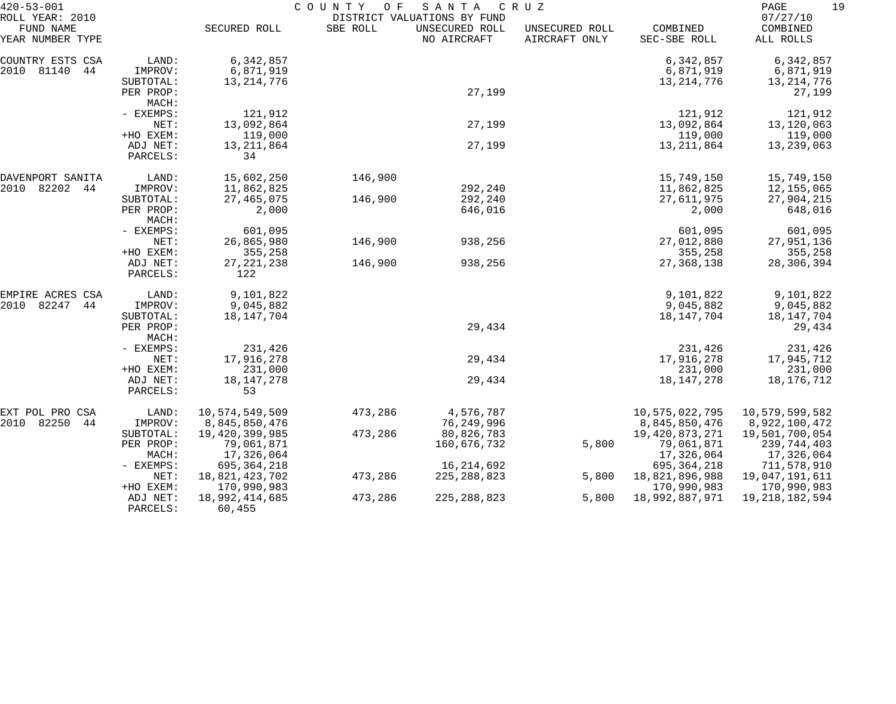| $420 - 53 - 001$                                 |                       |                               | COUNTY OF | SANTA                                                        | C R U Z                         |                          | PAGE<br>19                        |
|--------------------------------------------------|-----------------------|-------------------------------|-----------|--------------------------------------------------------------|---------------------------------|--------------------------|-----------------------------------|
| ROLL YEAR: 2010<br>FUND NAME<br>YEAR NUMBER TYPE |                       | SECURED ROLL                  | SBE ROLL  | DISTRICT VALUATIONS BY FUND<br>UNSECURED ROLL<br>NO AIRCRAFT | UNSECURED ROLL<br>AIRCRAFT ONLY | COMBINED<br>SEC-SBE ROLL | 07/27/10<br>COMBINED<br>ALL ROLLS |
| COUNTRY ESTS CSA                                 | LAND:                 | 6,342,857                     |           |                                                              |                                 | 6,342,857                | 6,342,857                         |
| 2010 81140<br>44                                 | IMPROV:               | 6,871,919                     |           |                                                              |                                 | 6,871,919                | 6,871,919                         |
|                                                  | SUBTOTAL:             | 13, 214, 776                  |           |                                                              |                                 | 13, 214, 776             | 13, 214, 776                      |
|                                                  | PER PROP:             |                               |           | 27,199                                                       |                                 |                          | 27,199                            |
|                                                  | MACH:<br>- EXEMPS:    | 121,912                       |           |                                                              |                                 |                          |                                   |
|                                                  | NET:                  | 13,092,864                    |           | 27,199                                                       |                                 | 121,912<br>13,092,864    | 121,912<br>13,120,063             |
|                                                  | +HO EXEM:             | 119,000                       |           |                                                              |                                 | 119,000                  | 119,000                           |
|                                                  | ADJ NET:              | 13, 211, 864                  |           | 27,199                                                       |                                 | 13, 211, 864             | 13,239,063                        |
|                                                  | PARCELS:              | 34                            |           |                                                              |                                 |                          |                                   |
| DAVENPORT SANITA                                 | LAND:                 | 15,602,250                    | 146,900   |                                                              |                                 | 15,749,150               | 15,749,150                        |
| 2010<br>82202<br>44                              | IMPROV:               | 11,862,825                    |           | 292,240                                                      |                                 | 11,862,825               | 12,155,065                        |
|                                                  | SUBTOTAL:             | 27, 465, 075                  | 146,900   | 292,240                                                      |                                 | 27,611,975               | 27,904,215                        |
|                                                  | PER PROP:<br>MACH:    | 2,000                         |           | 646,016                                                      |                                 | 2,000                    | 648,016                           |
|                                                  | - EXEMPS:             | 601,095                       |           |                                                              |                                 | 601,095                  | 601,095                           |
|                                                  | NET:                  | 26,865,980                    | 146,900   | 938,256                                                      |                                 | 27,012,880               | 27,951,136                        |
|                                                  | +HO EXEM:             | 355,258                       |           |                                                              |                                 | 355,258                  | 355,258                           |
|                                                  | ADJ NET:<br>PARCELS:  | 27, 221, 238<br>122           | 146,900   | 938,256                                                      |                                 | 27, 368, 138             | 28,306,394                        |
| EMPIRE ACRES CSA                                 | LAND:                 | 9,101,822                     |           |                                                              |                                 | 9,101,822                | 9,101,822                         |
| 2010<br>82247<br>44                              | IMPROV:               | 9,045,882                     |           |                                                              |                                 | 9,045,882                | 9,045,882                         |
|                                                  | SUBTOTAL:             | 18, 147, 704                  |           |                                                              |                                 | 18, 147, 704             | 18,147,704                        |
|                                                  | PER PROP:<br>MACH:    |                               |           | 29,434                                                       |                                 |                          | 29,434                            |
|                                                  | - EXEMPS:             | 231,426                       |           |                                                              |                                 | 231,426                  | 231,426                           |
|                                                  | NET:                  | 17,916,278                    |           | 29,434                                                       |                                 | 17,916,278               | 17,945,712                        |
|                                                  | +HO EXEM:             | 231,000                       |           |                                                              |                                 | 231,000                  | 231,000                           |
|                                                  | ADJ NET:<br>PARCELS:  | 18, 147, 278<br>53            |           | 29,434                                                       |                                 | 18, 147, 278             | 18,176,712                        |
| EXT POL PRO CSA                                  | LAND:                 | 10,574,549,509                | 473,286   | 4,576,787                                                    |                                 | 10,575,022,795           | 10,579,599,582                    |
| 2010 82250<br>44                                 | IMPROV:               | 8,845,850,476                 |           | 76, 249, 996                                                 |                                 | 8,845,850,476            | 8,922,100,472                     |
|                                                  | SUBTOTAL:             | 19,420,399,985                | 473,286   | 80,826,783                                                   |                                 | 19,420,873,271           | 19,501,700,054                    |
|                                                  | PER PROP:             | 79,061,871                    |           | 160,676,732                                                  | 5,800                           | 79,061,871               | 239,744,403                       |
|                                                  | MACH:                 | 17,326,064                    |           |                                                              |                                 | 17,326,064               | 17,326,064                        |
|                                                  | $-$ EXEMPS:           | 695,364,218                   |           | 16, 214, 692                                                 |                                 | 695, 364, 218            | 711,578,910                       |
|                                                  | NET:                  | 18,821,423,702                | 473,286   | 225, 288, 823                                                | 5,800                           | 18,821,896,988           | 19,047,191,611                    |
|                                                  | +HO EXEM:<br>ADJ NET: | 170,990,983<br>18,992,414,685 |           | 225, 288, 823                                                |                                 | 170,990,983              | 170,990,983                       |
|                                                  | PARCELS:              | 60,455                        | 473,286   |                                                              | 5,800                           | 18,992,887,971           | 19, 218, 182, 594                 |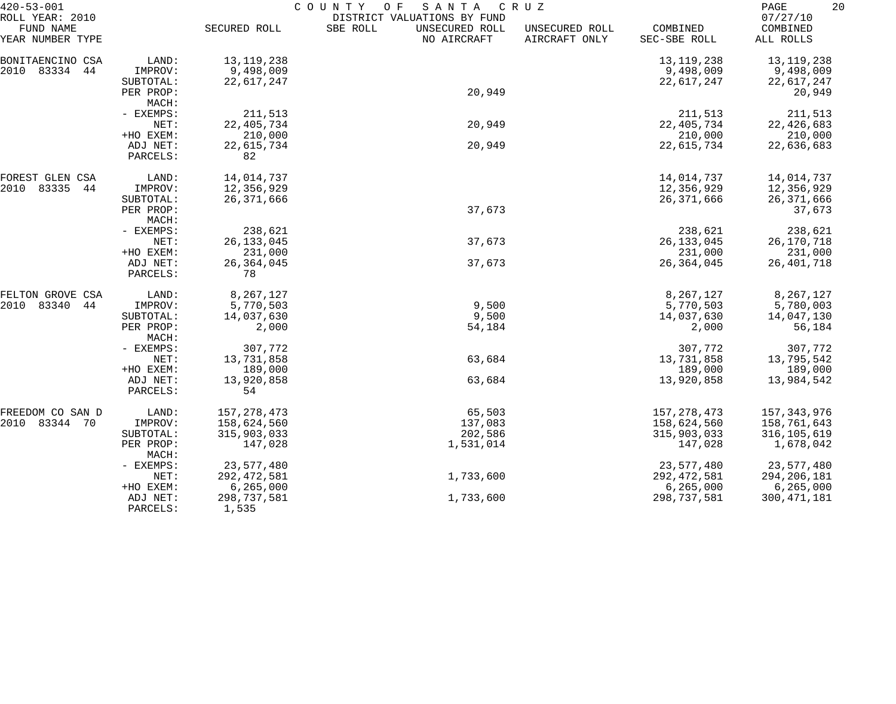| $420 - 53 - 001$                                 |                      | COUNTY<br>O F<br>SANTA<br>C R U Z |                                                                          |                                 |                          |                                   |  |
|--------------------------------------------------|----------------------|-----------------------------------|--------------------------------------------------------------------------|---------------------------------|--------------------------|-----------------------------------|--|
| ROLL YEAR: 2010<br>FUND NAME<br>YEAR NUMBER TYPE |                      | SECURED ROLL                      | DISTRICT VALUATIONS BY FUND<br>SBE ROLL<br>UNSECURED ROLL<br>NO AIRCRAFT | UNSECURED ROLL<br>AIRCRAFT ONLY | COMBINED<br>SEC-SBE ROLL | 07/27/10<br>COMBINED<br>ALL ROLLS |  |
| BONITAENCINO CSA                                 | LAND:                | 13, 119, 238                      |                                                                          |                                 | 13, 119, 238             | 13, 119, 238                      |  |
| 2010 83334 44                                    | IMPROV:              | 9,498,009                         |                                                                          |                                 | 9,498,009                | 9,498,009                         |  |
|                                                  | SUBTOTAL:            | 22,617,247                        |                                                                          |                                 | 22,617,247               | 22,617,247                        |  |
|                                                  | PER PROP:            |                                   | 20,949                                                                   |                                 |                          | 20,949                            |  |
|                                                  | MACH:                |                                   |                                                                          |                                 |                          |                                   |  |
|                                                  | - EXEMPS:            | 211,513                           |                                                                          |                                 | 211,513                  | 211,513                           |  |
|                                                  | NET:                 | 22, 405, 734                      | 20,949                                                                   |                                 | 22, 405, 734             | 22, 426, 683                      |  |
|                                                  | +HO EXEM:            | 210,000                           |                                                                          |                                 | 210,000                  | 210,000                           |  |
|                                                  | ADJ NET:             | 22,615,734                        | 20,949                                                                   |                                 | 22,615,734               | 22,636,683                        |  |
|                                                  | PARCELS:             | 82                                |                                                                          |                                 |                          |                                   |  |
| FOREST GLEN CSA                                  | LAND:                | 14,014,737                        |                                                                          |                                 | 14,014,737               | 14,014,737                        |  |
| 2010<br>83335<br>44                              | IMPROV:              | 12,356,929                        |                                                                          |                                 | 12,356,929               | 12,356,929                        |  |
|                                                  | SUBTOTAL:            | 26, 371, 666                      |                                                                          |                                 | 26, 371, 666             | 26, 371, 666                      |  |
|                                                  | PER PROP:            |                                   | 37,673                                                                   |                                 |                          | 37,673                            |  |
|                                                  | MACH:                |                                   |                                                                          |                                 |                          |                                   |  |
|                                                  | - EXEMPS:            | 238,621                           |                                                                          |                                 | 238,621                  | 238,621                           |  |
|                                                  | NET:                 | 26, 133, 045                      | 37,673                                                                   |                                 | 26, 133, 045             | 26,170,718                        |  |
|                                                  | +HO EXEM:            | 231,000                           |                                                                          |                                 | 231,000                  | 231,000                           |  |
|                                                  | ADJ NET:<br>PARCELS: | 26, 364, 045<br>78                | 37,673                                                                   |                                 | 26, 364, 045             | 26,401,718                        |  |
| FELTON GROVE CSA                                 | LAND:                | 8,267,127                         |                                                                          |                                 | 8,267,127                | 8,267,127                         |  |
| 2010<br>83340<br>44                              | IMPROV:              | 5,770,503                         | 9,500                                                                    |                                 | 5,770,503                | 5,780,003                         |  |
|                                                  | SUBTOTAL:            | 14,037,630                        | 9,500                                                                    |                                 | 14,037,630               | 14,047,130                        |  |
|                                                  | PER PROP:<br>MACH:   | 2,000                             | 54,184                                                                   |                                 | 2,000                    | 56,184                            |  |
|                                                  | - EXEMPS:            | 307,772                           |                                                                          |                                 | 307,772                  | 307,772                           |  |
|                                                  | NET:                 | 13,731,858                        | 63,684                                                                   |                                 | 13,731,858               | 13,795,542                        |  |
|                                                  | +HO EXEM:            | 189,000                           |                                                                          |                                 | 189,000                  | 189,000                           |  |
|                                                  | ADJ NET:             | 13,920,858                        | 63,684                                                                   |                                 | 13,920,858               | 13,984,542                        |  |
|                                                  | PARCELS:             | 54                                |                                                                          |                                 |                          |                                   |  |
| FREEDOM CO SAN D                                 | LAND:                | 157, 278, 473                     | 65,503                                                                   |                                 | 157, 278, 473            | 157,343,976                       |  |
| 2010 83344 70                                    | IMPROV:              | 158,624,560                       | 137,083                                                                  |                                 | 158,624,560              | 158,761,643                       |  |
|                                                  | SUBTOTAL:            | 315,903,033                       | 202,586                                                                  |                                 | 315,903,033              | 316, 105, 619                     |  |
|                                                  | PER PROP:<br>MACH:   | 147,028                           | 1,531,014                                                                |                                 | 147,028                  | 1,678,042                         |  |
|                                                  | - EXEMPS:            | 23,577,480                        |                                                                          |                                 | 23,577,480               | 23,577,480                        |  |
|                                                  | NET:                 | 292, 472, 581                     | 1,733,600                                                                |                                 | 292, 472, 581            | 294, 206, 181                     |  |
|                                                  | +HO EXEM:            | 6, 265, 000                       |                                                                          |                                 | 6, 265, 000              | 6, 265, 000                       |  |
|                                                  | ADJ NET:<br>PARCELS: | 298,737,581<br>1,535              | 1,733,600                                                                |                                 | 298,737,581              | 300, 471, 181                     |  |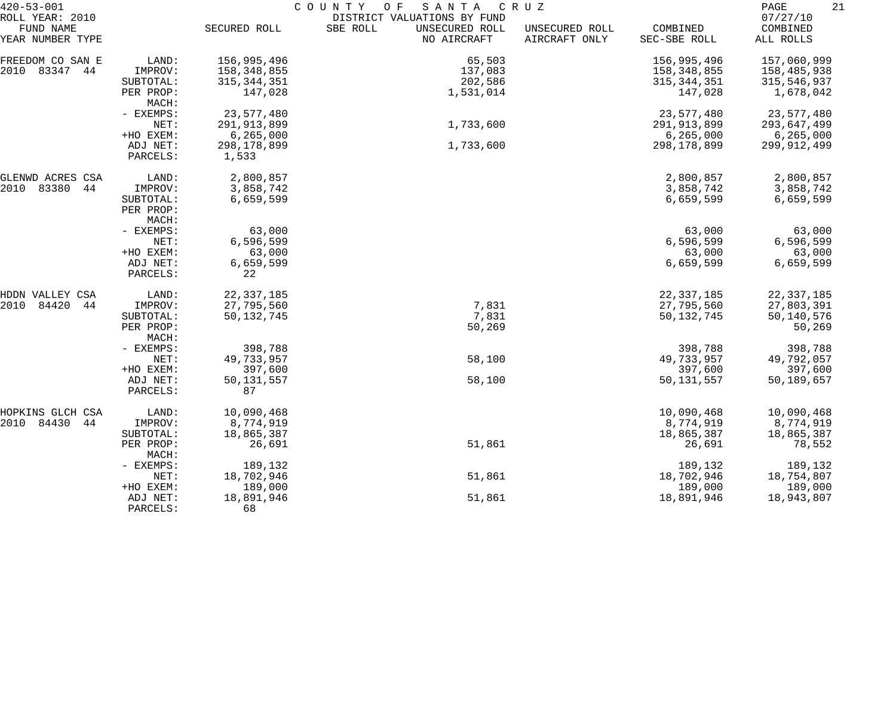| $420 - 53 - 001$                                 |                    | COUNTY OF<br>SANTA<br>C R U Z |                                                                          |                                 |                          |                                   |  |  |
|--------------------------------------------------|--------------------|-------------------------------|--------------------------------------------------------------------------|---------------------------------|--------------------------|-----------------------------------|--|--|
| ROLL YEAR: 2010<br>FUND NAME<br>YEAR NUMBER TYPE |                    | SECURED ROLL                  | DISTRICT VALUATIONS BY FUND<br>SBE ROLL<br>UNSECURED ROLL<br>NO AIRCRAFT | UNSECURED ROLL<br>AIRCRAFT ONLY | COMBINED<br>SEC-SBE ROLL | 07/27/10<br>COMBINED<br>ALL ROLLS |  |  |
|                                                  |                    |                               |                                                                          |                                 |                          |                                   |  |  |
| FREEDOM CO SAN E                                 | LAND:              | 156,995,496                   | 65,503                                                                   |                                 | 156,995,496              | 157,060,999                       |  |  |
| 2010 83347 44                                    | IMPROV:            | 158,348,855                   | 137,083                                                                  |                                 | 158,348,855              | 158,485,938                       |  |  |
|                                                  | SUBTOTAL:          | 315, 344, 351                 | 202,586                                                                  |                                 | 315, 344, 351            | 315,546,937                       |  |  |
|                                                  | PER PROP:<br>MACH: | 147,028                       | 1,531,014                                                                |                                 | 147,028                  | 1,678,042                         |  |  |
|                                                  | - EXEMPS:          | 23,577,480                    |                                                                          |                                 | 23,577,480               | 23,577,480                        |  |  |
|                                                  | NET:               | 291, 913, 899                 | 1,733,600                                                                |                                 | 291, 913, 899            | 293,647,499                       |  |  |
|                                                  | +HO EXEM:          | 6, 265, 000                   |                                                                          |                                 | 6, 265, 000              | 6, 265, 000                       |  |  |
|                                                  | ADJ NET:           | 298, 178, 899                 | 1,733,600                                                                |                                 | 298, 178, 899            | 299,912,499                       |  |  |
|                                                  | PARCELS:           | 1,533                         |                                                                          |                                 |                          |                                   |  |  |
| GLENWD ACRES CSA                                 | LAND:              | 2,800,857                     |                                                                          |                                 | 2,800,857                | 2,800,857                         |  |  |
| 83380<br>2010<br>44                              | IMPROV:            | 3,858,742                     |                                                                          |                                 | 3,858,742                | 3,858,742                         |  |  |
|                                                  | SUBTOTAL:          | 6,659,599                     |                                                                          |                                 | 6,659,599                | 6,659,599                         |  |  |
|                                                  | PER PROP:<br>MACH: |                               |                                                                          |                                 |                          |                                   |  |  |
|                                                  | - EXEMPS:          | 63,000                        |                                                                          |                                 | 63,000                   | 63,000                            |  |  |
|                                                  | NET:               | 6,596,599                     |                                                                          |                                 | 6,596,599                | 6,596,599                         |  |  |
|                                                  | +HO EXEM:          | 63,000                        |                                                                          |                                 | 63,000                   | 63,000                            |  |  |
|                                                  | ADJ NET:           | 6,659,599                     |                                                                          |                                 | 6,659,599                | 6,659,599                         |  |  |
|                                                  | PARCELS:           | 22                            |                                                                          |                                 |                          |                                   |  |  |
| HDDN VALLEY CSA                                  | LAND:              | 22, 337, 185                  |                                                                          |                                 | 22, 337, 185             | 22, 337, 185                      |  |  |
| 2010<br>84420<br>44                              | IMPROV:            | 27,795,560                    | 7,831                                                                    |                                 | 27,795,560               | 27,803,391                        |  |  |
|                                                  | SUBTOTAL:          | 50, 132, 745                  | 7,831                                                                    |                                 | 50, 132, 745             | 50,140,576                        |  |  |
|                                                  | PER PROP:<br>MACH: |                               | 50,269                                                                   |                                 |                          | 50,269                            |  |  |
|                                                  | - EXEMPS:          | 398,788                       |                                                                          |                                 | 398,788                  | 398,788                           |  |  |
|                                                  | NET:               | 49,733,957                    | 58,100                                                                   |                                 | 49,733,957               | 49,792,057                        |  |  |
|                                                  | +HO EXEM:          | 397,600                       |                                                                          |                                 | 397,600                  | 397,600                           |  |  |
|                                                  | ADJ NET:           | 50, 131, 557                  | 58,100                                                                   |                                 | 50, 131, 557             | 50,189,657                        |  |  |
|                                                  | PARCELS:           | 87                            |                                                                          |                                 |                          |                                   |  |  |
| HOPKINS GLCH CSA                                 | LAND:              | 10,090,468                    |                                                                          |                                 | 10,090,468               | 10,090,468                        |  |  |
| 2010 84430<br>44                                 | IMPROV:            | 8,774,919                     |                                                                          |                                 | 8,774,919                | 8,774,919                         |  |  |
|                                                  | SUBTOTAL:          | 18,865,387                    |                                                                          |                                 | 18,865,387               | 18,865,387                        |  |  |
|                                                  | PER PROP:<br>MACH: | 26,691                        | 51,861                                                                   |                                 | 26,691                   | 78,552                            |  |  |
|                                                  | - EXEMPS:          | 189,132                       |                                                                          |                                 | 189,132                  | 189,132                           |  |  |
|                                                  | NET:               | 18,702,946                    | 51,861                                                                   |                                 | 18,702,946               | 18,754,807                        |  |  |
|                                                  | +HO EXEM:          | 189,000                       |                                                                          |                                 | 189,000                  | 189,000                           |  |  |
|                                                  | ADJ NET:           | 18,891,946                    | 51,861                                                                   |                                 | 18,891,946               | 18,943,807                        |  |  |
|                                                  | PARCELS:           | 68                            |                                                                          |                                 |                          |                                   |  |  |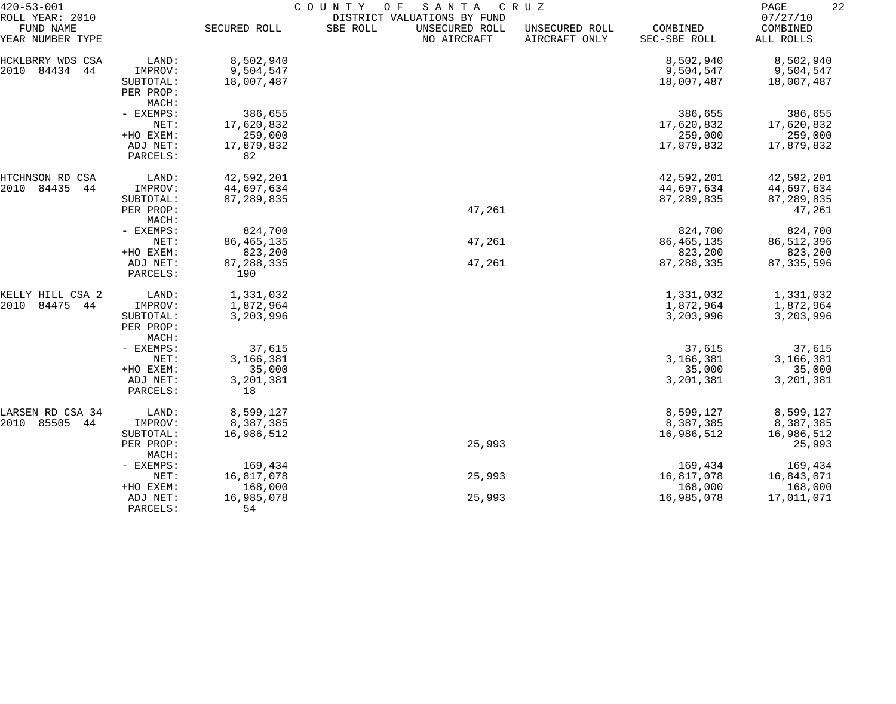| 07/27/10<br>DISTRICT VALUATIONS BY FUND<br>FUND NAME<br>SECURED ROLL<br>SBE ROLL<br>UNSECURED ROLL<br>COMBINED<br>COMBINED<br>UNSECURED ROLL<br>NO AIRCRAFT<br>AIRCRAFT ONLY<br>SEC-SBE ROLL<br>ALL ROLLS<br>8,502,940<br>8,502,940<br>LAND:<br>8,502,940<br>HCKLBRRY WDS CSA<br>84434<br>2010<br>44<br>IMPROV:<br>9,504,547<br>9,504,547<br>9,504,547<br>18,007,487<br>18,007,487<br>SUBTOTAL:<br>18,007,487<br>PER PROP:<br>MACH:<br>386,655<br>386,655<br>386,655<br>- EXEMPS:<br>17,620,832<br>NET:<br>17,620,832<br>17,620,832<br>259,000<br>259,000<br>+HO EXEM:<br>259,000<br>17,879,832<br>17,879,832<br>ADJ NET:<br>17,879,832<br>82<br>PARCELS:<br>LAND:<br>42,592,201<br>42,592,201<br>42,592,201<br>84435<br>44<br>44,697,634<br>44,697,634<br>44,697,634<br>IMPROV:<br>87,289,835<br>87,289,835<br>87,289,835<br>SUBTOTAL:<br>47,261<br>PER PROP:<br>47,261<br>MACH:<br>824,700<br>824,700<br>- EXEMPS:<br>824,700<br>86, 465, 135<br>47,261<br>86, 465, 135<br>86, 512, 396<br>NET:<br>823,200<br>823,200<br>+HO EXEM:<br>823,200<br>87, 288, 335<br>47,261<br>87, 288, 335<br>87, 335, 596<br>ADJ NET:<br>190<br>PARCELS:<br>1,331,032<br>1,331,032<br>1,331,032<br>KELLY HILL CSA 2<br>LAND:<br>84475<br>2010<br>44<br>1,872,964<br>1,872,964<br>1,872,964<br>IMPROV:<br>3,203,996<br>3,203,996<br>3,203,996<br>SUBTOTAL:<br>PER PROP:<br>MACH:<br>37,615<br>37,615<br>37,615<br>- EXEMPS:<br>3,166,381<br>3,166,381<br>3,166,381<br>NET:<br>+HO EXEM:<br>35,000<br>35,000<br>35,000<br>3,201,381<br>3,201,381<br>3,201,381<br>ADJ NET:<br>18<br>PARCELS:<br>8,599,127<br>8,599,127<br>LARSEN RD CSA 34<br>LAND:<br>8,599,127<br>2010<br>85505<br>8,387,385<br>8,387,385<br>44<br>IMPROV:<br>8,387,385<br>16,986,512<br>16,986,512<br>16,986,512<br>SUBTOTAL:<br>25,993<br>25,993<br>PER PROP:<br>MACH:<br>169,434<br>169,434<br>169,434<br>- EXEMPS:<br>16,817,078<br>25,993<br>16,817,078<br>16,843,071<br>NET:<br>168,000<br>168,000<br>168,000<br>+HO EXEM:<br>16,985,078<br>25,993<br>16,985,078<br>17,011,071<br>ADJ NET:<br>54<br>PARCELS: | $420 - 53 - 001$ | COUNTY<br>O F<br>SANTA<br>C R U Z |  |  |  |  |  |  |
|-------------------------------------------------------------------------------------------------------------------------------------------------------------------------------------------------------------------------------------------------------------------------------------------------------------------------------------------------------------------------------------------------------------------------------------------------------------------------------------------------------------------------------------------------------------------------------------------------------------------------------------------------------------------------------------------------------------------------------------------------------------------------------------------------------------------------------------------------------------------------------------------------------------------------------------------------------------------------------------------------------------------------------------------------------------------------------------------------------------------------------------------------------------------------------------------------------------------------------------------------------------------------------------------------------------------------------------------------------------------------------------------------------------------------------------------------------------------------------------------------------------------------------------------------------------------------------------------------------------------------------------------------------------------------------------------------------------------------------------------------------------------------------------------------------------------------------------------------------------------------------------------------------------------------------------------------------------------------------------------------------------------------------------------------------------------|------------------|-----------------------------------|--|--|--|--|--|--|
|                                                                                                                                                                                                                                                                                                                                                                                                                                                                                                                                                                                                                                                                                                                                                                                                                                                                                                                                                                                                                                                                                                                                                                                                                                                                                                                                                                                                                                                                                                                                                                                                                                                                                                                                                                                                                                                                                                                                                                                                                                                                   | ROLL YEAR: 2010  |                                   |  |  |  |  |  |  |
|                                                                                                                                                                                                                                                                                                                                                                                                                                                                                                                                                                                                                                                                                                                                                                                                                                                                                                                                                                                                                                                                                                                                                                                                                                                                                                                                                                                                                                                                                                                                                                                                                                                                                                                                                                                                                                                                                                                                                                                                                                                                   | YEAR NUMBER TYPE |                                   |  |  |  |  |  |  |
|                                                                                                                                                                                                                                                                                                                                                                                                                                                                                                                                                                                                                                                                                                                                                                                                                                                                                                                                                                                                                                                                                                                                                                                                                                                                                                                                                                                                                                                                                                                                                                                                                                                                                                                                                                                                                                                                                                                                                                                                                                                                   |                  |                                   |  |  |  |  |  |  |
|                                                                                                                                                                                                                                                                                                                                                                                                                                                                                                                                                                                                                                                                                                                                                                                                                                                                                                                                                                                                                                                                                                                                                                                                                                                                                                                                                                                                                                                                                                                                                                                                                                                                                                                                                                                                                                                                                                                                                                                                                                                                   |                  |                                   |  |  |  |  |  |  |
|                                                                                                                                                                                                                                                                                                                                                                                                                                                                                                                                                                                                                                                                                                                                                                                                                                                                                                                                                                                                                                                                                                                                                                                                                                                                                                                                                                                                                                                                                                                                                                                                                                                                                                                                                                                                                                                                                                                                                                                                                                                                   |                  |                                   |  |  |  |  |  |  |
|                                                                                                                                                                                                                                                                                                                                                                                                                                                                                                                                                                                                                                                                                                                                                                                                                                                                                                                                                                                                                                                                                                                                                                                                                                                                                                                                                                                                                                                                                                                                                                                                                                                                                                                                                                                                                                                                                                                                                                                                                                                                   |                  |                                   |  |  |  |  |  |  |
|                                                                                                                                                                                                                                                                                                                                                                                                                                                                                                                                                                                                                                                                                                                                                                                                                                                                                                                                                                                                                                                                                                                                                                                                                                                                                                                                                                                                                                                                                                                                                                                                                                                                                                                                                                                                                                                                                                                                                                                                                                                                   |                  |                                   |  |  |  |  |  |  |
|                                                                                                                                                                                                                                                                                                                                                                                                                                                                                                                                                                                                                                                                                                                                                                                                                                                                                                                                                                                                                                                                                                                                                                                                                                                                                                                                                                                                                                                                                                                                                                                                                                                                                                                                                                                                                                                                                                                                                                                                                                                                   |                  |                                   |  |  |  |  |  |  |
|                                                                                                                                                                                                                                                                                                                                                                                                                                                                                                                                                                                                                                                                                                                                                                                                                                                                                                                                                                                                                                                                                                                                                                                                                                                                                                                                                                                                                                                                                                                                                                                                                                                                                                                                                                                                                                                                                                                                                                                                                                                                   |                  |                                   |  |  |  |  |  |  |
|                                                                                                                                                                                                                                                                                                                                                                                                                                                                                                                                                                                                                                                                                                                                                                                                                                                                                                                                                                                                                                                                                                                                                                                                                                                                                                                                                                                                                                                                                                                                                                                                                                                                                                                                                                                                                                                                                                                                                                                                                                                                   |                  |                                   |  |  |  |  |  |  |
|                                                                                                                                                                                                                                                                                                                                                                                                                                                                                                                                                                                                                                                                                                                                                                                                                                                                                                                                                                                                                                                                                                                                                                                                                                                                                                                                                                                                                                                                                                                                                                                                                                                                                                                                                                                                                                                                                                                                                                                                                                                                   |                  |                                   |  |  |  |  |  |  |
|                                                                                                                                                                                                                                                                                                                                                                                                                                                                                                                                                                                                                                                                                                                                                                                                                                                                                                                                                                                                                                                                                                                                                                                                                                                                                                                                                                                                                                                                                                                                                                                                                                                                                                                                                                                                                                                                                                                                                                                                                                                                   |                  |                                   |  |  |  |  |  |  |
|                                                                                                                                                                                                                                                                                                                                                                                                                                                                                                                                                                                                                                                                                                                                                                                                                                                                                                                                                                                                                                                                                                                                                                                                                                                                                                                                                                                                                                                                                                                                                                                                                                                                                                                                                                                                                                                                                                                                                                                                                                                                   |                  |                                   |  |  |  |  |  |  |
|                                                                                                                                                                                                                                                                                                                                                                                                                                                                                                                                                                                                                                                                                                                                                                                                                                                                                                                                                                                                                                                                                                                                                                                                                                                                                                                                                                                                                                                                                                                                                                                                                                                                                                                                                                                                                                                                                                                                                                                                                                                                   | HTCHNSON RD CSA  |                                   |  |  |  |  |  |  |
|                                                                                                                                                                                                                                                                                                                                                                                                                                                                                                                                                                                                                                                                                                                                                                                                                                                                                                                                                                                                                                                                                                                                                                                                                                                                                                                                                                                                                                                                                                                                                                                                                                                                                                                                                                                                                                                                                                                                                                                                                                                                   | 2010             |                                   |  |  |  |  |  |  |
|                                                                                                                                                                                                                                                                                                                                                                                                                                                                                                                                                                                                                                                                                                                                                                                                                                                                                                                                                                                                                                                                                                                                                                                                                                                                                                                                                                                                                                                                                                                                                                                                                                                                                                                                                                                                                                                                                                                                                                                                                                                                   |                  |                                   |  |  |  |  |  |  |
|                                                                                                                                                                                                                                                                                                                                                                                                                                                                                                                                                                                                                                                                                                                                                                                                                                                                                                                                                                                                                                                                                                                                                                                                                                                                                                                                                                                                                                                                                                                                                                                                                                                                                                                                                                                                                                                                                                                                                                                                                                                                   |                  |                                   |  |  |  |  |  |  |
|                                                                                                                                                                                                                                                                                                                                                                                                                                                                                                                                                                                                                                                                                                                                                                                                                                                                                                                                                                                                                                                                                                                                                                                                                                                                                                                                                                                                                                                                                                                                                                                                                                                                                                                                                                                                                                                                                                                                                                                                                                                                   |                  |                                   |  |  |  |  |  |  |
|                                                                                                                                                                                                                                                                                                                                                                                                                                                                                                                                                                                                                                                                                                                                                                                                                                                                                                                                                                                                                                                                                                                                                                                                                                                                                                                                                                                                                                                                                                                                                                                                                                                                                                                                                                                                                                                                                                                                                                                                                                                                   |                  |                                   |  |  |  |  |  |  |
|                                                                                                                                                                                                                                                                                                                                                                                                                                                                                                                                                                                                                                                                                                                                                                                                                                                                                                                                                                                                                                                                                                                                                                                                                                                                                                                                                                                                                                                                                                                                                                                                                                                                                                                                                                                                                                                                                                                                                                                                                                                                   |                  |                                   |  |  |  |  |  |  |
|                                                                                                                                                                                                                                                                                                                                                                                                                                                                                                                                                                                                                                                                                                                                                                                                                                                                                                                                                                                                                                                                                                                                                                                                                                                                                                                                                                                                                                                                                                                                                                                                                                                                                                                                                                                                                                                                                                                                                                                                                                                                   |                  |                                   |  |  |  |  |  |  |
|                                                                                                                                                                                                                                                                                                                                                                                                                                                                                                                                                                                                                                                                                                                                                                                                                                                                                                                                                                                                                                                                                                                                                                                                                                                                                                                                                                                                                                                                                                                                                                                                                                                                                                                                                                                                                                                                                                                                                                                                                                                                   |                  |                                   |  |  |  |  |  |  |
|                                                                                                                                                                                                                                                                                                                                                                                                                                                                                                                                                                                                                                                                                                                                                                                                                                                                                                                                                                                                                                                                                                                                                                                                                                                                                                                                                                                                                                                                                                                                                                                                                                                                                                                                                                                                                                                                                                                                                                                                                                                                   |                  |                                   |  |  |  |  |  |  |
|                                                                                                                                                                                                                                                                                                                                                                                                                                                                                                                                                                                                                                                                                                                                                                                                                                                                                                                                                                                                                                                                                                                                                                                                                                                                                                                                                                                                                                                                                                                                                                                                                                                                                                                                                                                                                                                                                                                                                                                                                                                                   |                  |                                   |  |  |  |  |  |  |
|                                                                                                                                                                                                                                                                                                                                                                                                                                                                                                                                                                                                                                                                                                                                                                                                                                                                                                                                                                                                                                                                                                                                                                                                                                                                                                                                                                                                                                                                                                                                                                                                                                                                                                                                                                                                                                                                                                                                                                                                                                                                   |                  |                                   |  |  |  |  |  |  |
|                                                                                                                                                                                                                                                                                                                                                                                                                                                                                                                                                                                                                                                                                                                                                                                                                                                                                                                                                                                                                                                                                                                                                                                                                                                                                                                                                                                                                                                                                                                                                                                                                                                                                                                                                                                                                                                                                                                                                                                                                                                                   |                  |                                   |  |  |  |  |  |  |
|                                                                                                                                                                                                                                                                                                                                                                                                                                                                                                                                                                                                                                                                                                                                                                                                                                                                                                                                                                                                                                                                                                                                                                                                                                                                                                                                                                                                                                                                                                                                                                                                                                                                                                                                                                                                                                                                                                                                                                                                                                                                   |                  |                                   |  |  |  |  |  |  |
|                                                                                                                                                                                                                                                                                                                                                                                                                                                                                                                                                                                                                                                                                                                                                                                                                                                                                                                                                                                                                                                                                                                                                                                                                                                                                                                                                                                                                                                                                                                                                                                                                                                                                                                                                                                                                                                                                                                                                                                                                                                                   |                  |                                   |  |  |  |  |  |  |
|                                                                                                                                                                                                                                                                                                                                                                                                                                                                                                                                                                                                                                                                                                                                                                                                                                                                                                                                                                                                                                                                                                                                                                                                                                                                                                                                                                                                                                                                                                                                                                                                                                                                                                                                                                                                                                                                                                                                                                                                                                                                   |                  |                                   |  |  |  |  |  |  |
|                                                                                                                                                                                                                                                                                                                                                                                                                                                                                                                                                                                                                                                                                                                                                                                                                                                                                                                                                                                                                                                                                                                                                                                                                                                                                                                                                                                                                                                                                                                                                                                                                                                                                                                                                                                                                                                                                                                                                                                                                                                                   |                  |                                   |  |  |  |  |  |  |
|                                                                                                                                                                                                                                                                                                                                                                                                                                                                                                                                                                                                                                                                                                                                                                                                                                                                                                                                                                                                                                                                                                                                                                                                                                                                                                                                                                                                                                                                                                                                                                                                                                                                                                                                                                                                                                                                                                                                                                                                                                                                   |                  |                                   |  |  |  |  |  |  |
|                                                                                                                                                                                                                                                                                                                                                                                                                                                                                                                                                                                                                                                                                                                                                                                                                                                                                                                                                                                                                                                                                                                                                                                                                                                                                                                                                                                                                                                                                                                                                                                                                                                                                                                                                                                                                                                                                                                                                                                                                                                                   |                  |                                   |  |  |  |  |  |  |
|                                                                                                                                                                                                                                                                                                                                                                                                                                                                                                                                                                                                                                                                                                                                                                                                                                                                                                                                                                                                                                                                                                                                                                                                                                                                                                                                                                                                                                                                                                                                                                                                                                                                                                                                                                                                                                                                                                                                                                                                                                                                   |                  |                                   |  |  |  |  |  |  |
|                                                                                                                                                                                                                                                                                                                                                                                                                                                                                                                                                                                                                                                                                                                                                                                                                                                                                                                                                                                                                                                                                                                                                                                                                                                                                                                                                                                                                                                                                                                                                                                                                                                                                                                                                                                                                                                                                                                                                                                                                                                                   |                  |                                   |  |  |  |  |  |  |
|                                                                                                                                                                                                                                                                                                                                                                                                                                                                                                                                                                                                                                                                                                                                                                                                                                                                                                                                                                                                                                                                                                                                                                                                                                                                                                                                                                                                                                                                                                                                                                                                                                                                                                                                                                                                                                                                                                                                                                                                                                                                   |                  |                                   |  |  |  |  |  |  |
|                                                                                                                                                                                                                                                                                                                                                                                                                                                                                                                                                                                                                                                                                                                                                                                                                                                                                                                                                                                                                                                                                                                                                                                                                                                                                                                                                                                                                                                                                                                                                                                                                                                                                                                                                                                                                                                                                                                                                                                                                                                                   |                  |                                   |  |  |  |  |  |  |
|                                                                                                                                                                                                                                                                                                                                                                                                                                                                                                                                                                                                                                                                                                                                                                                                                                                                                                                                                                                                                                                                                                                                                                                                                                                                                                                                                                                                                                                                                                                                                                                                                                                                                                                                                                                                                                                                                                                                                                                                                                                                   |                  |                                   |  |  |  |  |  |  |
|                                                                                                                                                                                                                                                                                                                                                                                                                                                                                                                                                                                                                                                                                                                                                                                                                                                                                                                                                                                                                                                                                                                                                                                                                                                                                                                                                                                                                                                                                                                                                                                                                                                                                                                                                                                                                                                                                                                                                                                                                                                                   |                  |                                   |  |  |  |  |  |  |
|                                                                                                                                                                                                                                                                                                                                                                                                                                                                                                                                                                                                                                                                                                                                                                                                                                                                                                                                                                                                                                                                                                                                                                                                                                                                                                                                                                                                                                                                                                                                                                                                                                                                                                                                                                                                                                                                                                                                                                                                                                                                   |                  |                                   |  |  |  |  |  |  |
|                                                                                                                                                                                                                                                                                                                                                                                                                                                                                                                                                                                                                                                                                                                                                                                                                                                                                                                                                                                                                                                                                                                                                                                                                                                                                                                                                                                                                                                                                                                                                                                                                                                                                                                                                                                                                                                                                                                                                                                                                                                                   |                  |                                   |  |  |  |  |  |  |
|                                                                                                                                                                                                                                                                                                                                                                                                                                                                                                                                                                                                                                                                                                                                                                                                                                                                                                                                                                                                                                                                                                                                                                                                                                                                                                                                                                                                                                                                                                                                                                                                                                                                                                                                                                                                                                                                                                                                                                                                                                                                   |                  |                                   |  |  |  |  |  |  |
|                                                                                                                                                                                                                                                                                                                                                                                                                                                                                                                                                                                                                                                                                                                                                                                                                                                                                                                                                                                                                                                                                                                                                                                                                                                                                                                                                                                                                                                                                                                                                                                                                                                                                                                                                                                                                                                                                                                                                                                                                                                                   |                  |                                   |  |  |  |  |  |  |
|                                                                                                                                                                                                                                                                                                                                                                                                                                                                                                                                                                                                                                                                                                                                                                                                                                                                                                                                                                                                                                                                                                                                                                                                                                                                                                                                                                                                                                                                                                                                                                                                                                                                                                                                                                                                                                                                                                                                                                                                                                                                   |                  |                                   |  |  |  |  |  |  |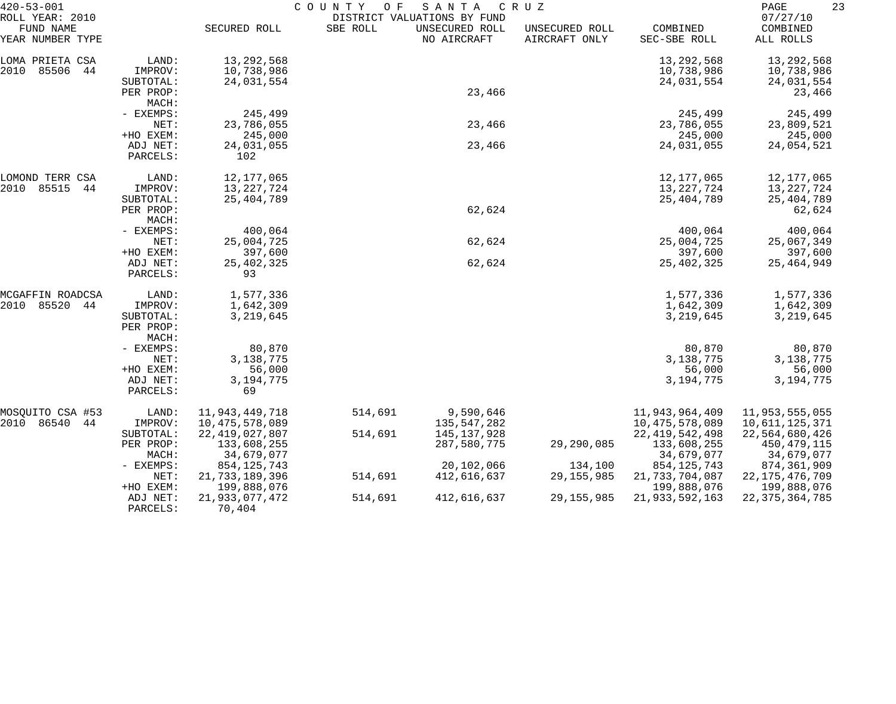| $420 - 53 - 001$                                 |                    | COUNTY<br>SANTA<br>O F<br>C R U Z |          |                                                              |                                 |                             |                                   |  |
|--------------------------------------------------|--------------------|-----------------------------------|----------|--------------------------------------------------------------|---------------------------------|-----------------------------|-----------------------------------|--|
| ROLL YEAR: 2010<br>FUND NAME<br>YEAR NUMBER TYPE |                    | SECURED ROLL                      | SBE ROLL | DISTRICT VALUATIONS BY FUND<br>UNSECURED ROLL<br>NO AIRCRAFT | UNSECURED ROLL<br>AIRCRAFT ONLY | COMBINED<br>SEC-SBE ROLL    | 07/27/10<br>COMBINED<br>ALL ROLLS |  |
| LOMA PRIETA CSA                                  | LAND:              | 13, 292, 568                      |          |                                                              |                                 | 13,292,568                  | 13,292,568                        |  |
| 2010<br>85506<br>44                              | IMPROV:            | 10,738,986                        |          |                                                              |                                 | 10,738,986                  | 10,738,986                        |  |
|                                                  | SUBTOTAL:          | 24,031,554                        |          |                                                              |                                 | 24,031,554                  | 24,031,554                        |  |
|                                                  | PER PROP:          |                                   |          | 23,466                                                       |                                 |                             | 23,466                            |  |
|                                                  | MACH:<br>- EXEMPS: | 245,499                           |          |                                                              |                                 |                             |                                   |  |
|                                                  | NET:               | 23,786,055                        |          | 23,466                                                       |                                 | 245,499<br>23,786,055       | 245,499<br>23,809,521             |  |
|                                                  | +HO EXEM:          | 245,000                           |          |                                                              |                                 | 245,000                     | 245,000                           |  |
|                                                  | ADJ NET:           | 24,031,055                        |          | 23,466                                                       |                                 | 24,031,055                  | 24,054,521                        |  |
|                                                  | PARCELS:           | 102                               |          |                                                              |                                 |                             |                                   |  |
| LOMOND TERR CSA                                  | LAND:              | 12, 177, 065                      |          |                                                              |                                 | 12, 177, 065                | 12,177,065                        |  |
| 85515<br>2010<br>44                              | IMPROV:            | 13, 227, 724                      |          |                                                              |                                 | 13, 227, 724                | 13,227,724                        |  |
|                                                  | SUBTOTAL:          | 25, 404, 789                      |          |                                                              |                                 | 25,404,789                  | 25, 404, 789                      |  |
|                                                  | PER PROP:          |                                   |          | 62,624                                                       |                                 |                             | 62,624                            |  |
|                                                  | MACH:<br>- EXEMPS: | 400,064                           |          |                                                              |                                 | 400,064                     | 400,064                           |  |
|                                                  | NET:               | 25,004,725                        |          | 62,624                                                       |                                 | 25,004,725                  | 25,067,349                        |  |
|                                                  | +HO EXEM:          | 397,600                           |          |                                                              |                                 | 397,600                     | 397,600                           |  |
|                                                  | ADJ NET:           | 25, 402, 325                      |          | 62,624                                                       |                                 | 25,402,325                  | 25, 464, 949                      |  |
|                                                  | PARCELS:           | 93                                |          |                                                              |                                 |                             |                                   |  |
| MCGAFFIN ROADCSA                                 | LAND:              | 1,577,336                         |          |                                                              |                                 | 1,577,336                   | 1,577,336                         |  |
| 85520<br>2010<br>44                              | IMPROV:            | 1,642,309                         |          |                                                              |                                 | 1,642,309                   | 1,642,309                         |  |
|                                                  | SUBTOTAL:          | 3,219,645                         |          |                                                              |                                 | 3,219,645                   | 3,219,645                         |  |
|                                                  | PER PROP:          |                                   |          |                                                              |                                 |                             |                                   |  |
|                                                  | MACH:              | 80,870                            |          |                                                              |                                 | 80,870                      |                                   |  |
|                                                  | - EXEMPS:<br>NET:  | 3, 138, 775                       |          |                                                              |                                 | 3, 138, 775                 | 80,870<br>3,138,775               |  |
|                                                  | +HO EXEM:          | 56,000                            |          |                                                              |                                 | 56,000                      | 56,000                            |  |
|                                                  | ADJ NET:           | 3, 194, 775                       |          |                                                              |                                 | 3, 194, 775                 | 3, 194, 775                       |  |
|                                                  | PARCELS:           | 69                                |          |                                                              |                                 |                             |                                   |  |
| MOSQUITO CSA #53                                 | LAND:              | 11,943,449,718                    | 514,691  | 9,590,646                                                    |                                 | 11,943,964,409              | 11,953,555,055                    |  |
| 2010 86540<br>44                                 | IMPROV:            | 10,475,578,089                    |          | 135,547,282                                                  |                                 | 10, 475, 578, 089           | 10,611,125,371                    |  |
|                                                  | SUBTOTAL:          | 22, 419, 027, 807                 | 514,691  | 145,137,928                                                  |                                 | 22, 419, 542, 498           | 22,564,680,426                    |  |
|                                                  | PER PROP:          | 133,608,255                       |          | 287,580,775                                                  | 29, 290, 085                    | 133,608,255                 | 450, 479, 115                     |  |
|                                                  | MACH:              | 34,679,077                        |          | 20,102,066                                                   |                                 | 34,679,077<br>854, 125, 743 | 34,679,077                        |  |
|                                                  | - EXEMPS:<br>NET:  | 854, 125, 743<br>21,733,189,396   | 514,691  | 412,616,637                                                  | 134,100<br>29, 155, 985         | 21,733,704,087              | 874,361,909<br>22, 175, 476, 709  |  |
|                                                  | +HO EXEM:          | 199,888,076                       |          |                                                              |                                 | 199,888,076                 | 199,888,076                       |  |
|                                                  | ADJ NET:           | 21,933,077,472                    | 514,691  | 412,616,637                                                  | 29, 155, 985                    | 21,933,592,163              | 22, 375, 364, 785                 |  |
|                                                  | PARCELS:           | 70,404                            |          |                                                              |                                 |                             |                                   |  |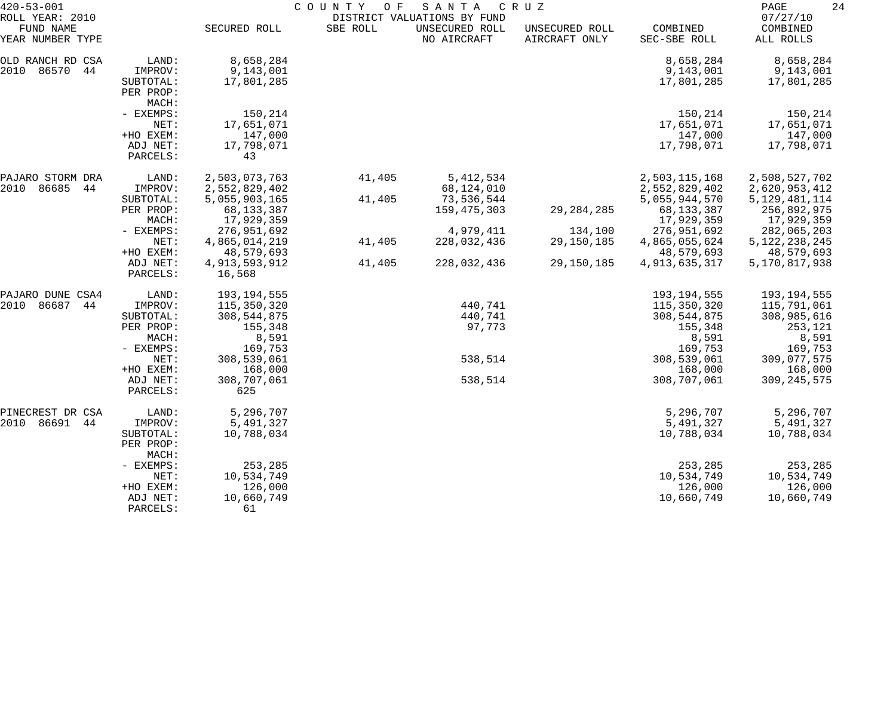| $420 - 53 - 001$<br>ROLL YEAR: 2010     |                                                     | COUNTY OF<br>SANTA<br>C R U Z<br>DISTRICT VALUATIONS BY FUND |          |                               |                                 |                                                |                                                |  |
|-----------------------------------------|-----------------------------------------------------|--------------------------------------------------------------|----------|-------------------------------|---------------------------------|------------------------------------------------|------------------------------------------------|--|
| FUND NAME<br>YEAR NUMBER TYPE           |                                                     | SECURED ROLL                                                 | SBE ROLL | UNSECURED ROLL<br>NO AIRCRAFT | UNSECURED ROLL<br>AIRCRAFT ONLY | COMBINED<br>SEC-SBE ROLL                       | 07/27/10<br>COMBINED<br>ALL ROLLS              |  |
| OLD RANCH RD CSA<br>2010<br>86570<br>44 | LAND:<br>IMPROV:<br>SUBTOTAL:<br>PER PROP:<br>MACH: | 8,658,284<br>9,143,001<br>17,801,285                         |          |                               |                                 | 8,658,284<br>9,143,001<br>17,801,285           | 8,658,284<br>9,143,001<br>17,801,285           |  |
|                                         | - EXEMPS:<br>NET:<br>+HO EXEM:                      | 150,214<br>17,651,071<br>147,000                             |          |                               |                                 | 150,214<br>17,651,071<br>147,000               | 150,214<br>17,651,071<br>147,000               |  |
|                                         | ADJ NET:<br>PARCELS:                                | 17,798,071<br>43                                             |          |                               |                                 | 17,798,071                                     | 17,798,071                                     |  |
| PAJARO STORM DRA<br>2010<br>86685<br>44 | LAND:<br>IMPROV:                                    | 2,503,073,763<br>2,552,829,402                               | 41,405   | 5, 412, 534<br>68,124,010     |                                 | 2,503,115,168<br>2,552,829,402                 | 2,508,527,702<br>2,620,953,412                 |  |
|                                         | SUBTOTAL:<br>PER PROP:<br>MACH:                     | 5,055,903,165<br>68, 133, 387<br>17,929,359                  | 41,405   | 73,536,544<br>159, 475, 303   | 29, 284, 285                    | 5,055,944,570<br>68, 133, 387<br>17,929,359    | 5, 129, 481, 114<br>256,892,975<br>17,929,359  |  |
|                                         | - EXEMPS:<br>NET:<br>+HO EXEM:                      | 276,951,692<br>4,865,014,219<br>48,579,693                   | 41,405   | 4,979,411<br>228,032,436      | 134,100<br>29,150,185           | 276,951,692<br>4,865,055,624<br>48,579,693     | 282,065,203<br>5, 122, 238, 245<br>48,579,693  |  |
|                                         | ADJ NET:<br>PARCELS:                                | 4,913,593,912<br>16,568                                      | 41,405   | 228,032,436                   | 29,150,185                      | 4, 913, 635, 317                               | 5,170,817,938                                  |  |
| PAJARO DUNE CSA4<br>86687<br>2010<br>44 | LAND:<br>IMPROV:                                    | 193, 194, 555<br>115,350,320                                 |          | 440,741                       |                                 | 193, 194, 555<br>115,350,320                   | 193,194,555<br>115,791,061                     |  |
|                                         | SUBTOTAL:<br>PER PROP:<br>MACH:<br>- EXEMPS:        | 308, 544, 875<br>155,348<br>8,591<br>169,753                 |          | 440,741<br>97,773             |                                 | 308, 544, 875<br>155,348<br>8,591<br>169,753   | 308,985,616<br>253,121<br>8,591<br>169,753     |  |
|                                         | NET:<br>+HO EXEM:                                   | 308,539,061<br>168,000                                       |          | 538,514                       |                                 | 308,539,061<br>168,000                         | 309,077,575<br>168,000                         |  |
|                                         | ADJ NET:<br>PARCELS:                                | 308,707,061<br>625                                           |          | 538,514                       |                                 | 308,707,061                                    | 309, 245, 575                                  |  |
| PINECREST DR CSA<br>86691<br>2010<br>44 | LAND:<br>IMPROV:<br>SUBTOTAL:<br>PER PROP:<br>MACH: | 5,296,707<br>5,491,327<br>10,788,034                         |          |                               |                                 | 5,296,707<br>5,491,327<br>10,788,034           | 5,296,707<br>5,491,327<br>10,788,034           |  |
|                                         | - EXEMPS:<br>NET:<br>+HO EXEM:<br>ADJ NET:          | 253,285<br>10,534,749<br>126,000<br>10,660,749               |          |                               |                                 | 253,285<br>10,534,749<br>126,000<br>10,660,749 | 253,285<br>10,534,749<br>126,000<br>10,660,749 |  |
|                                         | PARCELS:                                            | 61                                                           |          |                               |                                 |                                                |                                                |  |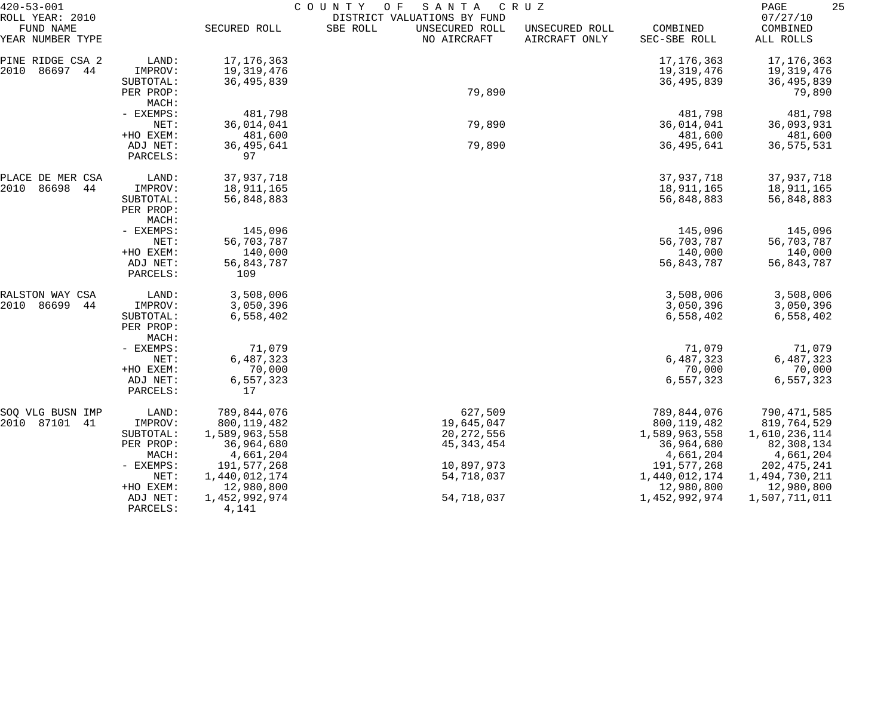| $420 - 53 - 001$                                 |                      | COUNTY<br>O F<br>SANTA<br>CRUZ |                                                                          |                                 |                          |                                   |  |
|--------------------------------------------------|----------------------|--------------------------------|--------------------------------------------------------------------------|---------------------------------|--------------------------|-----------------------------------|--|
| ROLL YEAR: 2010<br>FUND NAME<br>YEAR NUMBER TYPE |                      | SECURED ROLL                   | DISTRICT VALUATIONS BY FUND<br>SBE ROLL<br>UNSECURED ROLL<br>NO AIRCRAFT | UNSECURED ROLL<br>AIRCRAFT ONLY | COMBINED<br>SEC-SBE ROLL | 07/27/10<br>COMBINED<br>ALL ROLLS |  |
| PINE RIDGE CSA 2                                 | LAND:                | 17, 176, 363                   |                                                                          |                                 | 17, 176, 363             | 17, 176, 363                      |  |
| 2010<br>86697 44                                 | IMPROV:              | 19,319,476                     |                                                                          |                                 | 19,319,476               | 19,319,476                        |  |
|                                                  | SUBTOTAL:            | 36, 495, 839                   |                                                                          |                                 | 36, 495, 839             | 36, 495, 839                      |  |
|                                                  | PER PROP:            |                                | 79,890                                                                   |                                 |                          | 79,890                            |  |
|                                                  | MACH:                |                                |                                                                          |                                 |                          |                                   |  |
|                                                  | - EXEMPS:            | 481,798                        |                                                                          |                                 | 481,798                  | 481,798                           |  |
|                                                  | NET:                 | 36,014,041                     | 79,890                                                                   |                                 | 36,014,041               | 36,093,931                        |  |
|                                                  | +HO EXEM:            | 481,600                        |                                                                          |                                 | 481,600                  | 481,600                           |  |
|                                                  | ADJ NET:             | 36,495,641                     | 79,890                                                                   |                                 | 36, 495, 641             | 36, 575, 531                      |  |
|                                                  | PARCELS:             | 97                             |                                                                          |                                 |                          |                                   |  |
| PLACE DE MER CSA                                 | LAND:                | 37,937,718                     |                                                                          |                                 | 37,937,718               | 37,937,718                        |  |
| 2010<br>86698<br>44                              | IMPROV:              | 18,911,165                     |                                                                          |                                 | 18,911,165               | 18,911,165                        |  |
|                                                  | SUBTOTAL:            | 56,848,883                     |                                                                          |                                 | 56,848,883               | 56,848,883                        |  |
|                                                  | PER PROP:            |                                |                                                                          |                                 |                          |                                   |  |
|                                                  | MACH:                |                                |                                                                          |                                 |                          |                                   |  |
|                                                  | - EXEMPS:<br>NET:    | 145,096<br>56,703,787          |                                                                          |                                 | 145,096<br>56,703,787    | 145,096<br>56,703,787             |  |
|                                                  | +HO EXEM:            | 140,000                        |                                                                          |                                 | 140,000                  | 140,000                           |  |
|                                                  | ADJ NET:             | 56,843,787                     |                                                                          |                                 | 56,843,787               | 56,843,787                        |  |
|                                                  | PARCELS:             | 109                            |                                                                          |                                 |                          |                                   |  |
| RALSTON WAY CSA                                  | LAND:                | 3,508,006                      |                                                                          |                                 | 3,508,006                | 3,508,006                         |  |
| 2010<br>86699<br>44                              | IMPROV:              | 3,050,396                      |                                                                          |                                 | 3,050,396                | 3,050,396                         |  |
|                                                  | SUBTOTAL:            | 6,558,402                      |                                                                          |                                 | 6,558,402                | 6,558,402                         |  |
|                                                  | PER PROP:            |                                |                                                                          |                                 |                          |                                   |  |
|                                                  | MACH:                |                                |                                                                          |                                 |                          |                                   |  |
|                                                  | - EXEMPS:            | 71,079                         |                                                                          |                                 | 71,079                   | 71,079                            |  |
|                                                  | NET:                 | 6,487,323                      |                                                                          |                                 | 6,487,323                | 6,487,323                         |  |
|                                                  | +HO EXEM:            | 70,000                         |                                                                          |                                 | 70,000                   | 70,000                            |  |
|                                                  | ADJ NET:<br>PARCELS: | 6,557,323<br>17                |                                                                          |                                 | 6,557,323                | 6,557,323                         |  |
| SOQ VLG BUSN IMP                                 | LAND:                | 789,844,076                    | 627,509                                                                  |                                 | 789,844,076              | 790,471,585                       |  |
| 2010 87101 41                                    | IMPROV:              | 800, 119, 482                  | 19,645,047                                                               |                                 | 800, 119, 482            | 819,764,529                       |  |
|                                                  | SUBTOTAL:            | 1,589,963,558                  | 20, 272, 556                                                             |                                 | 1,589,963,558            | 1,610,236,114                     |  |
|                                                  | PER PROP:            | 36,964,680                     | 45, 343, 454                                                             |                                 | 36,964,680               | 82,308,134                        |  |
|                                                  | MACH:                | 4,661,204                      |                                                                          |                                 | 4,661,204                | 4,661,204                         |  |
|                                                  | - EXEMPS:            | 191,577,268                    | 10,897,973                                                               |                                 | 191,577,268              | 202, 475, 241                     |  |
|                                                  | NET:                 | 1,440,012,174                  | 54,718,037                                                               |                                 | 1,440,012,174            | 1,494,730,211                     |  |
|                                                  | +HO EXEM:            | 12,980,800                     |                                                                          |                                 | 12,980,800               | 12,980,800                        |  |
|                                                  | ADJ NET:             | 1,452,992,974                  | 54,718,037                                                               |                                 | 1,452,992,974            | 1,507,711,011                     |  |
|                                                  | PARCELS:             | 4,141                          |                                                                          |                                 |                          |                                   |  |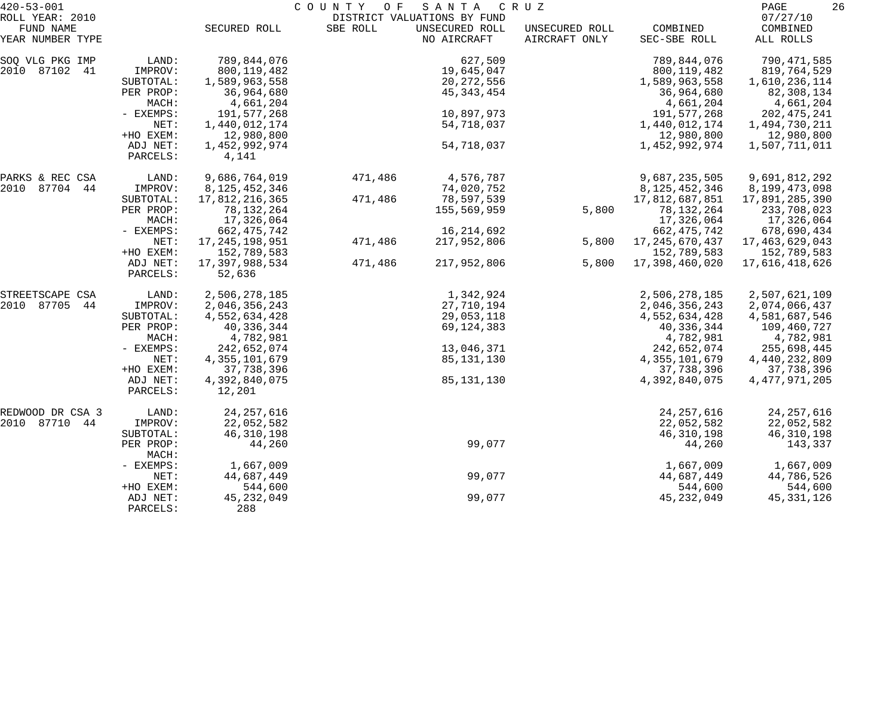| $420 - 53 - 001$             |                      | COUNTY<br>O F<br>SANTA<br>C R U Z |          |                                               |                |                                |                                |
|------------------------------|----------------------|-----------------------------------|----------|-----------------------------------------------|----------------|--------------------------------|--------------------------------|
| ROLL YEAR: 2010<br>FUND NAME |                      | SECURED ROLL                      | SBE ROLL | DISTRICT VALUATIONS BY FUND<br>UNSECURED ROLL | UNSECURED ROLL | COMBINED                       | 07/27/10<br>COMBINED           |
| YEAR NUMBER TYPE             |                      |                                   |          | NO AIRCRAFT                                   | AIRCRAFT ONLY  | SEC-SBE ROLL                   | ALL ROLLS                      |
| SOQ VLG PKG IMP              | LAND:                | 789,844,076                       |          | 627,509                                       |                | 789,844,076                    | 790,471,585                    |
| 2010 87102 41                | IMPROV:              | 800, 119, 482                     |          | 19,645,047                                    |                | 800, 119, 482                  | 819,764,529                    |
|                              | SUBTOTAL:            | 1,589,963,558                     |          | 20, 272, 556                                  |                | 1,589,963,558                  | 1,610,236,114                  |
|                              | PER PROP:            | 36,964,680                        |          | 45, 343, 454                                  |                | 36,964,680                     | 82,308,134                     |
|                              | MACH:<br>- EXEMPS:   | 4,661,204                         |          | 10,897,973                                    |                | 4,661,204                      | 4,661,204                      |
|                              | NET:                 | 191,577,268<br>1,440,012,174      |          | 54,718,037                                    |                | 191,577,268<br>1,440,012,174   | 202, 475, 241<br>1,494,730,211 |
|                              | +HO EXEM:            | 12,980,800                        |          |                                               |                | 12,980,800                     | 12,980,800                     |
|                              | ADJ NET:<br>PARCELS: | 1,452,992,974<br>4,141            |          | 54,718,037                                    |                | 1,452,992,974                  | 1,507,711,011                  |
| PARKS & REC CSA              | LAND:                | 9,686,764,019                     | 471,486  | 4,576,787                                     |                | 9,687,235,505                  | 9,691,812,292                  |
| 2010 87704 44                | IMPROV:              | 8, 125, 452, 346                  |          | 74,020,752                                    |                | 8, 125, 452, 346               | 8,199,473,098                  |
|                              | SUBTOTAL:            | 17,812,216,365                    | 471,486  | 78,597,539                                    |                | 17,812,687,851                 | 17,891,285,390                 |
|                              | PER PROP:            | 78, 132, 264                      |          | 155,569,959                                   | 5,800          | 78,132,264                     | 233,708,023                    |
|                              | MACH:                | 17,326,064                        |          |                                               |                | 17,326,064                     | 17,326,064                     |
|                              | - EXEMPS:            | 662, 475, 742                     |          | 16, 214, 692                                  |                | 662, 475, 742                  | 678,690,434                    |
|                              | NET:                 | 17, 245, 198, 951                 | 471,486  | 217,952,806                                   | 5,800          | 17, 245, 670, 437              | 17,463,629,043                 |
|                              | +HO EXEM:            | 152,789,583                       |          |                                               |                | 152,789,583                    | 152,789,583                    |
|                              | ADJ NET:<br>PARCELS: | 17,397,988,534<br>52,636          | 471,486  | 217,952,806                                   | 5,800          | 17,398,460,020                 | 17,616,418,626                 |
| STREETSCAPE CSA              | LAND:                | 2,506,278,185                     |          | 1,342,924                                     |                | 2,506,278,185                  | 2,507,621,109                  |
| 2010 87705<br>44             | IMPROV:              | 2,046,356,243                     |          | 27,710,194                                    |                | 2,046,356,243                  | 2,074,066,437                  |
|                              | SUBTOTAL:            | 4,552,634,428                     |          | 29,053,118                                    |                | 4,552,634,428                  | 4,581,687,546                  |
|                              | PER PROP:            | 40,336,344                        |          | 69,124,383                                    |                | 40,336,344                     | 109,460,727                    |
|                              | MACH:                | 4,782,981                         |          |                                               |                | 4,782,981                      | 4,782,981                      |
|                              | - EXEMPS:            | 242,652,074<br>4, 355, 101, 679   |          | 13,046,371                                    |                | 242,652,074                    | 255,698,445                    |
|                              | NET:<br>+HO EXEM:    | 37,738,396                        |          | 85,131,130                                    |                | 4, 355, 101, 679<br>37,738,396 | 4,440,232,809<br>37,738,396    |
|                              | ADJ NET:             | 4,392,840,075                     |          | 85, 131, 130                                  |                | 4,392,840,075                  | 4, 477, 971, 205               |
|                              | PARCELS:             | 12,201                            |          |                                               |                |                                |                                |
| REDWOOD DR CSA 3             | LAND:                | 24, 257, 616                      |          |                                               |                | 24, 257, 616                   | 24, 257, 616                   |
| 2010 87710 44                | IMPROV:              | 22,052,582                        |          |                                               |                | 22,052,582                     | 22,052,582                     |
|                              | SUBTOTAL:            | 46, 310, 198                      |          |                                               |                | 46, 310, 198                   | 46, 310, 198                   |
|                              | PER PROP:<br>MACH:   | 44,260                            |          | 99,077                                        |                | 44,260                         | 143,337                        |
|                              | - EXEMPS:            | 1,667,009                         |          |                                               |                | 1,667,009                      | 1,667,009                      |
|                              | NET:                 | 44,687,449                        |          | 99,077                                        |                | 44,687,449                     | 44,786,526                     |
|                              | +HO EXEM:            | 544,600                           |          |                                               |                | 544,600                        | 544,600                        |
|                              | ADJ NET:<br>PARCELS: | 45, 232, 049<br>288               |          | 99,077                                        |                | 45, 232, 049                   | 45, 331, 126                   |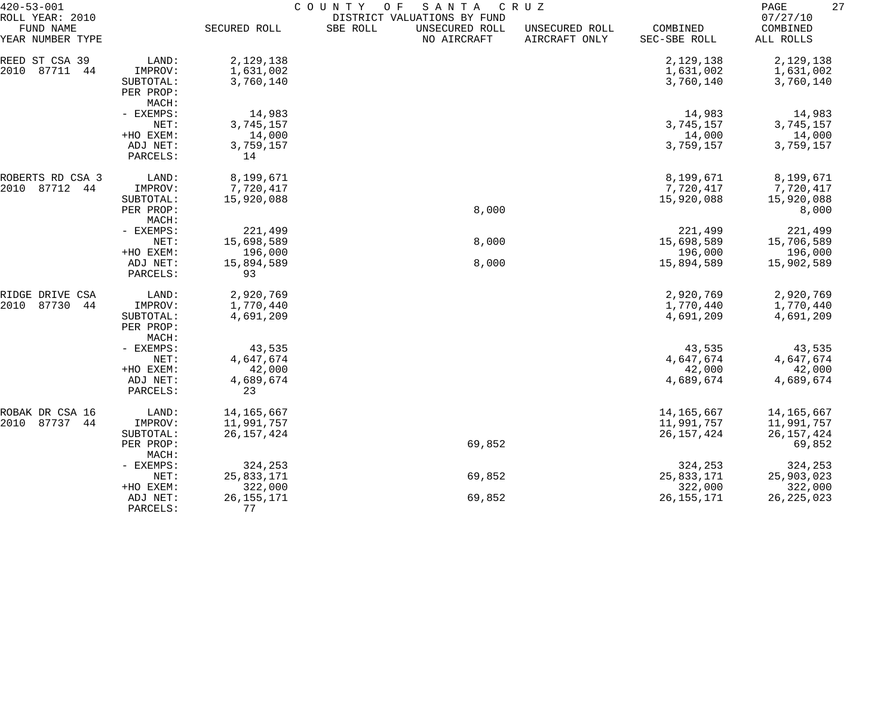| $420 - 53 - 001$<br>ROLL YEAR: 2010 |                       | COUNTY<br>O F<br>SANTA<br>C R U Z<br>DISTRICT VALUATIONS BY FUND |          |                               |                                 |                          |                                   |  |
|-------------------------------------|-----------------------|------------------------------------------------------------------|----------|-------------------------------|---------------------------------|--------------------------|-----------------------------------|--|
| FUND NAME<br>YEAR NUMBER TYPE       |                       | SECURED ROLL                                                     | SBE ROLL | UNSECURED ROLL<br>NO AIRCRAFT | UNSECURED ROLL<br>AIRCRAFT ONLY | COMBINED<br>SEC-SBE ROLL | 07/27/10<br>COMBINED<br>ALL ROLLS |  |
| REED ST CSA 39                      | LAND:                 | 2,129,138                                                        |          |                               |                                 | 2,129,138                | 2,129,138                         |  |
| 2010<br>87711<br>44                 | IMPROV:               | 1,631,002                                                        |          |                               |                                 | 1,631,002                | 1,631,002                         |  |
|                                     | SUBTOTAL:             | 3,760,140                                                        |          |                               |                                 | 3,760,140                | 3,760,140                         |  |
|                                     | PER PROP:             |                                                                  |          |                               |                                 |                          |                                   |  |
|                                     | MACH:                 |                                                                  |          |                               |                                 |                          |                                   |  |
|                                     | - EXEMPS:             | 14,983                                                           |          |                               |                                 | 14,983                   | 14,983                            |  |
|                                     | NET:                  | 3,745,157                                                        |          |                               |                                 | 3,745,157                | 3,745,157                         |  |
|                                     | +HO EXEM:             | 14,000                                                           |          |                               |                                 | 14,000                   | 14,000                            |  |
|                                     | ADJ NET:              | 3,759,157                                                        |          |                               |                                 | 3,759,157                | 3,759,157                         |  |
|                                     | PARCELS:              | 14                                                               |          |                               |                                 |                          |                                   |  |
| ROBERTS RD CSA 3                    | LAND:                 | 8,199,671                                                        |          |                               |                                 | 8,199,671                | 8,199,671                         |  |
| 2010<br>87712<br>44                 | IMPROV:               | 7,720,417                                                        |          |                               |                                 | 7,720,417                | 7,720,417                         |  |
|                                     | SUBTOTAL:             | 15,920,088                                                       |          |                               |                                 | 15,920,088               | 15,920,088                        |  |
|                                     | PER PROP:             |                                                                  |          | 8,000                         |                                 |                          | 8,000                             |  |
|                                     | MACH:                 |                                                                  |          |                               |                                 |                          |                                   |  |
|                                     | - EXEMPS:             | 221,499                                                          |          |                               |                                 | 221,499                  | 221,499                           |  |
|                                     | NET:                  | 15,698,589                                                       |          | 8,000                         |                                 | 15,698,589               | 15,706,589                        |  |
|                                     | +HO EXEM:<br>ADJ NET: | 196,000<br>15,894,589                                            |          | 8,000                         |                                 | 196,000<br>15,894,589    | 196,000<br>15,902,589             |  |
|                                     | PARCELS:              | 93                                                               |          |                               |                                 |                          |                                   |  |
| RIDGE DRIVE CSA                     | LAND:                 | 2,920,769                                                        |          |                               |                                 | 2,920,769                | 2,920,769                         |  |
| 2010<br>87730<br>44                 | IMPROV:               | 1,770,440                                                        |          |                               |                                 | 1,770,440                | 1,770,440                         |  |
|                                     | SUBTOTAL:             | 4,691,209                                                        |          |                               |                                 | 4,691,209                | 4,691,209                         |  |
|                                     | PER PROP:             |                                                                  |          |                               |                                 |                          |                                   |  |
|                                     | MACH:                 |                                                                  |          |                               |                                 |                          |                                   |  |
|                                     | - EXEMPS:             | 43,535                                                           |          |                               |                                 | 43,535                   | 43,535                            |  |
|                                     | NET:                  | 4,647,674                                                        |          |                               |                                 | 4,647,674                | 4,647,674                         |  |
|                                     | +HO EXEM:             | 42,000                                                           |          |                               |                                 | 42,000                   | 42,000                            |  |
|                                     | ADJ NET:              | 4,689,674                                                        |          |                               |                                 | 4,689,674                | 4,689,674                         |  |
|                                     | PARCELS:              | 23                                                               |          |                               |                                 |                          |                                   |  |
| ROBAK DR CSA 16                     | LAND:                 | 14, 165, 667                                                     |          |                               |                                 | 14, 165, 667             | 14,165,667                        |  |
| 2010 87737 44                       | IMPROV:               | 11,991,757                                                       |          |                               |                                 | 11,991,757               | 11,991,757                        |  |
|                                     | SUBTOTAL:             | 26, 157, 424                                                     |          |                               |                                 | 26, 157, 424             | 26, 157, 424                      |  |
|                                     | PER PROP:<br>MACH:    |                                                                  |          | 69,852                        |                                 |                          | 69,852                            |  |
|                                     | - EXEMPS:             | 324,253                                                          |          |                               |                                 | 324,253                  | 324,253                           |  |
|                                     | NET:                  | 25,833,171                                                       |          | 69,852                        |                                 | 25,833,171               | 25,903,023                        |  |
|                                     | +HO EXEM:             | 322,000                                                          |          |                               |                                 | 322,000                  | 322,000                           |  |
|                                     | ADJ NET:              | 26, 155, 171                                                     |          | 69,852                        |                                 | 26, 155, 171             | 26, 225, 023                      |  |
|                                     | PARCELS:              | 77                                                               |          |                               |                                 |                          |                                   |  |
|                                     |                       |                                                                  |          |                               |                                 |                          |                                   |  |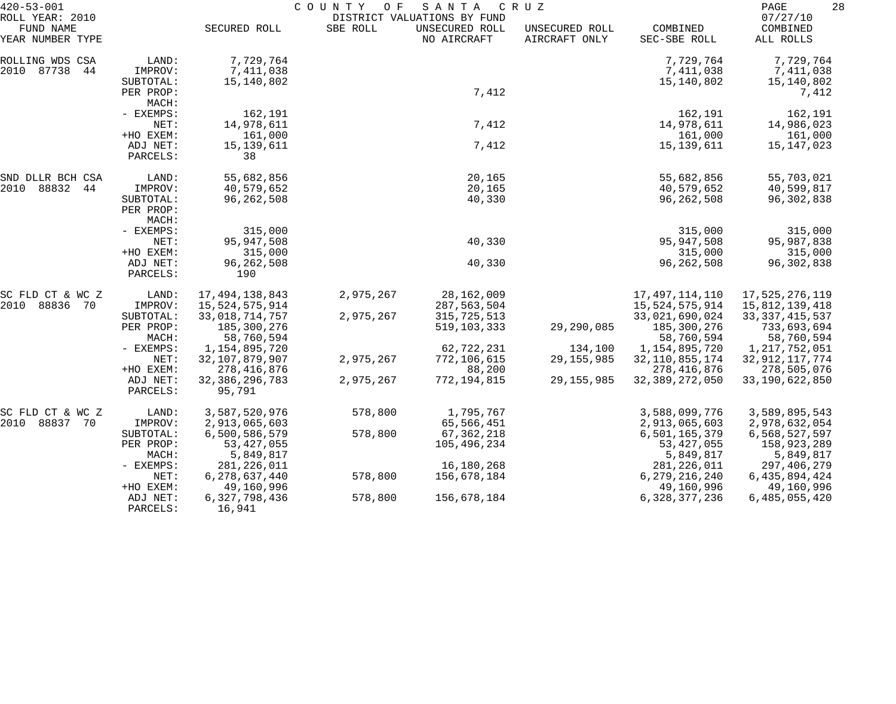| $420 - 53 - 001$                                 |                                            | COUNTY<br>O F<br>SANTA<br>C R U Z<br>DISTRICT VALUATIONS BY FUND |           |                               |                                 |                                      | 28<br>PAGE                           |  |
|--------------------------------------------------|--------------------------------------------|------------------------------------------------------------------|-----------|-------------------------------|---------------------------------|--------------------------------------|--------------------------------------|--|
| ROLL YEAR: 2010<br>FUND NAME<br>YEAR NUMBER TYPE |                                            | SECURED ROLL                                                     | SBE ROLL  | UNSECURED ROLL<br>NO AIRCRAFT | UNSECURED ROLL<br>AIRCRAFT ONLY | COMBINED<br>SEC-SBE ROLL             | 07/27/10<br>COMBINED<br>ALL ROLLS    |  |
| ROLLING WDS CSA<br>2010 87738<br>44              | LAND:<br>IMPROV:<br>SUBTOTAL:              | 7,729,764<br>7,411,038<br>15,140,802                             |           |                               |                                 | 7,729,764<br>7,411,038<br>15,140,802 | 7,729,764<br>7,411,038<br>15,140,802 |  |
|                                                  | PER PROP:<br>MACH:                         |                                                                  |           | 7,412                         |                                 |                                      | 7,412                                |  |
|                                                  | - EXEMPS:<br>NET:                          | 162,191<br>14,978,611                                            |           | 7,412                         |                                 | 162,191<br>14,978,611                | 162,191<br>14,986,023                |  |
|                                                  | +HO EXEM:<br>ADJ NET:<br>PARCELS:          | 161,000<br>15, 139, 611<br>38                                    |           | 7,412                         |                                 | 161,000<br>15, 139, 611              | 161,000<br>15,147,023                |  |
| SND DLLR BCH CSA                                 | LAND:                                      | 55,682,856                                                       |           | 20,165                        |                                 | 55,682,856                           | 55,703,021                           |  |
| 2010 88832<br>44<br>NET:                         | IMPROV:<br>SUBTOTAL:<br>PER PROP:<br>MACH: | 40,579,652<br>96, 262, 508                                       |           | 20,165<br>40,330              |                                 | 40,579,652<br>96, 262, 508           | 40,599,817<br>96, 302, 838           |  |
|                                                  | - EXEMPS:                                  | 315,000<br>95, 947, 508                                          |           | 40,330                        |                                 | 315,000<br>95,947,508                | 315,000<br>95,987,838                |  |
|                                                  | +HO EXEM:<br>ADJ NET:                      | 315,000                                                          |           | 40,330                        |                                 | 315,000<br>96, 262, 508              | 315,000<br>96, 302, 838              |  |
|                                                  | PARCELS:                                   | 96, 262, 508<br>190                                              |           |                               |                                 |                                      |                                      |  |
| SC FLD CT & WC Z                                 | LAND:                                      | 17,494,138,843                                                   | 2,975,267 | 28, 162, 009                  |                                 | 17, 497, 114, 110                    | 17,525,276,119                       |  |
| 2010<br>88836<br>70                              | IMPROV:<br>SUBTOTAL:                       | 15,524,575,914<br>33,018,714,757                                 | 2,975,267 | 287,563,504<br>315,725,513    |                                 | 15,524,575,914<br>33,021,690,024     | 15,812,139,418<br>33, 337, 415, 537  |  |
|                                                  | PER PROP:<br>MACH:                         | 185,300,276<br>58,760,594                                        |           | 519, 103, 333                 | 29,290,085                      | 185,300,276<br>58,760,594            | 733,693,694<br>58,760,594            |  |
|                                                  | - EXEMPS:                                  | 1,154,895,720                                                    |           | 62,722,231                    | 134,100                         | 1,154,895,720                        | 1,217,752,051                        |  |
|                                                  | NET:<br>+HO EXEM:                          | 32, 107, 879, 907                                                | 2,975,267 | 772,106,615                   | 29, 155, 985                    | 32, 110, 855, 174                    | 32, 912, 117, 774                    |  |
|                                                  | ADJ NET:<br>PARCELS:                       | 278, 416, 876<br>32, 386, 296, 783<br>95,791                     | 2,975,267 | 88,200<br>772,194,815         | 29, 155, 985                    | 278,416,876<br>32, 389, 272, 050     | 278,505,076<br>33, 190, 622, 850     |  |
| SC FLD CT & WC Z                                 | LAND:                                      | 3,587,520,976                                                    | 578,800   | 1,795,767                     |                                 | 3,588,099,776                        | 3,589,895,543                        |  |
| 2010 88837<br>- 70                               | IMPROV:                                    | 2,913,065,603                                                    |           | 65,566,451                    |                                 | 2,913,065,603                        | 2,978,632,054                        |  |
|                                                  | SUBTOTAL:<br>PER PROP:                     | 6,500,586,579<br>53, 427, 055                                    | 578,800   | 67, 362, 218<br>105,496,234   |                                 | 6,501,165,379<br>53, 427, 055        | 6,568,527,597<br>158,923,289         |  |
|                                                  | MACH:<br>$-$ EXEMPS:                       | 5,849,817<br>281, 226, 011                                       |           | 16,180,268                    |                                 | 5,849,817<br>281, 226, 011           | 5,849,817<br>297,406,279             |  |
|                                                  | NET:<br>+HO EXEM:                          | 6, 278, 637, 440<br>49,160,996                                   | 578,800   | 156,678,184                   |                                 | 6, 279, 216, 240<br>49,160,996       | 6, 435, 894, 424<br>49,160,996       |  |
|                                                  | ADJ NET:<br>PARCELS:                       | 6, 327, 798, 436<br>16,941                                       | 578,800   | 156,678,184                   |                                 | 6, 328, 377, 236                     | 6,485,055,420                        |  |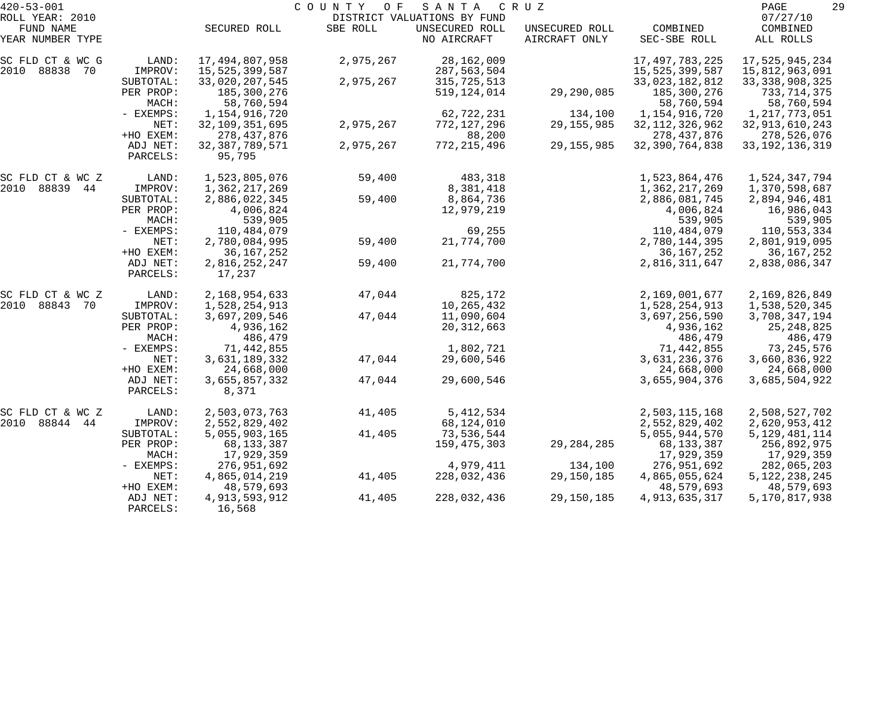| $420 - 53 - 001$             |                      | COUNTY<br>SANTA<br>O F<br>C R U Z<br>DISTRICT VALUATIONS BY FUND |           |                |                |                   |                      |
|------------------------------|----------------------|------------------------------------------------------------------|-----------|----------------|----------------|-------------------|----------------------|
| ROLL YEAR: 2010<br>FUND NAME |                      | SECURED ROLL                                                     | SBE ROLL  | UNSECURED ROLL | UNSECURED ROLL | COMBINED          | 07/27/10<br>COMBINED |
| YEAR NUMBER TYPE             |                      |                                                                  |           | NO AIRCRAFT    | AIRCRAFT ONLY  | SEC-SBE ROLL      | ALL ROLLS            |
| SC FLD CT & WC G             | LAND:                | 17,494,807,958                                                   | 2,975,267 | 28,162,009     |                | 17, 497, 783, 225 | 17,525,945,234       |
| 2010 88838 70                | IMPROV:              | 15,525,399,587                                                   |           | 287,563,504    |                | 15,525,399,587    | 15,812,963,091       |
|                              | SUBTOTAL:            | 33,020,207,545                                                   | 2,975,267 | 315,725,513    |                | 33,023,182,812    | 33, 338, 908, 325    |
|                              | PER PROP:            | 185,300,276                                                      |           | 519, 124, 014  | 29,290,085     | 185,300,276       | 733,714,375          |
|                              | MACH:                | 58,760,594                                                       |           |                |                | 58,760,594        | 58,760,594           |
|                              | - EXEMPS:            | 1,154,916,720                                                    |           | 62,722,231     | 134,100        | 1,154,916,720     | 1, 217, 773, 051     |
|                              | NET:                 | 32, 109, 351, 695                                                | 2,975,267 | 772,127,296    | 29, 155, 985   | 32, 112, 326, 962 | 32, 913, 610, 243    |
|                              | +HO EXEM:            | 278, 437, 876                                                    |           | 88,200         |                | 278, 437, 876     | 278,526,076          |
|                              | ADJ NET:<br>PARCELS: | 32, 387, 789, 571<br>95,795                                      | 2,975,267 | 772, 215, 496  | 29, 155, 985   | 32, 390, 764, 838 | 33, 192, 136, 319    |
| SC FLD CT & WC Z             | LAND:                | 1,523,805,076                                                    | 59,400    | 483,318        |                | 1,523,864,476     | 1,524,347,794        |
| 2010 88839 44                | IMPROV:              | 1,362,217,269                                                    |           | 8,381,418      |                | 1,362,217,269     | 1,370,598,687        |
|                              | SUBTOTAL:            | 2,886,022,345                                                    | 59,400    | 8,864,736      |                | 2,886,081,745     | 2,894,946,481        |
|                              | PER PROP:            | 4,006,824                                                        |           | 12,979,219     |                | 4,006,824         | 16,986,043           |
|                              | MACH:                | 539,905                                                          |           |                |                | 539,905           | 539,905              |
|                              | - EXEMPS:            | 110,484,079                                                      |           | 69,255         |                | 110,484,079       | 110,553,334          |
|                              | NET:                 | 2,780,084,995                                                    | 59,400    | 21,774,700     |                | 2,780,144,395     | 2,801,919,095        |
|                              | +HO EXEM:            | 36, 167, 252                                                     |           |                |                | 36, 167, 252      | 36, 167, 252         |
|                              | ADJ NET:             | 2,816,252,247                                                    | 59,400    | 21,774,700     |                | 2,816,311,647     | 2,838,086,347        |
|                              | PARCELS:             | 17,237                                                           |           |                |                |                   |                      |
| SC FLD CT & WC Z             | LAND:                | 2,168,954,633                                                    | 47,044    | 825,172        |                | 2,169,001,677     | 2,169,826,849        |
| 2010 88843 70                | IMPROV:              | 1,528,254,913                                                    |           | 10,265,432     |                | 1,528,254,913     | 1,538,520,345        |
|                              | SUBTOTAL:            | 3,697,209,546                                                    | 47,044    | 11,090,604     |                | 3,697,256,590     | 3,708,347,194        |
|                              | PER PROP:            | 4,936,162                                                        |           | 20, 312, 663   |                | 4,936,162         | 25, 248, 825         |
|                              | MACH:                | 486,479                                                          |           |                |                | 486,479           | 486,479              |
|                              | - EXEMPS:            | 71,442,855                                                       |           | 1,802,721      |                | 71,442,855        | 73, 245, 576         |
|                              | NET:                 | 3,631,189,332                                                    | 47,044    | 29,600,546     |                | 3,631,236,376     | 3,660,836,922        |
|                              | +HO EXEM:            | 24,668,000                                                       |           |                |                | 24,668,000        | 24,668,000           |
|                              | ADJ NET:<br>PARCELS: | 3,655,857,332<br>8,371                                           | 47,044    | 29,600,546     |                | 3,655,904,376     | 3,685,504,922        |
| SC FLD CT & WC Z             | LAND:                | 2,503,073,763                                                    | 41,405    | 5, 412, 534    |                | 2,503,115,168     | 2,508,527,702        |
| 2010 88844<br>44             | IMPROV:              | 2,552,829,402                                                    |           | 68,124,010     |                | 2,552,829,402     | 2,620,953,412        |
|                              | SUBTOTAL:            | 5,055,903,165                                                    | 41,405    | 73,536,544     |                | 5,055,944,570     | 5, 129, 481, 114     |
|                              | PER PROP:            | 68, 133, 387                                                     |           | 159,475,303    | 29, 284, 285   | 68, 133, 387      | 256,892,975          |
|                              | MACH:                | 17,929,359                                                       |           |                |                | 17,929,359        | 17,929,359           |
|                              | $-$ EXEMPS:          | 276,951,692                                                      |           | 4,979,411      | 134,100        | 276,951,692       | 282,065,203          |
|                              | NET:                 | 4,865,014,219                                                    | 41,405    | 228,032,436    | 29,150,185     | 4,865,055,624     | 5, 122, 238, 245     |
|                              | +HO EXEM:            | 48,579,693                                                       |           |                |                | 48,579,693        | 48,579,693           |
|                              | ADJ NET:             | 4, 913, 593, 912                                                 | 41,405    | 228,032,436    | 29,150,185     | 4,913,635,317     | 5,170,817,938        |
|                              | PARCELS:             | 16,568                                                           |           |                |                |                   |                      |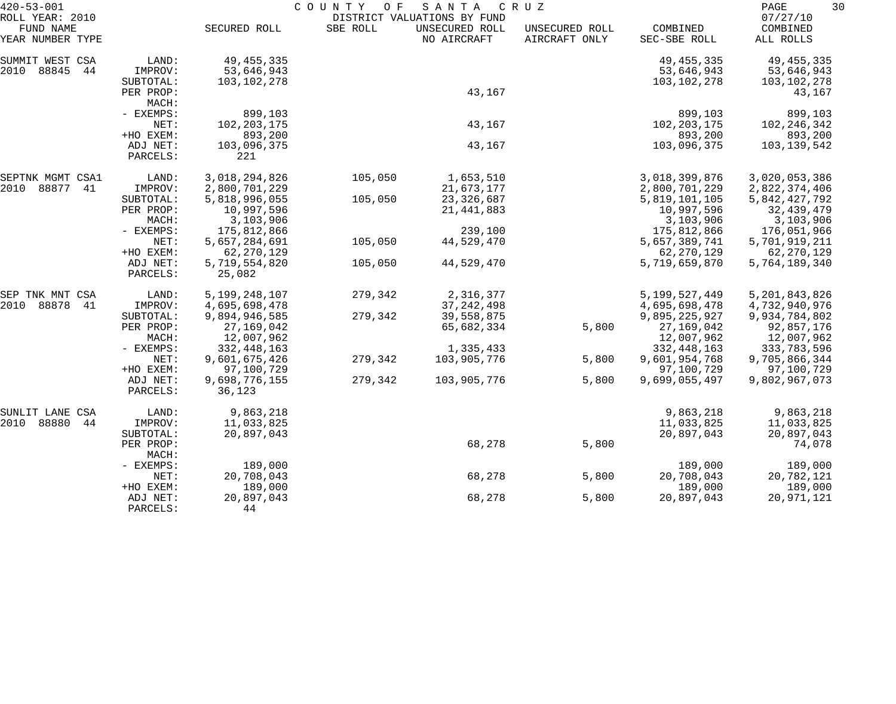| $420 - 53 - 001$                                 |                      | COUNTY<br>SANTA<br>C R U Z<br>O F |          |                                                              |                                 |                          |                                   |
|--------------------------------------------------|----------------------|-----------------------------------|----------|--------------------------------------------------------------|---------------------------------|--------------------------|-----------------------------------|
| ROLL YEAR: 2010<br>FUND NAME<br>YEAR NUMBER TYPE |                      | SECURED ROLL                      | SBE ROLL | DISTRICT VALUATIONS BY FUND<br>UNSECURED ROLL<br>NO AIRCRAFT | UNSECURED ROLL<br>AIRCRAFT ONLY | COMBINED<br>SEC-SBE ROLL | 07/27/10<br>COMBINED<br>ALL ROLLS |
| SUMMIT WEST CSA                                  | LAND:                | 49, 455, 335                      |          |                                                              |                                 | 49, 455, 335             | 49, 455, 335                      |
| 2010<br>88845<br>44                              | IMPROV:              | 53,646,943                        |          |                                                              |                                 | 53,646,943               | 53,646,943                        |
|                                                  | SUBTOTAL:            | 103,102,278                       |          |                                                              |                                 | 103,102,278              | 103,102,278                       |
|                                                  | PER PROP:            |                                   |          | 43,167                                                       |                                 |                          | 43,167                            |
|                                                  | MACH:                |                                   |          |                                                              |                                 |                          |                                   |
|                                                  | - EXEMPS:            | 899,103                           |          |                                                              |                                 | 899,103                  | 899,103                           |
|                                                  | NET:                 | 102, 203, 175                     |          | 43,167                                                       |                                 | 102, 203, 175            | 102, 246, 342                     |
|                                                  | +HO EXEM:            | 893,200                           |          |                                                              |                                 | 893,200                  | 893,200                           |
|                                                  | ADJ NET:<br>PARCELS: | 103,096,375<br>221                |          | 43,167                                                       |                                 | 103,096,375              | 103,139,542                       |
| SEPTNK MGMT CSA1                                 | LAND:                | 3,018,294,826                     | 105,050  | 1,653,510                                                    |                                 | 3,018,399,876            | 3,020,053,386                     |
| 2010<br>88877<br>41                              | IMPROV:              | 2,800,701,229                     |          | 21,673,177                                                   |                                 | 2,800,701,229            | 2,822,374,406                     |
|                                                  | SUBTOTAL:            | 5,818,996,055                     | 105,050  | 23, 326, 687                                                 |                                 | 5,819,101,105            | 5,842,427,792                     |
|                                                  | PER PROP:            | 10,997,596                        |          | 21, 441, 883                                                 |                                 | 10,997,596               | 32,439,479                        |
|                                                  | MACH:                | 3,103,906                         |          |                                                              |                                 | 3,103,906                | 3,103,906                         |
|                                                  | - EXEMPS:            | 175,812,866                       |          | 239,100                                                      |                                 | 175,812,866              | 176,051,966                       |
|                                                  | NET:                 | 5,657,284,691                     | 105,050  | 44,529,470                                                   |                                 | 5,657,389,741            | 5,701,919,211                     |
|                                                  | +HO EXEM:            | 62, 270, 129                      |          |                                                              |                                 | 62, 270, 129             | 62, 270, 129                      |
|                                                  | ADJ NET:<br>PARCELS: | 5,719,554,820<br>25,082           | 105,050  | 44,529,470                                                   |                                 | 5,719,659,870            | 5,764,189,340                     |
| SEP TNK MNT CSA                                  | LAND:                | 5,199,248,107                     | 279,342  | 2,316,377                                                    |                                 | 5, 199, 527, 449         | 5, 201, 843, 826                  |
| 2010<br>88878<br>-41                             | IMPROV:              | 4,695,698,478                     |          | 37, 242, 498                                                 |                                 | 4,695,698,478            | 4,732,940,976                     |
|                                                  | SUBTOTAL:            | 9,894,946,585                     | 279,342  | 39,558,875                                                   |                                 | 9,895,225,927            | 9,934,784,802                     |
|                                                  | PER PROP:            | 27, 169, 042                      |          | 65,682,334                                                   | 5,800                           | 27,169,042               | 92,857,176                        |
|                                                  | MACH:                | 12,007,962                        |          |                                                              |                                 | 12,007,962               | 12,007,962                        |
|                                                  | - EXEMPS:            | 332, 448, 163                     |          | 1,335,433                                                    |                                 | 332, 448, 163            | 333,783,596                       |
|                                                  | NET:                 | 9,601,675,426                     | 279,342  | 103,905,776                                                  | 5,800                           | 9,601,954,768            | 9,705,866,344                     |
|                                                  | +HO EXEM:            | 97,100,729                        |          |                                                              |                                 | 97,100,729               | 97,100,729                        |
|                                                  | ADJ NET:<br>PARCELS: | 9,698,776,155<br>36,123           | 279,342  | 103,905,776                                                  | 5,800                           | 9,699,055,497            | 9,802,967,073                     |
| CSA<br>SUNLIT LANE                               | LAND:                | 9,863,218                         |          |                                                              |                                 | 9,863,218                | 9,863,218                         |
| 2010<br>88880<br>44                              | IMPROV:              | 11,033,825                        |          |                                                              |                                 | 11,033,825               | 11,033,825                        |
|                                                  | SUBTOTAL:            | 20,897,043                        |          |                                                              |                                 | 20,897,043               | 20,897,043                        |
|                                                  | PER PROP:<br>MACH:   |                                   |          | 68,278                                                       | 5,800                           |                          | 74,078                            |
|                                                  | - EXEMPS:            | 189,000                           |          |                                                              |                                 | 189,000                  | 189,000                           |
|                                                  | NET:                 | 20,708,043                        |          | 68,278                                                       | 5,800                           | 20,708,043               | 20,782,121                        |
|                                                  | +HO EXEM:            | 189,000                           |          |                                                              |                                 | 189,000                  | 189,000                           |
|                                                  | ADJ NET:             | 20,897,043                        |          | 68,278                                                       | 5,800                           | 20,897,043               | 20,971,121                        |
|                                                  | PARCELS:             | 44                                |          |                                                              |                                 |                          |                                   |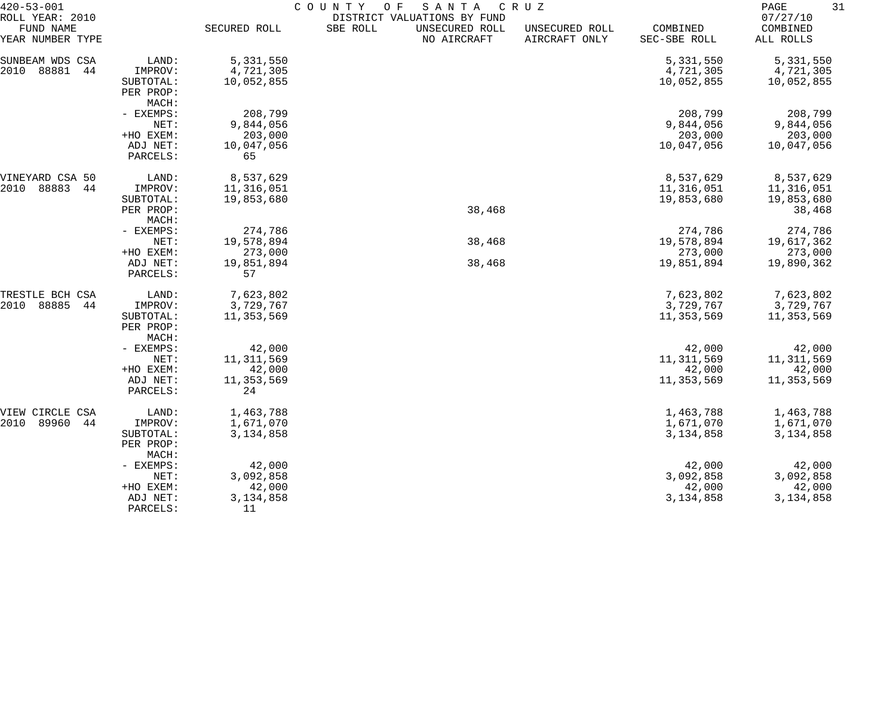| $420 - 53 - 001$                                 |                    | COUNTY<br>O F<br>SANTA<br>C R U Z<br>DISTRICT VALUATIONS BY FUND |          |                               |                                 |                          |                                   |  |
|--------------------------------------------------|--------------------|------------------------------------------------------------------|----------|-------------------------------|---------------------------------|--------------------------|-----------------------------------|--|
| ROLL YEAR: 2010<br>FUND NAME<br>YEAR NUMBER TYPE |                    | SECURED ROLL                                                     | SBE ROLL | UNSECURED ROLL<br>NO AIRCRAFT | UNSECURED ROLL<br>AIRCRAFT ONLY | COMBINED<br>SEC-SBE ROLL | 07/27/10<br>COMBINED<br>ALL ROLLS |  |
|                                                  |                    |                                                                  |          |                               |                                 |                          |                                   |  |
| SUNBEAM WDS CSA                                  | LAND:              | 5,331,550                                                        |          |                               |                                 | 5,331,550                | 5, 331, 550                       |  |
| 88881<br>2010<br>44                              | IMPROV:            | 4,721,305                                                        |          |                               |                                 | 4,721,305                | 4,721,305                         |  |
|                                                  | SUBTOTAL:          | 10,052,855                                                       |          |                               |                                 | 10,052,855               | 10,052,855                        |  |
|                                                  | PER PROP:          |                                                                  |          |                               |                                 |                          |                                   |  |
|                                                  | MACH:<br>- EXEMPS: | 208,799                                                          |          |                               |                                 | 208,799                  | 208,799                           |  |
|                                                  | NET:               | 9,844,056                                                        |          |                               |                                 | 9,844,056                | 9,844,056                         |  |
|                                                  | +HO EXEM:          | 203,000                                                          |          |                               |                                 | 203,000                  | 203,000                           |  |
|                                                  | ADJ NET:           | 10,047,056                                                       |          |                               |                                 | 10,047,056               | 10,047,056                        |  |
|                                                  | PARCELS:           | 65                                                               |          |                               |                                 |                          |                                   |  |
|                                                  |                    |                                                                  |          |                               |                                 |                          |                                   |  |
| VINEYARD CSA 50                                  | LAND:              | 8,537,629                                                        |          |                               |                                 | 8,537,629                | 8,537,629                         |  |
| 88883<br>2010<br>44                              | IMPROV:            | 11,316,051                                                       |          |                               |                                 | 11,316,051               | 11,316,051                        |  |
|                                                  | SUBTOTAL:          | 19,853,680                                                       |          |                               |                                 | 19,853,680               | 19,853,680                        |  |
|                                                  | PER PROP:          |                                                                  |          | 38,468                        |                                 |                          | 38,468                            |  |
|                                                  | MACH:              |                                                                  |          |                               |                                 |                          |                                   |  |
|                                                  | - EXEMPS:          | 274,786                                                          |          |                               |                                 | 274,786                  | 274,786                           |  |
|                                                  | NET:               | 19,578,894                                                       |          | 38,468                        |                                 | 19,578,894               | 19,617,362                        |  |
|                                                  | +HO EXEM:          | 273,000                                                          |          |                               |                                 | 273,000                  | 273,000                           |  |
|                                                  | ADJ NET:           | 19,851,894                                                       |          | 38,468                        |                                 | 19,851,894               | 19,890,362                        |  |
|                                                  | PARCELS:           | 57                                                               |          |                               |                                 |                          |                                   |  |
| TRESTLE BCH CSA                                  | LAND:              | 7,623,802                                                        |          |                               |                                 | 7,623,802                | 7,623,802                         |  |
| 2010<br>88885<br>44                              | IMPROV:            | 3,729,767                                                        |          |                               |                                 | 3,729,767                | 3,729,767                         |  |
|                                                  | SUBTOTAL:          | 11,353,569                                                       |          |                               |                                 | 11,353,569               | 11,353,569                        |  |
|                                                  | PER PROP:          |                                                                  |          |                               |                                 |                          |                                   |  |
|                                                  | MACH:              |                                                                  |          |                               |                                 |                          |                                   |  |
|                                                  | - EXEMPS:          | 42,000                                                           |          |                               |                                 | 42,000                   | 42,000                            |  |
|                                                  | NET:               | 11, 311, 569                                                     |          |                               |                                 | 11, 311, 569             | 11,311,569                        |  |
|                                                  | +HO EXEM:          | 42,000                                                           |          |                               |                                 | 42,000                   | 42,000                            |  |
|                                                  | ADJ NET:           | 11, 353, 569                                                     |          |                               |                                 | 11,353,569               | 11,353,569                        |  |
|                                                  | PARCELS:           | 24                                                               |          |                               |                                 |                          |                                   |  |
| VIEW CIRCLE CSA                                  | LAND:              | 1,463,788                                                        |          |                               |                                 | 1,463,788                | 1,463,788                         |  |
| 89960<br>44<br>2010                              | IMPROV:            | 1,671,070                                                        |          |                               |                                 | 1,671,070                | 1,671,070                         |  |
|                                                  | SUBTOTAL:          | 3,134,858                                                        |          |                               |                                 | 3, 134, 858              | 3,134,858                         |  |
|                                                  | PER PROP:<br>MACH: |                                                                  |          |                               |                                 |                          |                                   |  |
|                                                  | - EXEMPS:          | 42,000                                                           |          |                               |                                 | 42,000                   | 42,000                            |  |
|                                                  | NET:               | 3,092,858                                                        |          |                               |                                 | 3,092,858                | 3,092,858                         |  |
|                                                  | +HO EXEM:          | 42,000                                                           |          |                               |                                 | 42,000                   | 42,000                            |  |
|                                                  | ADJ NET:           | 3, 134, 858                                                      |          |                               |                                 | 3, 134, 858              | 3,134,858                         |  |
|                                                  | PARCELS:           | 11                                                               |          |                               |                                 |                          |                                   |  |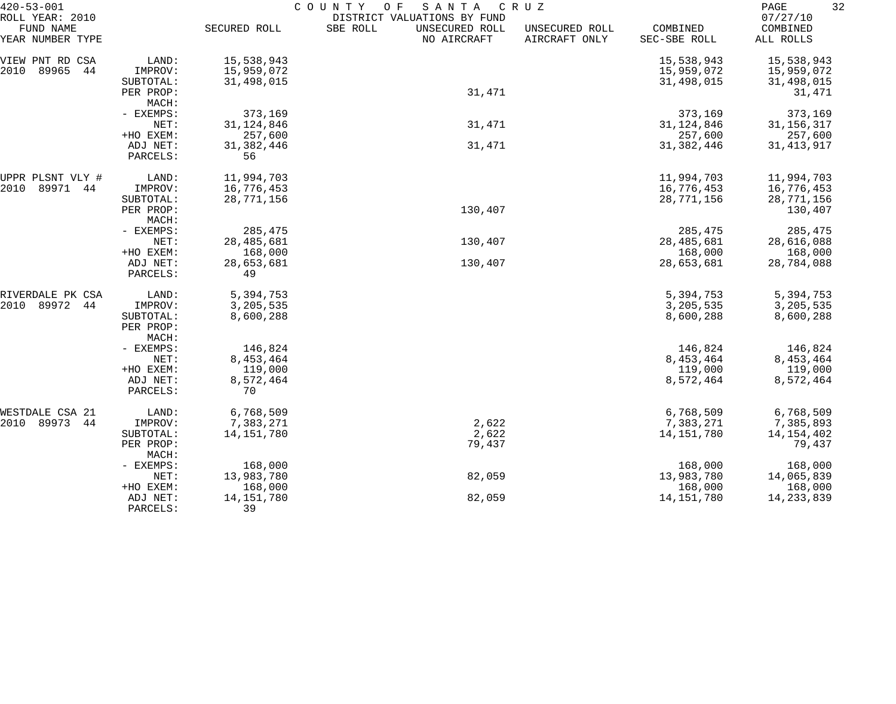| $420 - 53 - 001$                                 |                    | COUNTY<br>SANTA<br>CRUZ<br>O F |                                                                          |                                 |                          |                                   |  |  |
|--------------------------------------------------|--------------------|--------------------------------|--------------------------------------------------------------------------|---------------------------------|--------------------------|-----------------------------------|--|--|
| ROLL YEAR: 2010<br>FUND NAME<br>YEAR NUMBER TYPE |                    | SECURED ROLL                   | DISTRICT VALUATIONS BY FUND<br>SBE ROLL<br>UNSECURED ROLL<br>NO AIRCRAFT | UNSECURED ROLL<br>AIRCRAFT ONLY | COMBINED<br>SEC-SBE ROLL | 07/27/10<br>COMBINED<br>ALL ROLLS |  |  |
| VIEW PNT RD CSA                                  | LAND:              | 15,538,943                     |                                                                          |                                 | 15,538,943               | 15,538,943                        |  |  |
| 89965<br>2010<br>44                              | IMPROV:            | 15,959,072                     |                                                                          |                                 | 15,959,072               | 15,959,072                        |  |  |
|                                                  | SUBTOTAL:          | 31,498,015                     |                                                                          |                                 | 31,498,015               | 31,498,015                        |  |  |
|                                                  | PER PROP:          |                                | 31,471                                                                   |                                 |                          | 31,471                            |  |  |
|                                                  | MACH:              |                                |                                                                          |                                 |                          |                                   |  |  |
|                                                  | - EXEMPS:          | 373,169                        |                                                                          |                                 | 373,169                  | 373,169                           |  |  |
|                                                  | NET:<br>+HO EXEM:  | 31, 124, 846<br>257,600        | 31,471                                                                   |                                 | 31, 124, 846<br>257,600  | 31, 156, 317<br>257,600           |  |  |
|                                                  | ADJ NET:           | 31, 382, 446                   | 31,471                                                                   |                                 | 31,382,446               | 31, 413, 917                      |  |  |
|                                                  | PARCELS:           | 56                             |                                                                          |                                 |                          |                                   |  |  |
| UPPR PLSNT VLY #                                 | LAND:              | 11,994,703                     |                                                                          |                                 | 11,994,703               | 11,994,703                        |  |  |
| 89971<br>2010<br>44                              | IMPROV:            | 16,776,453                     |                                                                          |                                 | 16,776,453               | 16,776,453                        |  |  |
|                                                  | SUBTOTAL:          | 28,771,156                     |                                                                          |                                 | 28,771,156               | 28,771,156                        |  |  |
|                                                  | PER PROP:          |                                | 130,407                                                                  |                                 |                          | 130,407                           |  |  |
|                                                  | MACH:<br>- EXEMPS: | 285,475                        |                                                                          |                                 | 285,475                  |                                   |  |  |
|                                                  | NET:               | 28,485,681                     | 130,407                                                                  |                                 | 28,485,681               | 285,475<br>28,616,088             |  |  |
|                                                  | +HO EXEM:          | 168,000                        |                                                                          |                                 | 168,000                  | 168,000                           |  |  |
|                                                  | ADJ NET:           | 28,653,681                     | 130,407                                                                  |                                 | 28,653,681               | 28,784,088                        |  |  |
|                                                  | PARCELS:           | 49                             |                                                                          |                                 |                          |                                   |  |  |
| RIVERDALE PK CSA                                 | LAND:              | 5,394,753                      |                                                                          |                                 | 5,394,753                | 5,394,753                         |  |  |
| 89972<br>2010<br>44                              | IMPROV:            | 3,205,535                      |                                                                          |                                 | 3,205,535                | 3,205,535                         |  |  |
|                                                  | SUBTOTAL:          | 8,600,288                      |                                                                          |                                 | 8,600,288                | 8,600,288                         |  |  |
|                                                  | PER PROP:          |                                |                                                                          |                                 |                          |                                   |  |  |
|                                                  | MACH:<br>- EXEMPS: | 146,824                        |                                                                          |                                 | 146,824                  | 146,824                           |  |  |
|                                                  | NET:               | 8,453,464                      |                                                                          |                                 | 8,453,464                | 8,453,464                         |  |  |
|                                                  | +HO EXEM:          | 119,000                        |                                                                          |                                 | 119,000                  | 119,000                           |  |  |
|                                                  | ADJ NET:           | 8,572,464                      |                                                                          |                                 | 8,572,464                | 8,572,464                         |  |  |
|                                                  | PARCELS:           | 70                             |                                                                          |                                 |                          |                                   |  |  |
| WESTDALE CSA 21                                  | LAND:              | 6,768,509                      |                                                                          |                                 | 6,768,509                | 6,768,509                         |  |  |
| 2010 89973<br>44                                 | IMPROV:            | 7,383,271                      | 2,622                                                                    |                                 | 7,383,271                | 7,385,893                         |  |  |
|                                                  | SUBTOTAL:          | 14, 151, 780                   | 2,622                                                                    |                                 | 14,151,780               | 14,154,402                        |  |  |
|                                                  | PER PROP:<br>MACH: |                                | 79,437                                                                   |                                 |                          | 79,437                            |  |  |
|                                                  | - EXEMPS:          | 168,000                        |                                                                          |                                 | 168,000                  | 168,000                           |  |  |
|                                                  | NET:               | 13,983,780                     | 82,059                                                                   |                                 | 13,983,780               | 14,065,839                        |  |  |
|                                                  | +HO EXEM:          | 168,000                        |                                                                          |                                 | 168,000                  | 168,000                           |  |  |
|                                                  | ADJ NET:           | 14, 151, 780                   | 82,059                                                                   |                                 | 14,151,780               | 14,233,839                        |  |  |
|                                                  | PARCELS:           | 39                             |                                                                          |                                 |                          |                                   |  |  |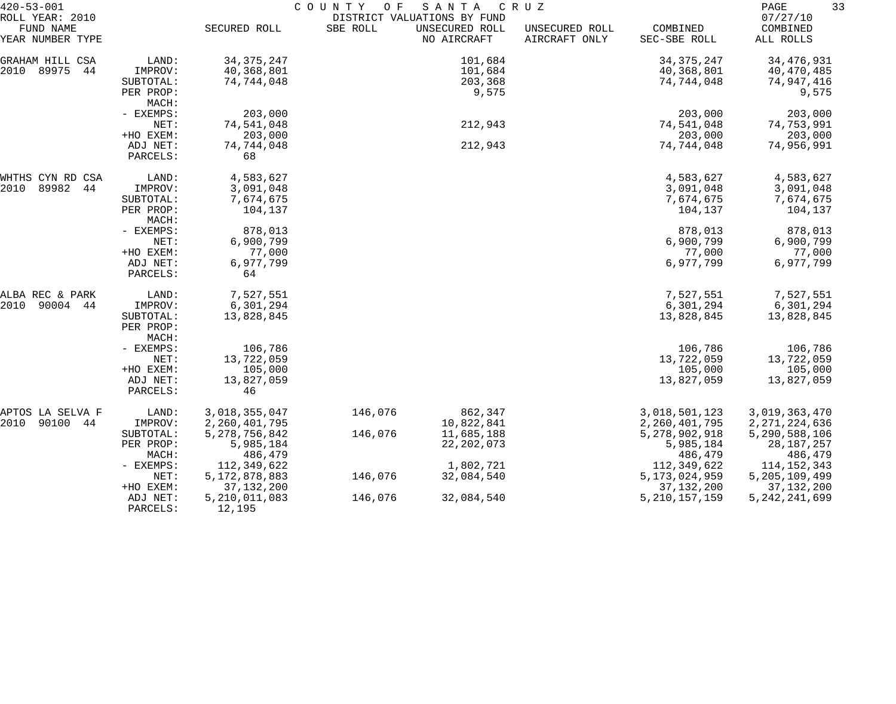| $420 - 53 - 001$              |                    | COUNTY<br>SANTA<br>C R U Z<br>O F |          |                               |                                 |                          |                       |
|-------------------------------|--------------------|-----------------------------------|----------|-------------------------------|---------------------------------|--------------------------|-----------------------|
| ROLL YEAR: 2010               |                    |                                   |          | DISTRICT VALUATIONS BY FUND   |                                 |                          | 07/27/10              |
| FUND NAME<br>YEAR NUMBER TYPE |                    | SECURED ROLL                      | SBE ROLL | UNSECURED ROLL<br>NO AIRCRAFT | UNSECURED ROLL<br>AIRCRAFT ONLY | COMBINED<br>SEC-SBE ROLL | COMBINED<br>ALL ROLLS |
| GRAHAM HILL CSA               | LAND:              | 34, 375, 247                      |          | 101,684                       |                                 | 34, 375, 247             | 34, 476, 931          |
| 2010<br>89975<br>44           | IMPROV:            | 40,368,801                        |          | 101,684                       |                                 | 40,368,801               | 40,470,485            |
|                               | SUBTOTAL:          | 74,744,048                        |          | 203,368                       |                                 | 74,744,048               | 74,947,416            |
|                               | PER PROP:          |                                   |          | 9,575                         |                                 |                          | 9,575                 |
|                               | MACH:              |                                   |          |                               |                                 |                          |                       |
|                               | - EXEMPS:          | 203,000                           |          |                               |                                 | 203,000                  | 203,000               |
|                               | NET:               | 74,541,048                        |          | 212,943                       |                                 | 74,541,048               | 74,753,991            |
|                               | +HO EXEM:          | 203,000                           |          |                               |                                 | 203,000                  | 203,000               |
|                               | ADJ NET:           | 74,744,048                        |          | 212,943                       |                                 | 74,744,048               | 74,956,991            |
|                               | PARCELS:           | 68                                |          |                               |                                 |                          |                       |
| WHTHS CYN RD CSA              | LAND:              | 4,583,627                         |          |                               |                                 | 4,583,627                | 4,583,627             |
| 2010<br>89982<br>44           | IMPROV:            | 3,091,048                         |          |                               |                                 | 3,091,048                | 3,091,048             |
|                               | SUBTOTAL:          | 7,674,675                         |          |                               |                                 | 7,674,675                | 7,674,675             |
|                               | PER PROP:<br>MACH: | 104,137                           |          |                               |                                 | 104,137                  | 104,137               |
|                               | - EXEMPS:          | 878,013                           |          |                               |                                 | 878,013                  | 878,013               |
|                               | NET:               | 6,900,799                         |          |                               |                                 | 6,900,799                | 6,900,799             |
|                               | +HO EXEM:          | 77,000                            |          |                               |                                 | 77,000                   | 77,000                |
|                               | ADJ NET:           | 6,977,799                         |          |                               |                                 | 6,977,799                | 6,977,799             |
|                               | PARCELS:           | 64                                |          |                               |                                 |                          |                       |
| ALBA REC & PARK               | LAND:              | 7,527,551                         |          |                               |                                 | 7,527,551                | 7,527,551             |
| 2010<br>90004<br>44           | IMPROV:            | 6,301,294                         |          |                               |                                 | 6,301,294                | 6,301,294             |
|                               | SUBTOTAL:          | 13,828,845                        |          |                               |                                 | 13,828,845               | 13,828,845            |
|                               | PER PROP:          |                                   |          |                               |                                 |                          |                       |
|                               | MACH:              |                                   |          |                               |                                 |                          |                       |
|                               | - EXEMPS:          | 106,786                           |          |                               |                                 | 106,786                  | 106,786               |
|                               | NET:               | 13,722,059                        |          |                               |                                 | 13,722,059               | 13,722,059            |
|                               | +HO EXEM:          | 105,000                           |          |                               |                                 | 105,000                  | 105,000               |
|                               | ADJ NET:           | 13,827,059                        |          |                               |                                 | 13,827,059               | 13,827,059            |
|                               | PARCELS:           | 46                                |          |                               |                                 |                          |                       |
| APTOS LA SELVA F              | LAND:              | 3,018,355,047                     | 146,076  | 862,347                       |                                 | 3,018,501,123            | 3,019,363,470         |
| 90100 44<br>2010              | IMPROV:            | 2,260,401,795                     |          | 10,822,841                    |                                 | 2,260,401,795            | 2, 271, 224, 636      |
|                               | SUBTOTAL:          | 5, 278, 756, 842                  | 146,076  | 11,685,188                    |                                 | 5,278,902,918            | 5,290,588,106         |
|                               | PER PROP:          | 5,985,184                         |          | 22, 202, 073                  |                                 | 5,985,184                | 28, 187, 257          |
|                               | MACH:              | 486,479                           |          |                               |                                 | 486,479                  | 486,479               |
|                               | - EXEMPS:          | 112,349,622                       |          | 1,802,721                     |                                 | 112,349,622              | 114, 152, 343         |
|                               | NET:               | 5, 172, 878, 883                  | 146,076  | 32,084,540                    |                                 | 5, 173, 024, 959         | 5, 205, 109, 499      |
|                               | +HO EXEM:          | 37, 132, 200                      |          |                               |                                 | 37, 132, 200             | 37, 132, 200          |
|                               | ADJ NET:           | 5,210,011,083                     | 146,076  | 32,084,540                    |                                 | 5, 210, 157, 159         | 5, 242, 241, 699      |
|                               | PARCELS:           | 12,195                            |          |                               |                                 |                          |                       |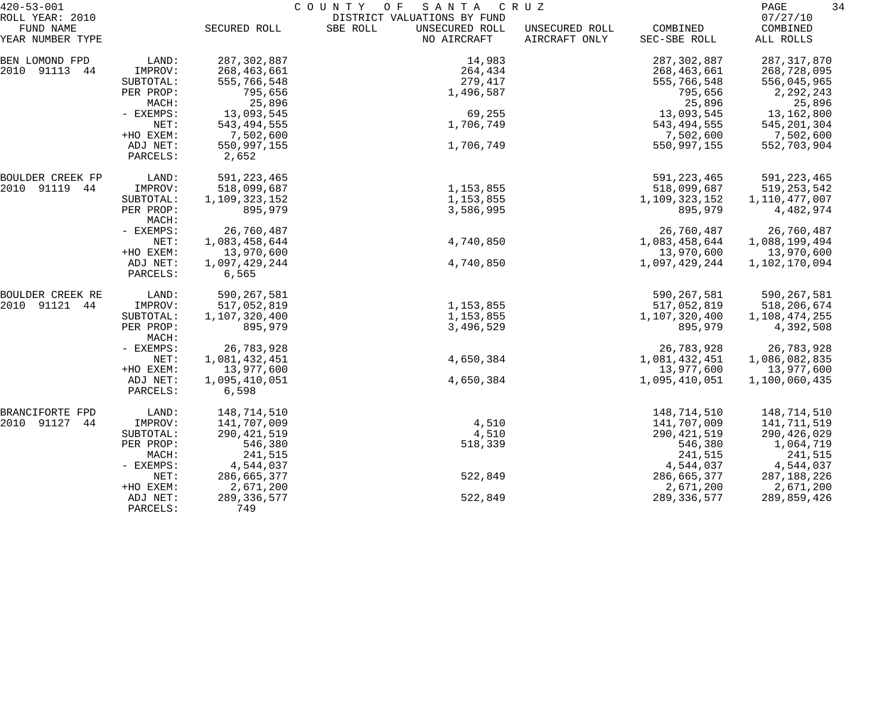| $420 - 53 - 001$<br>ROLL YEAR: 2010 |                       | COUNTY<br>O F<br>SANTA<br>C R U Z<br>DISTRICT VALUATIONS BY FUND |                                           |                                 |                          |                                   |  |
|-------------------------------------|-----------------------|------------------------------------------------------------------|-------------------------------------------|---------------------------------|--------------------------|-----------------------------------|--|
| FUND NAME<br>YEAR NUMBER TYPE       |                       | SECURED ROLL                                                     | SBE ROLL<br>UNSECURED ROLL<br>NO AIRCRAFT | UNSECURED ROLL<br>AIRCRAFT ONLY | COMBINED<br>SEC-SBE ROLL | 07/27/10<br>COMBINED<br>ALL ROLLS |  |
| BEN LOMOND FPD                      | LAND:                 | 287, 302, 887                                                    | 14,983                                    |                                 | 287, 302, 887            | 287, 317, 870                     |  |
| 2010 91113 44                       | IMPROV:               | 268,463,661                                                      | 264,434                                   |                                 | 268,463,661              | 268,728,095                       |  |
|                                     | SUBTOTAL:             | 555,766,548                                                      | 279,417                                   |                                 | 555,766,548              | 556,045,965                       |  |
|                                     | PER PROP:             | 795,656                                                          | 1,496,587                                 |                                 | 795,656                  | 2,292,243                         |  |
|                                     | MACH:                 | 25,896                                                           |                                           |                                 | 25,896                   | 25,896                            |  |
|                                     | - EXEMPS:             | 13,093,545                                                       | 69,255                                    |                                 | 13,093,545               | 13,162,800                        |  |
|                                     | NET:                  | 543, 494, 555                                                    | 1,706,749                                 |                                 | 543,494,555              | 545, 201, 304                     |  |
|                                     | +HO EXEM:<br>ADJ NET: | 7,502,600<br>550,997,155                                         | 1,706,749                                 |                                 | 7,502,600<br>550,997,155 | 7,502,600                         |  |
|                                     | PARCELS:              | 2,652                                                            |                                           |                                 |                          | 552,703,904                       |  |
| BOULDER CREEK FP                    | LAND:                 | 591, 223, 465                                                    |                                           |                                 | 591, 223, 465            | 591, 223, 465                     |  |
| 2010 91119 44                       | IMPROV:               | 518,099,687                                                      | 1,153,855                                 |                                 | 518,099,687              | 519, 253, 542                     |  |
|                                     | SUBTOTAL:             | 1,109,323,152                                                    | 1,153,855                                 |                                 | 1,109,323,152            | 1,110,477,007                     |  |
|                                     | PER PROP:<br>MACH:    | 895,979                                                          | 3,586,995                                 |                                 | 895,979                  | 4,482,974                         |  |
|                                     | - EXEMPS:             | 26,760,487                                                       |                                           |                                 | 26,760,487               | 26,760,487                        |  |
|                                     | NET:                  | 1,083,458,644                                                    | 4,740,850                                 |                                 | 1,083,458,644            | 1,088,199,494                     |  |
|                                     | +HO EXEM:             | 13,970,600                                                       |                                           |                                 | 13,970,600               | 13,970,600                        |  |
|                                     | ADJ NET:<br>PARCELS:  | 1,097,429,244<br>6,565                                           | 4,740,850                                 |                                 | 1,097,429,244            | 1,102,170,094                     |  |
| BOULDER CREEK RE                    | LAND:                 | 590, 267, 581                                                    |                                           |                                 | 590,267,581              | 590,267,581                       |  |
| 2010 91121 44                       | IMPROV:               | 517,052,819                                                      | 1,153,855                                 |                                 | 517,052,819              | 518,206,674                       |  |
|                                     | SUBTOTAL:             | 1,107,320,400                                                    | 1,153,855                                 |                                 | 1,107,320,400            | 1,108,474,255                     |  |
|                                     | PER PROP:<br>MACH:    | 895,979                                                          | 3,496,529                                 |                                 | 895,979                  | 4,392,508                         |  |
|                                     | - EXEMPS:             | 26,783,928                                                       |                                           |                                 | 26,783,928               | 26,783,928                        |  |
|                                     | NET:                  | 1,081,432,451                                                    | 4,650,384                                 |                                 | 1,081,432,451            | 1,086,082,835                     |  |
|                                     | +HO EXEM:             | 13,977,600                                                       |                                           |                                 | 13,977,600               | 13,977,600                        |  |
|                                     | ADJ NET:<br>PARCELS:  | 1,095,410,051<br>6,598                                           | 4,650,384                                 |                                 | 1,095,410,051            | 1,100,060,435                     |  |
| BRANCIFORTE FPD                     | LAND:                 | 148,714,510                                                      |                                           |                                 | 148,714,510              | 148,714,510                       |  |
| 2010 91127 44                       | IMPROV:               | 141,707,009                                                      | 4,510                                     |                                 | 141,707,009              | 141,711,519                       |  |
|                                     | SUBTOTAL:             | 290, 421, 519                                                    | 4,510                                     |                                 | 290, 421, 519            | 290,426,029                       |  |
|                                     | PER PROP:             | 546,380                                                          | 518,339                                   |                                 | 546,380                  | 1,064,719                         |  |
|                                     | MACH:                 | 241,515                                                          |                                           |                                 | 241,515                  | 241,515                           |  |
|                                     | - EXEMPS:             | 4,544,037                                                        |                                           |                                 | 4,544,037                | 4,544,037                         |  |
|                                     | NET:                  | 286,665,377                                                      | 522,849                                   |                                 | 286,665,377              | 287,188,226                       |  |
|                                     | +HO EXEM:             | 2,671,200                                                        |                                           |                                 | 2,671,200                | 2,671,200                         |  |
|                                     | ADJ NET:<br>PARCELS:  | 289, 336, 577<br>749                                             | 522,849                                   |                                 | 289,336,577              | 289,859,426                       |  |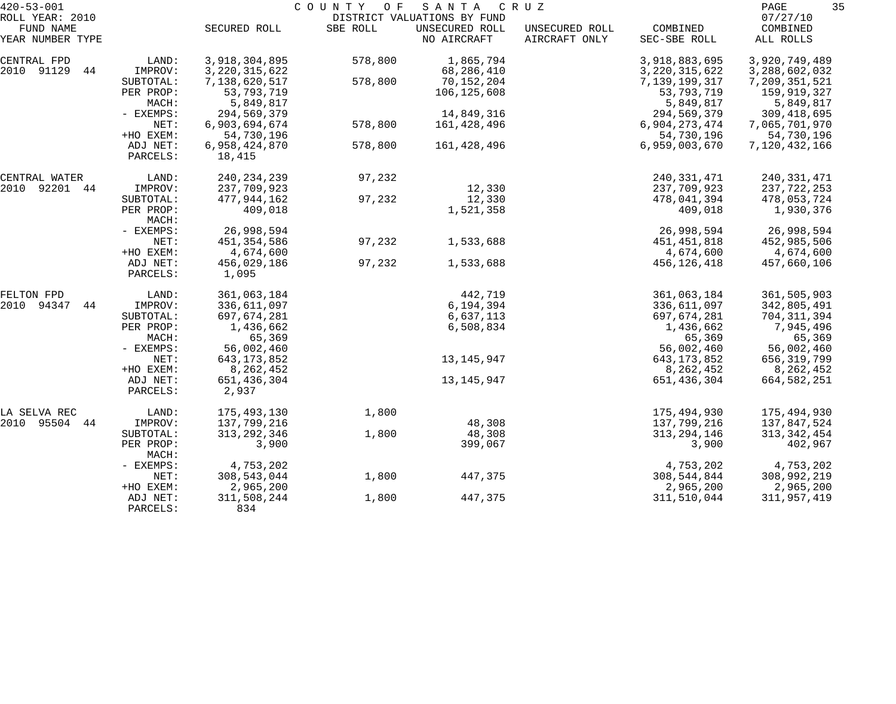| $420 - 53 - 001$    |                    | COUNTY OF<br>SANTA<br>C R U Z |          |                             |                |                  |               |  |  |
|---------------------|--------------------|-------------------------------|----------|-----------------------------|----------------|------------------|---------------|--|--|
| ROLL YEAR: 2010     |                    |                               |          | DISTRICT VALUATIONS BY FUND |                |                  | 07/27/10      |  |  |
| FUND NAME           |                    | SECURED ROLL                  | SBE ROLL | UNSECURED ROLL              | UNSECURED ROLL | COMBINED         | COMBINED      |  |  |
| YEAR NUMBER TYPE    |                    |                               |          | NO AIRCRAFT                 | AIRCRAFT ONLY  | SEC-SBE ROLL     | ALL ROLLS     |  |  |
| CENTRAL FPD         | LAND:              | 3,918,304,895                 | 578,800  | 1,865,794                   |                | 3,918,883,695    | 3,920,749,489 |  |  |
| 2010 91129<br>44    | IMPROV:            | 3, 220, 315, 622              |          | 68,286,410                  |                | 3, 220, 315, 622 | 3,288,602,032 |  |  |
|                     | SUBTOTAL:          | 7,138,620,517                 | 578,800  | 70,152,204                  |                | 7,139,199,317    | 7,209,351,521 |  |  |
|                     | PER PROP:          | 53,793,719                    |          | 106,125,608                 |                | 53,793,719       | 159,919,327   |  |  |
|                     | MACH:              | 5,849,817                     |          |                             |                | 5,849,817        | 5,849,817     |  |  |
|                     | - EXEMPS:          | 294,569,379                   |          | 14,849,316                  |                | 294,569,379      | 309, 418, 695 |  |  |
|                     | NET:               | 6,903,694,674                 | 578,800  | 161,428,496                 |                | 6,904,273,474    | 7,065,701,970 |  |  |
|                     | +HO EXEM:          | 54,730,196                    |          |                             |                | 54,730,196       | 54,730,196    |  |  |
|                     | ADJ NET:           | 6,958,424,870                 | 578,800  | 161,428,496                 |                | 6,959,003,670    | 7,120,432,166 |  |  |
|                     | PARCELS:           | 18,415                        |          |                             |                |                  |               |  |  |
| CENTRAL WATER       | LAND:              | 240, 234, 239                 | 97,232   |                             |                | 240, 331, 471    | 240, 331, 471 |  |  |
| 2010 92201 44       | IMPROV:            | 237,709,923                   |          | 12,330                      |                | 237,709,923      | 237,722,253   |  |  |
|                     | SUBTOTAL:          | 477,944,162                   | 97,232   | 12,330                      |                | 478,041,394      | 478,053,724   |  |  |
|                     | PER PROP:          | 409,018                       |          | 1,521,358                   |                | 409,018          | 1,930,376     |  |  |
|                     | MACH:              |                               |          |                             |                |                  |               |  |  |
|                     | - EXEMPS:          | 26,998,594                    |          |                             |                | 26,998,594       | 26,998,594    |  |  |
|                     | NET:               | 451,354,586                   | 97,232   | 1,533,688                   |                | 451, 451, 818    | 452,985,506   |  |  |
|                     | +HO EXEM:          | 4,674,600                     |          |                             |                | 4,674,600        | 4,674,600     |  |  |
|                     | ADJ NET:           | 456,029,186                   | 97,232   | 1,533,688                   |                | 456,126,418      | 457,660,106   |  |  |
|                     | PARCELS:           | 1,095                         |          |                             |                |                  |               |  |  |
| FELTON FPD          | LAND:              | 361,063,184                   |          | 442,719                     |                | 361,063,184      | 361,505,903   |  |  |
| 94347<br>2010<br>44 | IMPROV:            | 336,611,097                   |          | 6,194,394                   |                | 336,611,097      | 342,805,491   |  |  |
|                     | SUBTOTAL:          | 697,674,281                   |          | 6,637,113                   |                | 697,674,281      | 704,311,394   |  |  |
|                     | PER PROP:          | 1,436,662                     |          | 6,508,834                   |                | 1,436,662        | 7,945,496     |  |  |
|                     | MACH:              | 65,369                        |          |                             |                | 65,369           | 65,369        |  |  |
|                     | - EXEMPS:          | 56,002,460                    |          |                             |                | 56,002,460       | 56,002,460    |  |  |
|                     | NET:               | 643, 173, 852                 |          | 13,145,947                  |                | 643, 173, 852    | 656,319,799   |  |  |
|                     | +HO EXEM:          | 8,262,452                     |          |                             |                | 8,262,452        | 8,262,452     |  |  |
|                     | ADJ NET:           | 651,436,304                   |          | 13, 145, 947                |                | 651,436,304      | 664,582,251   |  |  |
|                     | PARCELS:           | 2,937                         |          |                             |                |                  |               |  |  |
| LA SELVA REC        | LAND:              | 175,493,130                   | 1,800    |                             |                | 175,494,930      | 175,494,930   |  |  |
| 2010 95504 44       | IMPROV:            | 137,799,216                   |          | 48,308                      |                | 137,799,216      | 137,847,524   |  |  |
|                     | SUBTOTAL:          | 313, 292, 346                 | 1,800    | 48,308                      |                | 313, 294, 146    | 313, 342, 454 |  |  |
|                     | PER PROP:<br>MACH: | 3,900                         |          | 399,067                     |                | 3,900            | 402,967       |  |  |
|                     | - EXEMPS:          | 4,753,202                     |          |                             |                | 4,753,202        | 4,753,202     |  |  |
|                     | NET:               | 308,543,044                   | 1,800    | 447,375                     |                | 308,544,844      | 308,992,219   |  |  |
|                     | +HO EXEM:          | 2,965,200                     |          |                             |                | 2,965,200        | 2,965,200     |  |  |
|                     | ADJ NET:           | 311,508,244                   | 1,800    | 447,375                     |                | 311,510,044      | 311,957,419   |  |  |
|                     | PARCELS:           | 834                           |          |                             |                |                  |               |  |  |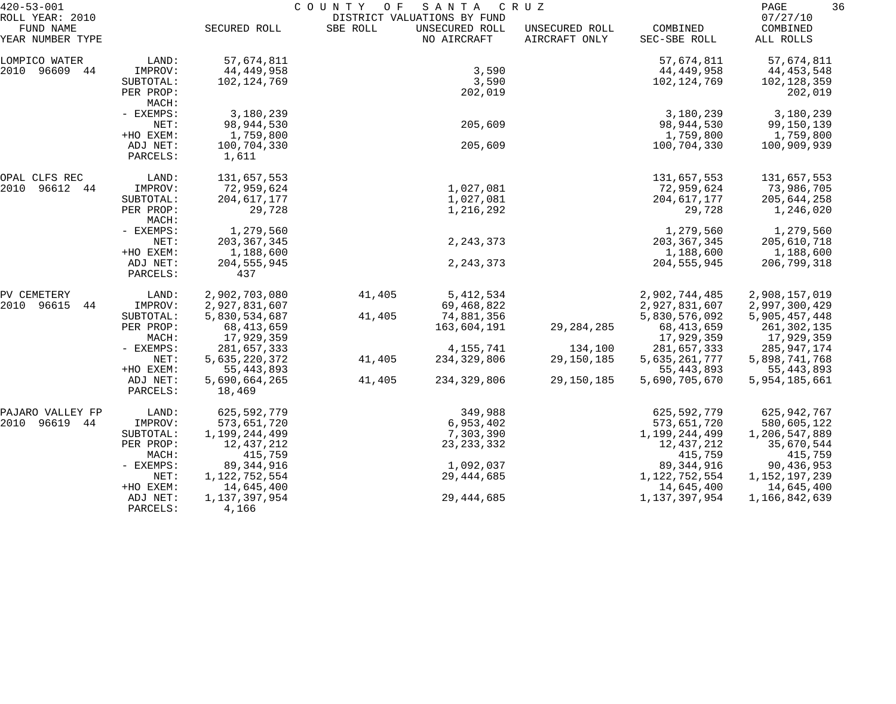| $420 - 53 - 001$             |                                 | COUNTY<br>O F<br>SANTA<br>C R U Z |          |                                               |                |                               |                             | 36<br>PAGE |  |
|------------------------------|---------------------------------|-----------------------------------|----------|-----------------------------------------------|----------------|-------------------------------|-----------------------------|------------|--|
| ROLL YEAR: 2010<br>FUND NAME |                                 | SECURED ROLL                      | SBE ROLL | DISTRICT VALUATIONS BY FUND<br>UNSECURED ROLL | UNSECURED ROLL | COMBINED                      | 07/27/10<br>COMBINED        |            |  |
| YEAR NUMBER TYPE             |                                 |                                   |          | NO AIRCRAFT                                   | AIRCRAFT ONLY  | SEC-SBE ROLL                  | ALL ROLLS                   |            |  |
| LOMPICO WATER                | LAND:                           | 57,674,811                        |          |                                               |                | 57,674,811                    | 57,674,811                  |            |  |
| 2010 96609<br>44             | IMPROV:                         | 44,449,958                        |          | 3,590                                         |                | 44,449,958                    | 44, 453, 548                |            |  |
|                              | SUBTOTAL:<br>PER PROP:<br>MACH: | 102, 124, 769                     |          | 3,590<br>202,019                              |                | 102, 124, 769                 | 102,128,359<br>202,019      |            |  |
|                              | - EXEMPS:                       | 3,180,239                         |          |                                               |                | 3,180,239                     | 3,180,239                   |            |  |
|                              | NET:                            | 98,944,530                        |          | 205,609                                       |                | 98,944,530                    | 99,150,139                  |            |  |
|                              | +HO EXEM:                       | 1,759,800                         |          |                                               |                | 1,759,800                     | 1,759,800                   |            |  |
|                              | ADJ NET:<br>PARCELS:            | 100,704,330<br>1,611              |          | 205,609                                       |                | 100,704,330                   | 100,909,939                 |            |  |
| OPAL CLFS REC                | LAND:                           | 131,657,553                       |          |                                               |                | 131,657,553                   | 131,657,553                 |            |  |
| 2010<br>96612<br>44          | IMPROV:                         | 72,959,624                        |          | 1,027,081                                     |                | 72,959,624                    | 73,986,705                  |            |  |
|                              | SUBTOTAL:                       | 204, 617, 177                     |          | 1,027,081                                     |                | 204, 617, 177                 | 205,644,258                 |            |  |
|                              | PER PROP:<br>MACH:              | 29,728                            |          | 1,216,292                                     |                | 29,728                        | 1,246,020                   |            |  |
|                              | - EXEMPS:                       | 1,279,560                         |          |                                               |                | 1,279,560                     | 1,279,560                   |            |  |
|                              | NET:                            | 203, 367, 345                     |          | 2, 243, 373                                   |                | 203, 367, 345                 | 205,610,718                 |            |  |
|                              | +HO EXEM:                       | 1,188,600                         |          |                                               |                | 1,188,600                     | 1,188,600                   |            |  |
|                              | ADJ NET:<br>PARCELS:            | 204, 555, 945<br>437              |          | 2, 243, 373                                   |                | 204, 555, 945                 | 206,799,318                 |            |  |
| PV CEMETERY                  | LAND:                           | 2,902,703,080                     | 41,405   | 5, 412, 534                                   |                | 2,902,744,485                 | 2,908,157,019               |            |  |
| 2010<br>96615<br>44          | IMPROV:                         | 2,927,831,607                     |          | 69,468,822                                    |                | 2,927,831,607                 | 2,997,300,429               |            |  |
|                              | SUBTOTAL:                       | 5,830,534,687                     | 41,405   | 74,881,356                                    |                | 5,830,576,092                 | 5,905,457,448               |            |  |
|                              | PER PROP:                       | 68, 413, 659                      |          | 163,604,191                                   | 29, 284, 285   | 68, 413, 659                  | 261,302,135                 |            |  |
|                              | MACH:                           | 17,929,359                        |          |                                               |                | 17,929,359                    | 17,929,359                  |            |  |
|                              | - EXEMPS:                       | 281,657,333                       |          | 4, 155, 741                                   | 134,100        | 281,657,333                   | 285,947,174                 |            |  |
|                              | NET:                            | 5,635,220,372                     | 41,405   | 234,329,806                                   | 29,150,185     | 5,635,261,777                 | 5,898,741,768               |            |  |
|                              | +HO EXEM:<br>ADJ NET:           | 55, 443, 893<br>5,690,664,265     | 41,405   | 234, 329, 806                                 | 29,150,185     | 55, 443, 893<br>5,690,705,670 | 55,443,893<br>5,954,185,661 |            |  |
|                              | PARCELS:                        | 18,469                            |          |                                               |                |                               |                             |            |  |
| PAJARO VALLEY FP             | LAND:                           | 625,592,779                       |          | 349,988                                       |                | 625,592,779                   | 625,942,767                 |            |  |
| 2010<br>96619 44             | IMPROV:                         | 573,651,720                       |          | 6,953,402                                     |                | 573,651,720                   | 580,605,122                 |            |  |
|                              | SUBTOTAL:                       | 1,199,244,499                     |          | 7,303,390                                     |                | 1,199,244,499                 | 1,206,547,889               |            |  |
|                              | PER PROP:                       | 12,437,212                        |          | 23, 233, 332                                  |                | 12,437,212                    | 35,670,544                  |            |  |
|                              | MACH:                           | 415,759                           |          |                                               |                | 415,759                       | 415,759                     |            |  |
|                              | $-$ EXEMPS:                     | 89, 344, 916                      |          | 1,092,037                                     |                | 89, 344, 916                  | 90,436,953                  |            |  |
|                              | NET:                            | 1,122,752,554                     |          | 29, 444, 685                                  |                | 1,122,752,554                 | 1,152,197,239               |            |  |
|                              | +HO EXEM:                       | 14,645,400                        |          |                                               |                | 14,645,400                    | 14,645,400                  |            |  |
|                              | ADJ NET:<br>PARCELS:            | 1,137,397,954<br>4,166            |          | 29, 444, 685                                  |                | 1, 137, 397, 954              | 1,166,842,639               |            |  |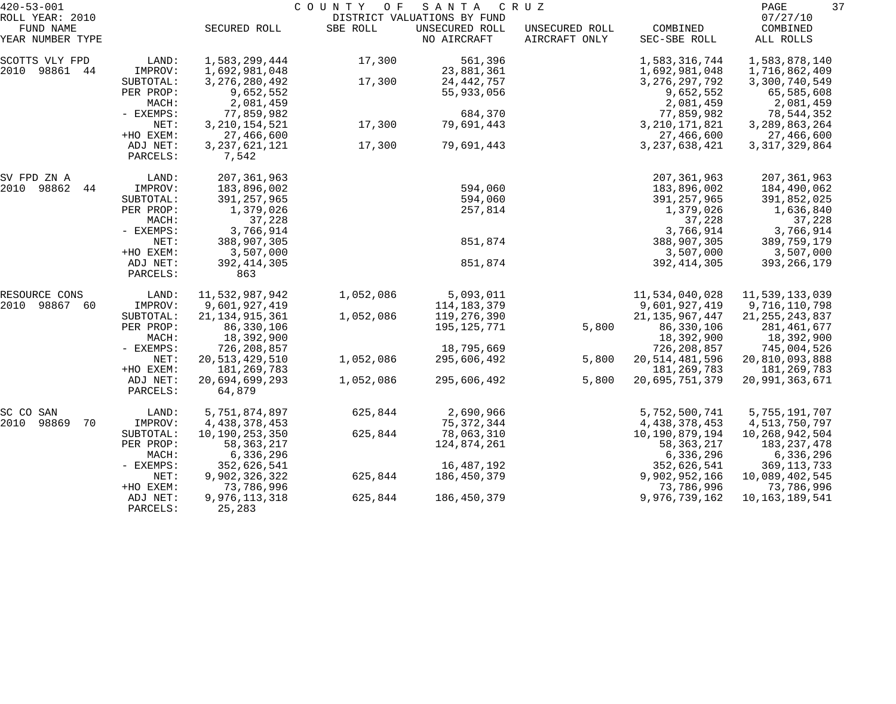| $420 - 53 - 001$              |                      |                           | COUNTY OF | SANTA                         | C R U Z                         |                          | 37<br>PAGE            |
|-------------------------------|----------------------|---------------------------|-----------|-------------------------------|---------------------------------|--------------------------|-----------------------|
| ROLL YEAR: 2010               |                      |                           |           | DISTRICT VALUATIONS BY FUND   |                                 |                          | 07/27/10              |
| FUND NAME<br>YEAR NUMBER TYPE |                      | SECURED ROLL              | SBE ROLL  | UNSECURED ROLL<br>NO AIRCRAFT | UNSECURED ROLL<br>AIRCRAFT ONLY | COMBINED<br>SEC-SBE ROLL | COMBINED<br>ALL ROLLS |
| SCOTTS VLY FPD                | LAND:                | 1,583,299,444             | 17,300    | 561,396                       |                                 | 1,583,316,744            | 1,583,878,140         |
| 2010<br>98861 44              | IMPROV:              | 1,692,981,048             |           | 23,881,361                    |                                 | 1,692,981,048            | 1,716,862,409         |
|                               | SUBTOTAL:            | 3, 276, 280, 492          | 17,300    | 24, 442, 757                  |                                 | 3, 276, 297, 792         | 3,300,740,549         |
|                               | PER PROP:            | 9,652,552                 |           | 55,933,056                    |                                 | 9,652,552                | 65,585,608            |
|                               | MACH:                | 2,081,459                 |           |                               |                                 | 2,081,459                | 2,081,459             |
|                               | - EXEMPS:            | 77,859,982                |           | 684,370                       |                                 | 77,859,982               | 78,544,352            |
|                               | NET:                 | 3, 210, 154, 521          | 17,300    | 79,691,443                    |                                 | 3, 210, 171, 821         | 3, 289, 863, 264      |
|                               | +HO EXEM:            | 27,466,600                |           |                               |                                 | 27,466,600               | 27,466,600            |
|                               | ADJ NET:<br>PARCELS: | 3, 237, 621, 121<br>7,542 | 17,300    | 79,691,443                    |                                 | 3, 237, 638, 421         | 3, 317, 329, 864      |
|                               |                      |                           |           |                               |                                 |                          |                       |
| SV FPD ZN A                   | LAND:                | 207, 361, 963             |           |                               |                                 | 207, 361, 963            | 207, 361, 963         |
| 2010 98862<br>44              | IMPROV:              | 183,896,002               |           | 594,060                       |                                 | 183,896,002              | 184,490,062           |
|                               | SUBTOTAL:            | 391, 257, 965             |           | 594,060                       |                                 | 391,257,965              | 391,852,025           |
|                               | PER PROP:            | 1,379,026                 |           | 257,814                       |                                 | 1,379,026                | 1,636,840             |
|                               | MACH:                | 37,228                    |           |                               |                                 | 37,228                   | 37,228                |
|                               | - EXEMPS:            | 3,766,914                 |           |                               |                                 | 3,766,914                | 3,766,914             |
|                               | NET:                 | 388,907,305               |           | 851,874                       |                                 | 388,907,305              | 389,759,179           |
|                               | +HO EXEM:            | 3,507,000                 |           |                               |                                 | 3,507,000                | 3,507,000             |
|                               | ADJ NET:             | 392, 414, 305             |           | 851,874                       |                                 | 392, 414, 305            | 393, 266, 179         |
|                               | PARCELS:             | 863                       |           |                               |                                 |                          |                       |
| RESOURCE CONS                 | LAND:                | 11,532,987,942            | 1,052,086 | 5,093,011                     |                                 | 11,534,040,028           | 11,539,133,039        |
| 2010<br>98867<br>60           | IMPROV:              | 9,601,927,419             |           | 114, 183, 379                 |                                 | 9,601,927,419            | 9,716,110,798         |
|                               | SUBTOTAL:            | 21, 134, 915, 361         | 1,052,086 | 119,276,390                   |                                 | 21, 135, 967, 447        | 21, 255, 243, 837     |
|                               | PER PROP:            | 86,330,106                |           | 195,125,771                   | 5,800                           | 86,330,106               | 281,461,677           |
|                               | MACH:                | 18,392,900                |           |                               |                                 | 18,392,900               | 18,392,900            |
|                               | - EXEMPS:            | 726,208,857               |           | 18,795,669                    |                                 | 726,208,857              | 745,004,526           |
|                               | NET:                 | 20, 513, 429, 510         | 1,052,086 | 295,606,492                   | 5,800                           | 20, 514, 481, 596        | 20,810,093,888        |
|                               | +HO EXEM:            | 181, 269, 783             |           |                               |                                 | 181,269,783              | 181,269,783           |
|                               | ADJ NET:             | 20,694,699,293            | 1,052,086 | 295,606,492                   | 5,800                           | 20,695,751,379           | 20,991,363,671        |
|                               | PARCELS:             | 64,879                    |           |                               |                                 |                          |                       |
| SC CO<br>SAN                  | LAND:                | 5,751,874,897             | 625,844   | 2,690,966                     |                                 | 5,752,500,741            | 5,755,191,707         |
| 2010<br>98869<br>70           | IMPROV:              | 4, 438, 378, 453          |           | 75,372,344                    |                                 | 4,438,378,453            | 4,513,750,797         |
|                               | SUBTOTAL:            | 10,190,253,350            | 625,844   | 78,063,310                    |                                 | 10,190,879,194           | 10,268,942,504        |
|                               | PER PROP:            | 58, 363, 217              |           | 124,874,261                   |                                 | 58,363,217               | 183,237,478           |
|                               | MACH:                | 6,336,296                 |           |                               |                                 | 6,336,296                | 6,336,296             |
|                               | - EXEMPS:            | 352,626,541               |           | 16,487,192                    |                                 | 352,626,541              | 369, 113, 733         |
|                               | NET:                 | 9,902,326,322             | 625,844   | 186,450,379                   |                                 | 9,902,952,166            | 10,089,402,545        |
|                               | +HO EXEM:            | 73,786,996                |           |                               |                                 | 73,786,996               | 73,786,996            |
|                               | ADJ NET:             | 9,976,113,318             | 625,844   | 186,450,379                   |                                 | 9,976,739,162            | 10,163,189,541        |
|                               | PARCELS:             | 25,283                    |           |                               |                                 |                          |                       |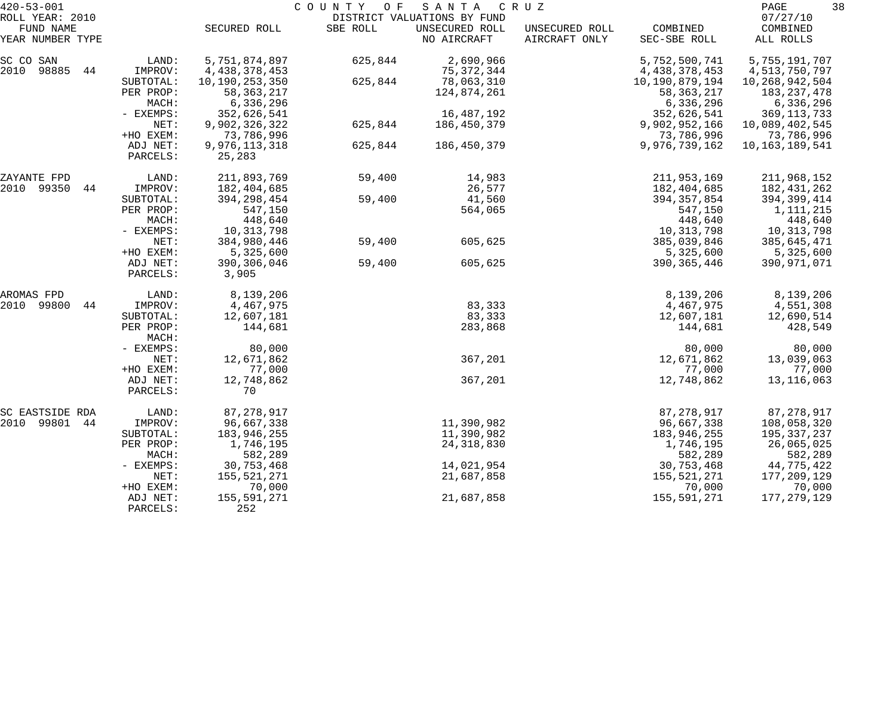| $420 - 53 - 001$<br>ROLL YEAR: 2010 |                      |                                | COUNTY OF | SANTA<br>DISTRICT VALUATIONS BY FUND | C R U Z                         |                                | PAGE<br>07/27/10               | 38 |
|-------------------------------------|----------------------|--------------------------------|-----------|--------------------------------------|---------------------------------|--------------------------------|--------------------------------|----|
| FUND NAME<br>YEAR NUMBER TYPE       |                      | SECURED ROLL                   | SBE ROLL  | UNSECURED ROLL<br>NO AIRCRAFT        | UNSECURED ROLL<br>AIRCRAFT ONLY | COMBINED<br>SEC-SBE ROLL       | COMBINED<br>ALL ROLLS          |    |
| SC CO SAN<br>2010<br>98885<br>44    | LAND:<br>IMPROV:     | 5,751,874,897<br>4,438,378,453 | 625,844   | 2,690,966<br>75, 372, 344            |                                 | 5,752,500,741<br>4,438,378,453 | 5,755,191,707<br>4,513,750,797 |    |
|                                     | SUBTOTAL:            | 10,190,253,350                 | 625,844   | 78,063,310                           |                                 | 10,190,879,194                 | 10, 268, 942, 504              |    |
|                                     | PER PROP:            | 58, 363, 217                   |           | 124,874,261                          |                                 | 58, 363, 217                   | 183, 237, 478                  |    |
|                                     | MACH:                | 6,336,296                      |           |                                      |                                 | 6,336,296                      | 6,336,296                      |    |
|                                     | - EXEMPS:            | 352,626,541                    |           | 16,487,192                           |                                 | 352,626,541                    | 369, 113, 733                  |    |
|                                     | NET:                 | 9,902,326,322                  | 625,844   | 186,450,379                          |                                 | 9,902,952,166                  | 10,089,402,545                 |    |
|                                     | +HO EXEM:            | 73,786,996                     |           |                                      |                                 | 73,786,996                     | 73,786,996                     |    |
|                                     | ADJ NET:<br>PARCELS: | 9,976,113,318<br>25,283        | 625,844   | 186,450,379                          |                                 | 9,976,739,162                  | 10,163,189,541                 |    |
| ZAYANTE FPD                         | LAND:                | 211,893,769                    | 59,400    | 14,983                               |                                 | 211,953,169                    | 211,968,152                    |    |
| 2010 99350<br>44                    | IMPROV:              | 182,404,685                    |           | 26,577                               |                                 | 182,404,685                    | 182,431,262                    |    |
|                                     | SUBTOTAL:            | 394, 298, 454                  | 59,400    | 41,560                               |                                 | 394, 357, 854                  | 394,399,414                    |    |
|                                     | PER PROP:            | 547,150                        |           | 564,065                              |                                 | 547,150                        | 1,111,215                      |    |
|                                     | MACH:                | 448,640                        |           |                                      |                                 | 448,640                        | 448,640                        |    |
|                                     | - EXEMPS:            | 10,313,798                     |           |                                      |                                 | 10,313,798                     | 10,313,798                     |    |
|                                     | NET:                 | 384,980,446                    | 59,400    | 605,625                              |                                 | 385,039,846                    | 385,645,471                    |    |
|                                     | +HO EXEM:            | 5,325,600                      |           |                                      |                                 | 5,325,600                      | 5,325,600                      |    |
|                                     | ADJ NET:<br>PARCELS: | 390,306,046<br>3,905           | 59,400    | 605,625                              |                                 | 390, 365, 446                  | 390,971,071                    |    |
| AROMAS FPD                          | LAND:                | 8,139,206                      |           |                                      |                                 | 8,139,206                      | 8,139,206                      |    |
| 2010<br>99800<br>44                 | IMPROV:              | 4,467,975                      |           | 83,333                               |                                 | 4,467,975                      | 4,551,308                      |    |
|                                     | SUBTOTAL:            | 12,607,181                     |           | 83,333                               |                                 | 12,607,181                     | 12,690,514                     |    |
|                                     | PER PROP:<br>MACH:   | 144,681                        |           | 283,868                              |                                 | 144,681                        | 428,549                        |    |
|                                     | - EXEMPS:            | 80,000                         |           |                                      |                                 | 80,000                         | 80,000                         |    |
|                                     | NET:                 | 12,671,862                     |           | 367,201                              |                                 | 12,671,862                     | 13,039,063                     |    |
|                                     | +HO EXEM:            | 77,000                         |           |                                      |                                 | 77,000                         | 77,000                         |    |
|                                     | ADJ NET:<br>PARCELS: | 12,748,862<br>70               |           | 367,201                              |                                 | 12,748,862                     | 13, 116, 063                   |    |
| SC EASTSIDE RDA                     | LAND:                | 87, 278, 917                   |           |                                      |                                 | 87,278,917                     | 87,278,917                     |    |
| 2010 99801<br>44                    | IMPROV:              | 96,667,338                     |           | 11,390,982                           |                                 | 96,667,338                     | 108,058,320                    |    |
|                                     | SUBTOTAL:            | 183,946,255                    |           | 11,390,982                           |                                 | 183,946,255                    | 195,337,237                    |    |
|                                     | PER PROP:            | 1,746,195                      |           | 24, 318, 830                         |                                 | 1,746,195                      | 26,065,025                     |    |
|                                     | MACH:                | 582,289                        |           |                                      |                                 | 582,289                        | 582,289                        |    |
|                                     | $-$ EXEMPS:          | 30,753,468                     |           | 14,021,954                           |                                 | 30,753,468                     | 44,775,422                     |    |
|                                     | NET:                 | 155,521,271                    |           | 21,687,858                           |                                 | 155,521,271                    | 177,209,129                    |    |
|                                     | +HO EXEM:            | 70,000                         |           |                                      |                                 | 70,000                         | 70,000                         |    |
|                                     | ADJ NET:<br>PARCELS: | 155,591,271<br>252             |           | 21,687,858                           |                                 | 155,591,271                    | 177,279,129                    |    |
|                                     |                      |                                |           |                                      |                                 |                                |                                |    |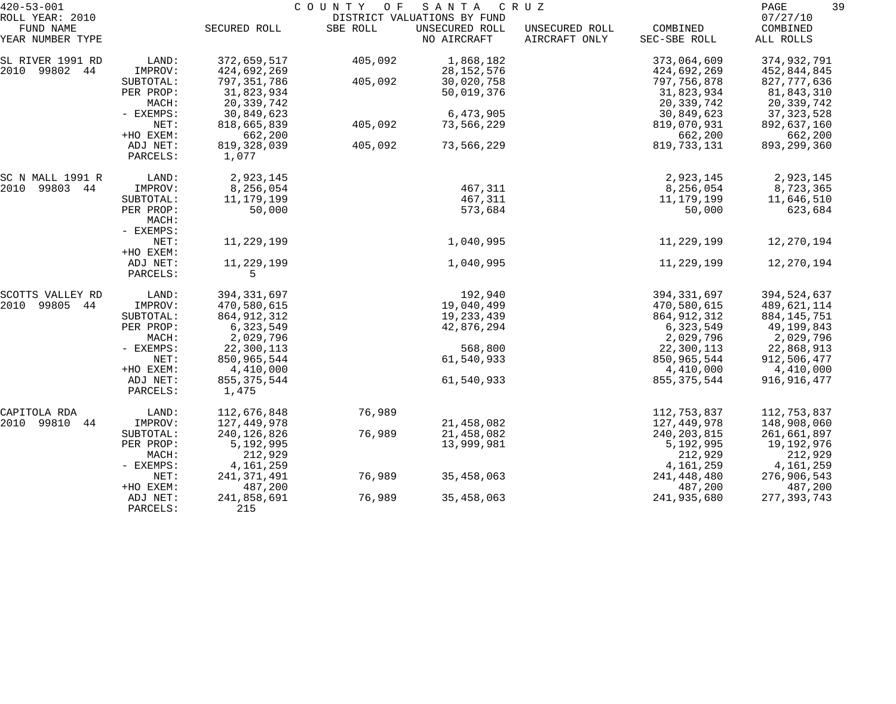| $420 - 53 - 001$             |           |               | COUNTY OF | SANTA                                         | C R U Z        |               | 39<br>PAGE           |
|------------------------------|-----------|---------------|-----------|-----------------------------------------------|----------------|---------------|----------------------|
| ROLL YEAR: 2010<br>FUND NAME |           | SECURED ROLL  | SBE ROLL  | DISTRICT VALUATIONS BY FUND<br>UNSECURED ROLL | UNSECURED ROLL | COMBINED      | 07/27/10<br>COMBINED |
| YEAR NUMBER TYPE             |           |               |           | NO AIRCRAFT                                   | AIRCRAFT ONLY  | SEC-SBE ROLL  | ALL ROLLS            |
| SL RIVER 1991 RD             | LAND:     | 372,659,517   | 405,092   | 1,868,182                                     |                | 373,064,609   | 374,932,791          |
| 2010 99802 44                | IMPROV:   | 424,692,269   |           | 28, 152, 576                                  |                | 424,692,269   | 452,844,845          |
|                              | SUBTOTAL: | 797, 351, 786 | 405,092   | 30,020,758                                    |                | 797,756,878   | 827, 777, 636        |
|                              | PER PROP: | 31,823,934    |           | 50,019,376                                    |                | 31,823,934    | 81,843,310           |
|                              | MACH:     | 20,339,742    |           |                                               |                | 20,339,742    | 20,339,742           |
|                              | - EXEMPS: | 30,849,623    |           | 6,473,905                                     |                | 30,849,623    | 37, 323, 528         |
|                              | NET:      | 818,665,839   | 405,092   | 73,566,229                                    |                | 819,070,931   | 892,637,160          |
|                              | +HO EXEM: | 662,200       |           |                                               |                | 662,200       | 662,200              |
|                              | ADJ NET:  | 819, 328, 039 | 405,092   | 73,566,229                                    |                | 819, 733, 131 | 893, 299, 360        |
|                              | PARCELS:  | 1,077         |           |                                               |                |               |                      |
|                              |           |               |           |                                               |                |               |                      |
| SC N MALL 1991 R             | LAND:     | 2,923,145     |           |                                               |                | 2,923,145     | 2,923,145            |
| 99803 44<br>2010             | IMPROV:   | 8,256,054     |           | 467,311                                       |                | 8,256,054     | 8,723,365            |
|                              | SUBTOTAL: | 11,179,199    |           | 467,311                                       |                | 11,179,199    | 11,646,510           |
|                              | PER PROP: | 50,000        |           | 573,684                                       |                | 50,000        | 623,684              |
|                              | MACH:     |               |           |                                               |                |               |                      |
|                              | - EXEMPS: |               |           |                                               |                |               |                      |
|                              | NET:      | 11,229,199    |           | 1,040,995                                     |                | 11,229,199    | 12,270,194           |
|                              | +HO EXEM: |               |           |                                               |                |               |                      |
|                              | ADJ NET:  | 11,229,199    |           | 1,040,995                                     |                | 11,229,199    | 12,270,194           |
|                              | PARCELS:  | 5             |           |                                               |                |               |                      |
| SCOTTS VALLEY RD             | LAND:     | 394, 331, 697 |           | 192,940                                       |                | 394, 331, 697 | 394,524,637          |
| 2010<br>99805 44             | IMPROV:   | 470,580,615   |           | 19,040,499                                    |                | 470,580,615   | 489,621,114          |
|                              | SUBTOTAL: | 864, 912, 312 |           | 19,233,439                                    |                | 864, 912, 312 | 884, 145, 751        |
|                              | PER PROP: | 6,323,549     |           | 42,876,294                                    |                | 6,323,549     | 49,199,843           |
|                              | MACH:     | 2,029,796     |           |                                               |                | 2,029,796     | 2,029,796            |
|                              | - EXEMPS: | 22,300,113    |           | 568,800                                       |                | 22,300,113    | 22,868,913           |
|                              | NET:      | 850,965,544   |           | 61,540,933                                    |                | 850,965,544   | 912,506,477          |
|                              | +HO EXEM: | 4,410,000     |           |                                               |                | 4,410,000     | 4,410,000            |
|                              | ADJ NET:  | 855, 375, 544 |           | 61,540,933                                    |                | 855, 375, 544 | 916, 916, 477        |
|                              | PARCELS:  | 1,475         |           |                                               |                |               |                      |
| CAPITOLA RDA                 |           |               | 76,989    |                                               |                |               | 112,753,837          |
| 44                           | LAND:     | 112,676,848   |           |                                               |                | 112,753,837   |                      |
| 2010 99810                   | IMPROV:   | 127,449,978   |           | 21,458,082                                    |                | 127,449,978   | 148,908,060          |
|                              | SUBTOTAL: | 240,126,826   | 76,989    | 21,458,082                                    |                | 240, 203, 815 | 261,661,897          |
|                              | PER PROP: | 5,192,995     |           | 13,999,981                                    |                | 5,192,995     | 19,192,976           |
|                              | MACH:     | 212,929       |           |                                               |                | 212,929       | 212,929              |
|                              | - EXEMPS: | 4,161,259     |           |                                               |                | 4,161,259     | 4,161,259            |
|                              | NET:      | 241, 371, 491 | 76,989    | 35,458,063                                    |                | 241,448,480   | 276,906,543          |
|                              | +HO EXEM: | 487,200       |           |                                               |                | 487,200       | 487,200              |
|                              | ADJ NET:  | 241,858,691   | 76,989    | 35,458,063                                    |                | 241,935,680   | 277, 393, 743        |
|                              | PARCELS:  | 215           |           |                                               |                |               |                      |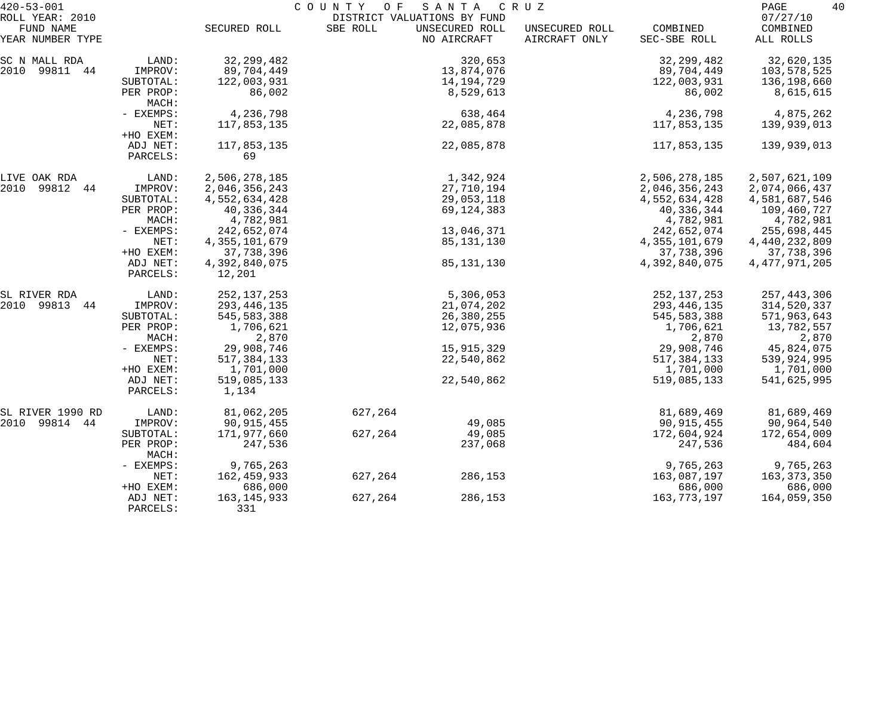| $420 - 53 - 001$                                 |                                   | COUNTY<br>O F<br>S A N T A<br>C R U Z |          |                                                              |                                 |                                     |                                         | 40 |
|--------------------------------------------------|-----------------------------------|---------------------------------------|----------|--------------------------------------------------------------|---------------------------------|-------------------------------------|-----------------------------------------|----|
| ROLL YEAR: 2010<br>FUND NAME<br>YEAR NUMBER TYPE |                                   | SECURED ROLL                          | SBE ROLL | DISTRICT VALUATIONS BY FUND<br>UNSECURED ROLL<br>NO AIRCRAFT | UNSECURED ROLL<br>AIRCRAFT ONLY | COMBINED<br>SEC-SBE ROLL            | 07/27/10<br>COMBINED<br>ALL ROLLS       |    |
| SC N MALL RDA                                    | LAND:                             | 32, 299, 482                          |          | 320,653                                                      |                                 | 32, 299, 482                        | 32,620,135                              |    |
| 2010 99811 44                                    | IMPROV:<br>SUBTOTAL:<br>PER PROP: | 89,704,449<br>122,003,931<br>86,002   |          | 13,874,076<br>14,194,729<br>8,529,613                        |                                 | 89,704,449<br>122,003,931<br>86,002 | 103,578,525<br>136,198,660<br>8,615,615 |    |
|                                                  | MACH:                             |                                       |          |                                                              |                                 |                                     |                                         |    |
|                                                  | - EXEMPS:<br>NET:<br>+HO EXEM:    | 4,236,798<br>117,853,135              |          | 638,464<br>22,085,878                                        |                                 | 4,236,798<br>117,853,135            | 4,875,262<br>139,939,013                |    |
|                                                  | ADJ NET:<br>PARCELS:              | 117,853,135<br>69                     |          | 22,085,878                                                   |                                 | 117,853,135                         | 139,939,013                             |    |
| LIVE OAK RDA                                     | LAND:                             | 2,506,278,185                         |          | 1,342,924                                                    |                                 | 2,506,278,185                       | 2,507,621,109                           |    |
| 2010 99812 44                                    | IMPROV:                           | 2,046,356,243                         |          | 27,710,194                                                   |                                 | 2,046,356,243                       | 2,074,066,437                           |    |
|                                                  | SUBTOTAL:                         | 4,552,634,428                         |          | 29,053,118                                                   |                                 | 4,552,634,428                       | 4,581,687,546                           |    |
|                                                  | PER PROP:<br>MACH:                | 40,336,344<br>4,782,981               |          | 69,124,383                                                   |                                 | 40,336,344<br>4,782,981             | 109,460,727<br>4,782,981                |    |
|                                                  | - EXEMPS:                         | 242,652,074                           |          | 13,046,371                                                   |                                 | 242,652,074                         | 255,698,445                             |    |
|                                                  | NET:                              | 4, 355, 101, 679                      |          | 85,131,130                                                   |                                 | 4, 355, 101, 679                    | 4,440,232,809                           |    |
|                                                  | +HO EXEM:                         | 37,738,396                            |          |                                                              |                                 | 37,738,396                          | 37,738,396                              |    |
|                                                  | ADJ NET:<br>PARCELS:              | 4,392,840,075<br>12,201               |          | 85,131,130                                                   |                                 | 4,392,840,075                       | 4, 477, 971, 205                        |    |
| SL RIVER RDA                                     | LAND:                             | 252, 137, 253                         |          | 5,306,053                                                    |                                 | 252, 137, 253                       | 257, 443, 306                           |    |
| 2010 99813 44                                    | IMPROV:                           | 293, 446, 135                         |          | 21,074,202                                                   |                                 | 293, 446, 135                       | 314,520,337                             |    |
|                                                  | SUBTOTAL:                         | 545,583,388                           |          | 26,380,255                                                   |                                 | 545, 583, 388                       | 571,963,643                             |    |
|                                                  | PER PROP:<br>MACH:                | 1,706,621<br>2,870                    |          | 12,075,936                                                   |                                 | 1,706,621<br>2,870                  | 13,782,557<br>2,870                     |    |
|                                                  | - EXEMPS:                         | 29,908,746                            |          | 15,915,329                                                   |                                 | 29,908,746                          | 45,824,075                              |    |
|                                                  | NET:                              | 517, 384, 133                         |          | 22,540,862                                                   |                                 | 517, 384, 133                       | 539,924,995                             |    |
|                                                  | +HO EXEM:                         | 1,701,000                             |          |                                                              |                                 | 1,701,000                           | 1,701,000                               |    |
|                                                  | ADJ NET:<br>PARCELS:              | 519,085,133<br>1,134                  |          | 22,540,862                                                   |                                 | 519,085,133                         | 541,625,995                             |    |
| SL RIVER 1990 RD                                 | LAND:                             | 81,062,205                            | 627,264  |                                                              |                                 | 81,689,469                          | 81,689,469                              |    |
| 2010 99814 44                                    | IMPROV:                           | 90, 915, 455                          |          | 49,085                                                       |                                 | 90, 915, 455                        | 90,964,540                              |    |
|                                                  | SUBTOTAL:                         | 171,977,660                           | 627,264  | 49,085                                                       |                                 | 172,604,924                         | 172,654,009                             |    |
|                                                  | PER PROP:<br>MACH:                | 247,536                               |          | 237,068                                                      |                                 | 247,536                             | 484,604                                 |    |
|                                                  | - EXEMPS:                         | 9,765,263                             |          |                                                              |                                 | 9,765,263                           | 9,765,263                               |    |
|                                                  | NET:<br>+HO EXEM:                 | 162,459,933<br>686,000                | 627,264  | 286,153                                                      |                                 | 163,087,197<br>686,000              | 163, 373, 350<br>686,000                |    |
|                                                  | ADJ NET:<br>PARCELS:              | 163, 145, 933<br>331                  | 627,264  | 286,153                                                      |                                 | 163, 773, 197                       | 164,059,350                             |    |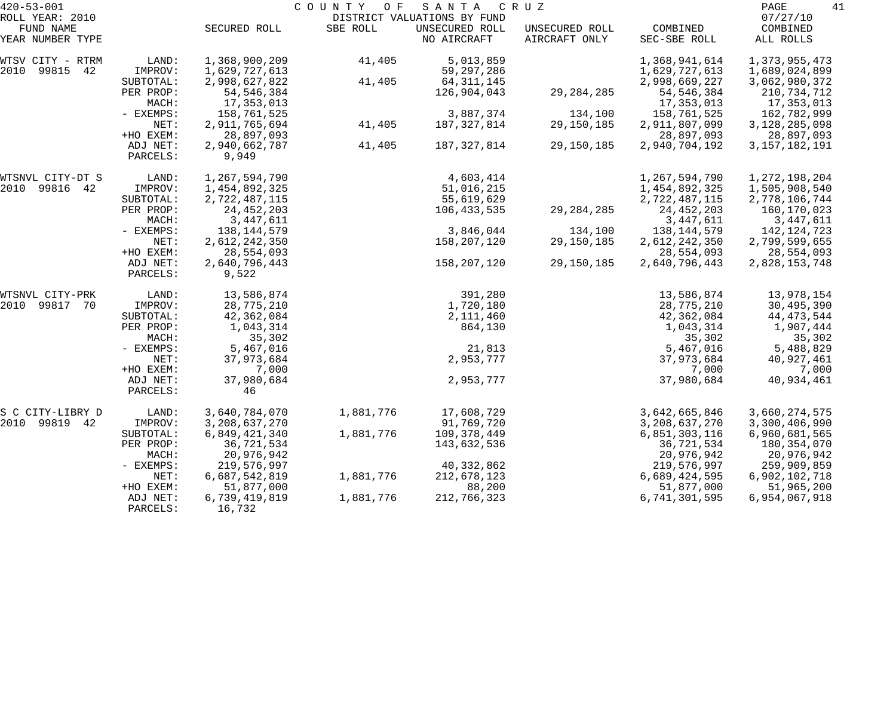| $420 - 53 - 001$    |             |                  | COUNTY OF | SANTA                       | CRUZ           |                  | PAGE<br>41       |
|---------------------|-------------|------------------|-----------|-----------------------------|----------------|------------------|------------------|
| ROLL YEAR: 2010     |             |                  |           | DISTRICT VALUATIONS BY FUND |                |                  | 07/27/10         |
| FUND NAME           |             | SECURED ROLL     | SBE ROLL  | UNSECURED ROLL              | UNSECURED ROLL | COMBINED         | COMBINED         |
| YEAR NUMBER TYPE    |             |                  |           | NO AIRCRAFT                 | AIRCRAFT ONLY  | SEC-SBE ROLL     | ALL ROLLS        |
| WTSV CITY - RTRM    | LAND:       | 1,368,900,209    | 41,405    | 5,013,859                   |                | 1,368,941,614    | 1,373,955,473    |
| 2010<br>99815<br>42 | IMPROV:     | 1,629,727,613    |           | 59, 297, 286                |                | 1,629,727,613    | 1,689,024,899    |
|                     | SUBTOTAL:   | 2,998,627,822    | 41,405    | 64, 311, 145                |                | 2,998,669,227    | 3,062,980,372    |
|                     | PER PROP:   | 54, 546, 384     |           | 126,904,043                 | 29, 284, 285   | 54, 546, 384     | 210,734,712      |
|                     | MACH:       | 17,353,013       |           |                             |                | 17,353,013       | 17,353,013       |
|                     | - EXEMPS:   | 158,761,525      |           | 3,887,374                   | 134,100        | 158,761,525      | 162,782,999      |
|                     | NET:        | 2,911,765,694    | 41,405    | 187, 327, 814               | 29,150,185     | 2,911,807,099    | 3,128,285,098    |
|                     | +HO EXEM:   | 28,897,093       |           |                             |                | 28,897,093       | 28,897,093       |
|                     | ADJ NET:    | 2,940,662,787    | 41,405    | 187,327,814                 | 29,150,185     | 2,940,704,192    | 3, 157, 182, 191 |
|                     | PARCELS:    | 9,949            |           |                             |                |                  |                  |
| WTSNVL CITY-DT S    | LAND:       | 1,267,594,790    |           | 4,603,414                   |                | 1,267,594,790    | 1, 272, 198, 204 |
| 2010<br>99816<br>42 | IMPROV:     | 1,454,892,325    |           | 51,016,215                  |                | 1,454,892,325    | 1,505,908,540    |
|                     | SUBTOTAL:   | 2,722,487,115    |           | 55,619,629                  |                | 2,722,487,115    | 2,778,106,744    |
|                     | PER PROP:   | 24, 452, 203     |           | 106,433,535                 | 29, 284, 285   | 24, 452, 203     | 160,170,023      |
|                     | MACH:       | 3,447,611        |           |                             |                | 3,447,611        | 3,447,611        |
|                     | - EXEMPS:   | 138, 144, 579    |           | 3,846,044                   | 134,100        | 138,144,579      | 142,124,723      |
|                     | NET:        | 2,612,242,350    |           | 158,207,120                 | 29,150,185     | 2,612,242,350    | 2,799,599,655    |
|                     | +HO EXEM:   | 28,554,093       |           |                             |                | 28,554,093       | 28,554,093       |
|                     | ADJ NET:    | 2,640,796,443    |           | 158,207,120                 | 29,150,185     | 2,640,796,443    | 2,828,153,748    |
|                     | PARCELS:    | 9,522            |           |                             |                |                  |                  |
| WTSNVL CITY-PRK     | LAND:       | 13,586,874       |           | 391,280                     |                | 13,586,874       | 13,978,154       |
| 2010<br>99817<br>70 | IMPROV:     | 28,775,210       |           | 1,720,180                   |                | 28,775,210       | 30,495,390       |
|                     | SUBTOTAL:   | 42,362,084       |           | 2,111,460                   |                | 42,362,084       | 44, 473, 544     |
|                     | PER PROP:   | 1,043,314        |           | 864,130                     |                | 1,043,314        | 1,907,444        |
|                     | MACH:       | 35,302           |           |                             |                | 35,302           | 35,302           |
|                     | - EXEMPS:   | 5,467,016        |           | 21,813                      |                | 5,467,016        | 5,488,829        |
|                     | NET:        | 37,973,684       |           | 2,953,777                   |                | 37,973,684       | 40,927,461       |
|                     | +HO EXEM:   | 7,000            |           |                             |                | 7,000            | 7,000            |
|                     | ADJ NET:    | 37,980,684       |           | 2,953,777                   |                | 37,980,684       | 40,934,461       |
|                     | PARCELS:    | 46               |           |                             |                |                  |                  |
| S C CITY-LIBRY D    | LAND:       | 3,640,784,070    | 1,881,776 | 17,608,729                  |                | 3,642,665,846    | 3,660,274,575    |
| 2010<br>99819 42    | IMPROV:     | 3, 208, 637, 270 |           | 91,769,720                  |                | 3, 208, 637, 270 | 3,300,406,990    |
|                     | SUBTOTAL:   | 6,849,421,340    | 1,881,776 | 109,378,449                 |                | 6,851,303,116    | 6,960,681,565    |
|                     | PER PROP:   | 36,721,534       |           | 143,632,536                 |                | 36,721,534       | 180,354,070      |
|                     | MACH:       | 20,976,942       |           |                             |                | 20,976,942       | 20,976,942       |
|                     | $-$ EXEMPS: | 219,576,997      |           | 40,332,862                  |                | 219,576,997      | 259,909,859      |
|                     | NET:        | 6,687,542,819    | 1,881,776 | 212,678,123                 |                | 6,689,424,595    | 6,902,102,718    |
|                     | +HO EXEM:   | 51,877,000       |           | 88,200                      |                | 51,877,000       | 51,965,200       |
|                     | ADJ NET:    | 6,739,419,819    | 1,881,776 | 212,766,323                 |                | 6,741,301,595    | 6,954,067,918    |
|                     | PARCELS:    | 16,732           |           |                             |                |                  |                  |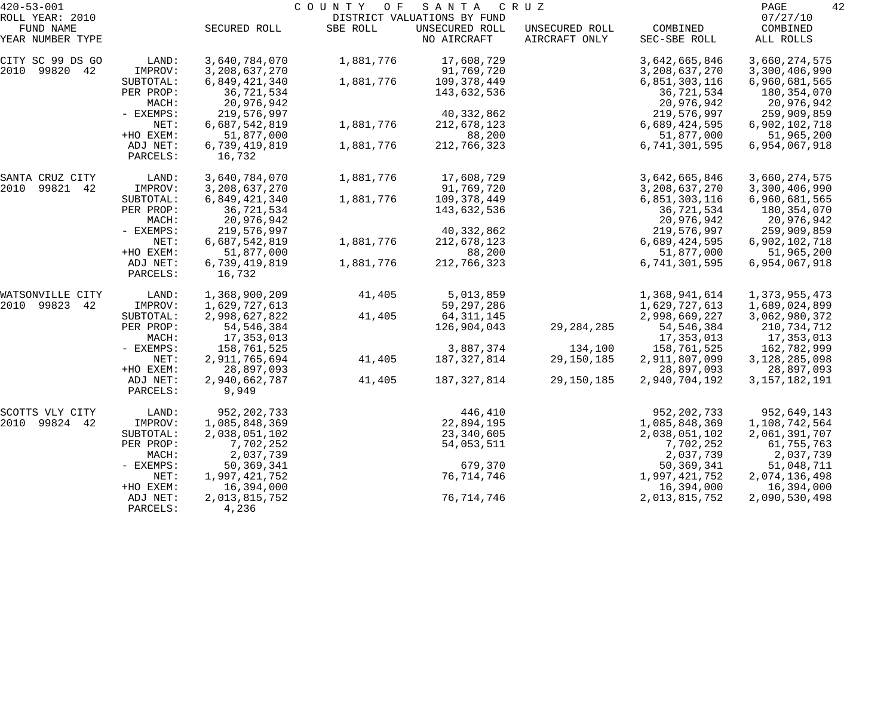| $420 - 53 - 001$             |           | COUNTY OF<br>SANTA<br>C R U Z<br>DISTRICT VALUATIONS BY FUND |           |                |                |                  |                      |  |  |
|------------------------------|-----------|--------------------------------------------------------------|-----------|----------------|----------------|------------------|----------------------|--|--|
| ROLL YEAR: 2010<br>FUND NAME |           | SECURED ROLL                                                 | SBE ROLL  | UNSECURED ROLL | UNSECURED ROLL | COMBINED         | 07/27/10<br>COMBINED |  |  |
| YEAR NUMBER TYPE             |           |                                                              |           | NO AIRCRAFT    | AIRCRAFT ONLY  | SEC-SBE ROLL     | ALL ROLLS            |  |  |
| CITY SC 99 DS GO             | LAND:     | 3,640,784,070                                                | 1,881,776 | 17,608,729     |                | 3,642,665,846    | 3,660,274,575        |  |  |
| 2010 99820 42                | IMPROV:   | 3, 208, 637, 270                                             |           | 91,769,720     |                | 3, 208, 637, 270 | 3,300,406,990        |  |  |
|                              | SUBTOTAL: | 6,849,421,340                                                | 1,881,776 | 109,378,449    |                | 6,851,303,116    | 6,960,681,565        |  |  |
|                              | PER PROP: | 36,721,534                                                   |           | 143,632,536    |                | 36,721,534       | 180,354,070          |  |  |
|                              | MACH:     | 20,976,942                                                   |           |                |                | 20,976,942       | 20,976,942           |  |  |
|                              | - EXEMPS: | 219,576,997                                                  |           | 40,332,862     |                | 219,576,997      | 259,909,859          |  |  |
|                              | NET:      | 6,687,542,819                                                | 1,881,776 | 212,678,123    |                | 6,689,424,595    | 6,902,102,718        |  |  |
|                              | +HO EXEM: | 51,877,000                                                   |           | 88,200         |                | 51,877,000       | 51,965,200           |  |  |
|                              | ADJ NET:  | 6,739,419,819                                                | 1,881,776 | 212,766,323    |                | 6,741,301,595    | 6,954,067,918        |  |  |
|                              | PARCELS:  | 16,732                                                       |           |                |                |                  |                      |  |  |
| SANTA CRUZ CITY              | LAND:     | 3,640,784,070                                                | 1,881,776 | 17,608,729     |                | 3,642,665,846    | 3,660,274,575        |  |  |
| 99821<br>2010<br>-42         | IMPROV:   | 3, 208, 637, 270                                             |           | 91,769,720     |                | 3, 208, 637, 270 | 3,300,406,990        |  |  |
|                              | SUBTOTAL: | 6,849,421,340                                                | 1,881,776 | 109,378,449    |                | 6,851,303,116    | 6,960,681,565        |  |  |
|                              | PER PROP: | 36,721,534                                                   |           | 143,632,536    |                | 36,721,534       | 180,354,070          |  |  |
|                              | MACH:     | 20,976,942                                                   |           |                |                | 20,976,942       | 20,976,942           |  |  |
|                              | - EXEMPS: | 219,576,997                                                  |           | 40,332,862     |                | 219,576,997      | 259,909,859          |  |  |
|                              | NET:      | 6,687,542,819                                                | 1,881,776 | 212,678,123    |                | 6,689,424,595    | 6,902,102,718        |  |  |
|                              | +HO EXEM: | 51,877,000                                                   |           | 88,200         |                | 51,877,000       | 51,965,200           |  |  |
|                              | ADJ NET:  | 6,739,419,819                                                | 1,881,776 | 212,766,323    |                | 6,741,301,595    | 6,954,067,918        |  |  |
|                              | PARCELS:  | 16,732                                                       |           |                |                |                  |                      |  |  |
| WATSONVILLE CITY             | LAND:     | 1,368,900,209                                                | 41,405    | 5,013,859      |                | 1,368,941,614    | 1,373,955,473        |  |  |
| 2010 99823<br>42             | IMPROV:   | 1,629,727,613                                                |           | 59, 297, 286   |                | 1,629,727,613    | 1,689,024,899        |  |  |
|                              | SUBTOTAL: | 2,998,627,822                                                | 41,405    | 64, 311, 145   |                | 2,998,669,227    | 3,062,980,372        |  |  |
|                              | PER PROP: | 54, 546, 384                                                 |           | 126,904,043    | 29, 284, 285   | 54,546,384       | 210,734,712          |  |  |
|                              | MACH:     | 17,353,013                                                   |           |                |                | 17,353,013       | 17,353,013           |  |  |
|                              | - EXEMPS: | 158,761,525                                                  |           | 3,887,374      | 134,100        | 158,761,525      | 162,782,999          |  |  |
|                              | NET:      | 2,911,765,694                                                | 41,405    | 187, 327, 814  | 29,150,185     | 2,911,807,099    | 3,128,285,098        |  |  |
|                              | +HO EXEM: | 28,897,093                                                   |           |                |                | 28,897,093       | 28,897,093           |  |  |
|                              | ADJ NET:  | 2,940,662,787                                                | 41,405    | 187,327,814    | 29,150,185     | 2,940,704,192    | 3, 157, 182, 191     |  |  |
|                              | PARCELS:  | 9,949                                                        |           |                |                |                  |                      |  |  |
| SCOTTS VLY CITY              | LAND:     | 952, 202, 733                                                |           | 446,410        |                | 952, 202, 733    | 952,649,143          |  |  |
| 2010 99824 42                | IMPROV:   | 1,085,848,369                                                |           | 22,894,195     |                | 1,085,848,369    | 1,108,742,564        |  |  |
|                              | SUBTOTAL: | 2,038,051,102                                                |           | 23,340,605     |                | 2,038,051,102    | 2,061,391,707        |  |  |
|                              | PER PROP: | 7,702,252                                                    |           | 54,053,511     |                | 7,702,252        | 61,755,763           |  |  |
|                              | MACH:     | 2,037,739                                                    |           |                |                | 2,037,739        | 2,037,739            |  |  |
|                              | - EXEMPS: | 50,369,341                                                   |           | 679,370        |                | 50,369,341       | 51,048,711           |  |  |
|                              | NET:      | 1,997,421,752                                                |           | 76,714,746     |                | 1,997,421,752    | 2,074,136,498        |  |  |
|                              | +HO EXEM: | 16,394,000                                                   |           |                |                | 16,394,000       | 16,394,000           |  |  |
|                              | ADJ NET:  | 2,013,815,752                                                |           | 76, 714, 746   |                | 2,013,815,752    | 2,090,530,498        |  |  |
|                              | PARCELS:  | 4,236                                                        |           |                |                |                  |                      |  |  |
|                              |           |                                                              |           |                |                |                  |                      |  |  |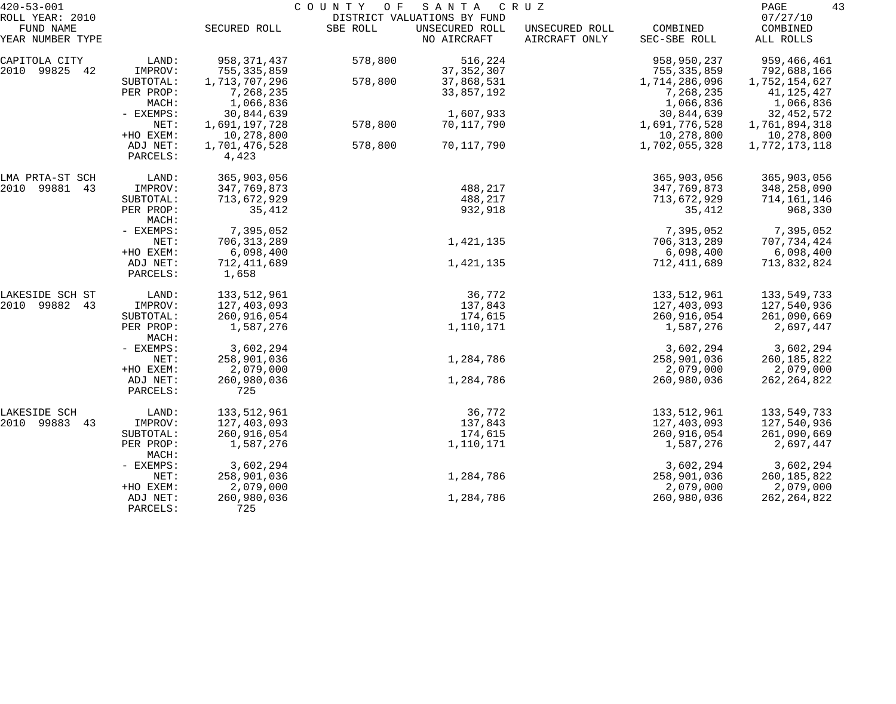| $420 - 53 - 001$                                 |                                   |                                         | COUNTY<br>O F | SANTA                                                        | C R U Z                         |                                         | 43<br>PAGE                               |
|--------------------------------------------------|-----------------------------------|-----------------------------------------|---------------|--------------------------------------------------------------|---------------------------------|-----------------------------------------|------------------------------------------|
| ROLL YEAR: 2010<br>FUND NAME<br>YEAR NUMBER TYPE |                                   | SECURED ROLL                            | SBE ROLL      | DISTRICT VALUATIONS BY FUND<br>UNSECURED ROLL<br>NO AIRCRAFT | UNSECURED ROLL<br>AIRCRAFT ONLY | COMBINED<br>SEC-SBE ROLL                | 07/27/10<br>COMBINED<br>ALL ROLLS        |
| CAPITOLA CITY<br>2010 99825 42                   | LAND:<br>IMPROV:                  | 958,371,437<br>755, 335, 859            | 578,800       | 516,224<br>37, 352, 307                                      |                                 | 958,950,237<br>755, 335, 859            | 959,466,461<br>792,688,166               |
|                                                  | SUBTOTAL:<br>PER PROP:<br>MACH:   | 1,713,707,296<br>7,268,235<br>1,066,836 | 578,800       | 37,868,531<br>33,857,192                                     |                                 | 1,714,286,096<br>7,268,235<br>1,066,836 | 1,752,154,627<br>41,125,427<br>1,066,836 |
|                                                  | - EXEMPS:                         | 30,844,639                              |               | 1,607,933                                                    |                                 | 30,844,639                              | 32, 452, 572                             |
|                                                  | NET:<br>+HO EXEM:                 | 1,691,197,728<br>10,278,800             | 578,800       | 70,117,790                                                   |                                 | 1,691,776,528<br>10,278,800             | 1,761,894,318<br>10,278,800              |
|                                                  | ADJ NET:<br>PARCELS:              | 1,701,476,528<br>4,423                  | 578,800       | 70,117,790                                                   |                                 | 1,702,055,328                           | 1,772,173,118                            |
| LMA PRTA-ST SCH<br>2010 99881 43                 | LAND:<br>IMPROV:                  | 365,903,056<br>347,769,873              |               | 488,217                                                      |                                 | 365,903,056<br>347,769,873              | 365,903,056<br>348,258,090               |
|                                                  | SUBTOTAL:                         | 713,672,929                             |               | 488,217                                                      |                                 | 713,672,929                             | 714,161,146                              |
|                                                  | PER PROP:<br>MACH:                | 35,412                                  |               | 932,918                                                      |                                 | 35,412                                  | 968,330                                  |
|                                                  | - EXEMPS:                         | 7,395,052                               |               |                                                              |                                 | 7,395,052                               | 7,395,052                                |
|                                                  | NET:<br>+HO EXEM:                 | 706, 313, 289<br>6,098,400              |               | 1,421,135                                                    |                                 | 706, 313, 289<br>6,098,400              | 707,734,424<br>6,098,400                 |
|                                                  | ADJ NET:<br>PARCELS:              | 712, 411, 689<br>1,658                  |               | 1,421,135                                                    |                                 | 712, 411, 689                           | 713,832,824                              |
| LAKESIDE SCH ST                                  | LAND:                             | 133,512,961                             |               | 36,772                                                       |                                 | 133,512,961                             | 133,549,733                              |
| 2010 99882<br>43                                 | IMPROV:                           | 127,403,093                             |               | 137,843                                                      |                                 | 127,403,093                             | 127,540,936                              |
|                                                  | SUBTOTAL:<br>PER PROP:<br>MACH:   | 260,916,054<br>1,587,276                |               | 174,615<br>1,110,171                                         |                                 | 260,916,054<br>1,587,276                | 261,090,669<br>2,697,447                 |
|                                                  | - EXEMPS:                         | 3,602,294                               |               |                                                              |                                 | 3,602,294                               | 3,602,294                                |
|                                                  | NET:<br>+HO EXEM:                 | 258,901,036<br>2,079,000                |               | 1,284,786                                                    |                                 | 258,901,036<br>2,079,000                | 260, 185, 822<br>2,079,000               |
|                                                  | ADJ NET:<br>PARCELS:              | 260,980,036<br>725                      |               | 1,284,786                                                    |                                 | 260,980,036                             | 262, 264, 822                            |
| LAKESIDE SCH                                     | LAND:                             | 133,512,961                             |               | 36,772                                                       |                                 | 133,512,961                             | 133,549,733                              |
| 2010 99883<br>43                                 | IMPROV:                           | 127,403,093                             |               | 137,843                                                      |                                 | 127,403,093                             | 127,540,936                              |
|                                                  | SUBTOTAL:<br>PER PROP:<br>MACH:   | 260,916,054<br>1,587,276                |               | 174,615<br>1,110,171                                         |                                 | 260,916,054<br>1,587,276                | 261,090,669<br>2,697,447                 |
|                                                  | - EXEMPS:                         | 3,602,294                               |               |                                                              |                                 | 3,602,294                               | 3,602,294                                |
|                                                  | NET:                              | 258,901,036                             |               | 1,284,786                                                    |                                 | 258,901,036                             | 260, 185, 822                            |
|                                                  | +HO EXEM:<br>ADJ NET:<br>PARCELS: | 2,079,000<br>260,980,036<br>725         |               | 1,284,786                                                    |                                 | 2,079,000<br>260,980,036                | 2,079,000<br>262, 264, 822               |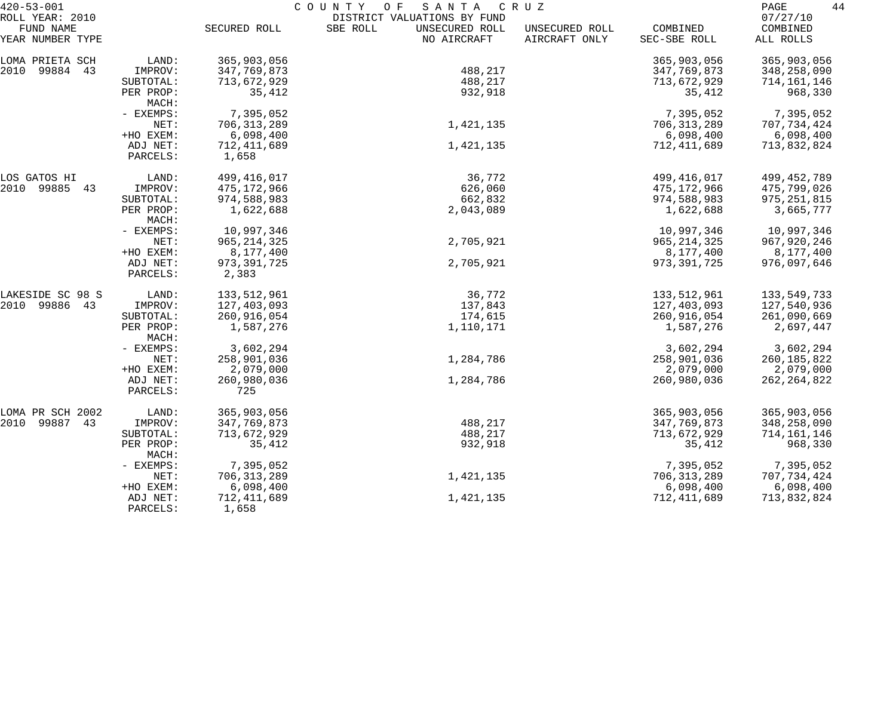| $420 - 53 - 001$             |                      | COUNTY<br>O F<br>S A N T A<br>C R U Z |                                                           |                |               |                      |  |  |
|------------------------------|----------------------|---------------------------------------|-----------------------------------------------------------|----------------|---------------|----------------------|--|--|
| ROLL YEAR: 2010<br>FUND NAME |                      | SECURED ROLL                          | DISTRICT VALUATIONS BY FUND<br>SBE ROLL<br>UNSECURED ROLL | UNSECURED ROLL | COMBINED      | 07/27/10<br>COMBINED |  |  |
| YEAR NUMBER TYPE             |                      |                                       | NO AIRCRAFT                                               | AIRCRAFT ONLY  | SEC-SBE ROLL  | ALL ROLLS            |  |  |
| LOMA PRIETA SCH              | LAND:                | 365,903,056                           |                                                           |                | 365,903,056   | 365,903,056          |  |  |
| 2010 99884 43                | IMPROV:              | 347,769,873                           | 488,217                                                   |                | 347,769,873   | 348,258,090          |  |  |
|                              | SUBTOTAL:            | 713,672,929                           | 488,217                                                   |                | 713,672,929   | 714,161,146          |  |  |
|                              | PER PROP:<br>MACH:   | 35,412                                | 932,918                                                   |                | 35,412        | 968,330              |  |  |
|                              | - EXEMPS:            | 7,395,052                             |                                                           |                | 7,395,052     | 7,395,052            |  |  |
|                              | NET:                 | 706, 313, 289                         | 1,421,135                                                 |                | 706, 313, 289 | 707,734,424          |  |  |
|                              | +HO EXEM:            | 6,098,400                             |                                                           |                | 6,098,400     | 6,098,400            |  |  |
|                              | ADJ NET:             | 712,411,689                           | 1,421,135                                                 |                | 712,411,689   | 713,832,824          |  |  |
|                              | PARCELS:             | 1,658                                 |                                                           |                |               |                      |  |  |
| LOS GATOS HI                 | LAND:                | 499,416,017                           | 36,772                                                    |                | 499,416,017   | 499, 452, 789        |  |  |
| 2010 99885 43                | IMPROV:              | 475,172,966                           | 626,060                                                   |                | 475,172,966   | 475,799,026          |  |  |
|                              | SUBTOTAL:            | 974,588,983                           | 662,832                                                   |                | 974,588,983   | 975, 251, 815        |  |  |
|                              | PER PROP:<br>MACH:   | 1,622,688                             | 2,043,089                                                 |                | 1,622,688     | 3,665,777            |  |  |
|                              | - EXEMPS:            | 10,997,346                            |                                                           |                | 10,997,346    | 10,997,346           |  |  |
|                              | NET:                 | 965, 214, 325                         | 2,705,921                                                 |                | 965, 214, 325 | 967,920,246          |  |  |
|                              | +HO EXEM:            | 8,177,400                             |                                                           |                | 8,177,400     | 8,177,400            |  |  |
|                              | ADJ NET:<br>PARCELS: | 973, 391, 725<br>2,383                | 2,705,921                                                 |                | 973, 391, 725 | 976,097,646          |  |  |
| LAKESIDE SC 98 S             | LAND:                | 133,512,961                           | 36,772                                                    |                | 133,512,961   | 133,549,733          |  |  |
| 2010 99886 43                | IMPROV:              | 127,403,093                           | 137,843                                                   |                | 127,403,093   | 127,540,936          |  |  |
|                              | SUBTOTAL:            | 260,916,054                           | 174,615                                                   |                | 260,916,054   | 261,090,669          |  |  |
|                              | PER PROP:<br>MACH:   | 1,587,276                             | 1,110,171                                                 |                | 1,587,276     | 2,697,447            |  |  |
|                              | - EXEMPS:            | 3,602,294                             |                                                           |                | 3,602,294     | 3,602,294            |  |  |
|                              | NET:                 | 258,901,036                           | 1,284,786                                                 |                | 258,901,036   | 260, 185, 822        |  |  |
|                              | +HO EXEM:            | 2,079,000                             |                                                           |                | 2,079,000     | 2,079,000            |  |  |
|                              | ADJ NET:             | 260,980,036                           | 1,284,786                                                 |                | 260,980,036   | 262, 264, 822        |  |  |
|                              | PARCELS:             | 725                                   |                                                           |                |               |                      |  |  |
| LOMA PR SCH 2002             | LAND:                | 365,903,056                           |                                                           |                | 365,903,056   | 365,903,056          |  |  |
| 2010 99887<br>43             | IMPROV:              | 347,769,873                           | 488,217                                                   |                | 347,769,873   | 348,258,090          |  |  |
|                              | SUBTOTAL:            | 713,672,929                           | 488,217                                                   |                | 713,672,929   | 714,161,146          |  |  |
|                              | PER PROP:<br>MACH:   | 35,412                                | 932,918                                                   |                | 35,412        | 968,330              |  |  |
|                              | - EXEMPS:            | 7,395,052                             |                                                           |                | 7,395,052     | 7,395,052            |  |  |
|                              | NET:                 | 706, 313, 289                         | 1,421,135                                                 |                | 706, 313, 289 | 707,734,424          |  |  |
|                              | +HO EXEM:            | 6,098,400                             |                                                           |                | 6,098,400     | 6,098,400            |  |  |
|                              | ADJ NET:<br>PARCELS: | 712,411,689<br>1,658                  | 1,421,135                                                 |                | 712,411,689   | 713,832,824          |  |  |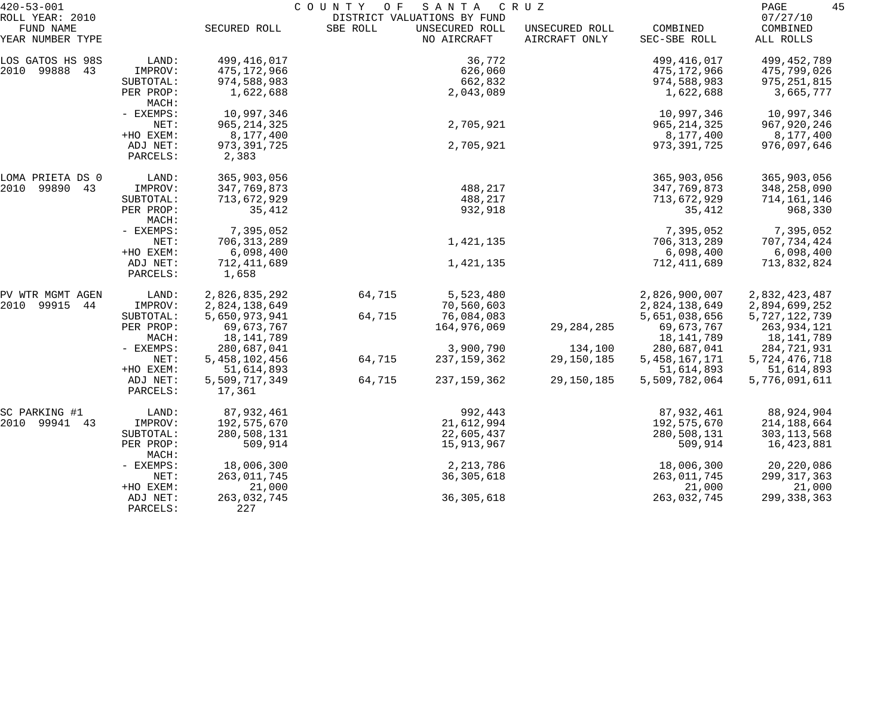| $420 - 53 - 001$                                 |                      |                         | COUNTY<br>O F | SANTA                                                        | C R U Z                         |                          | 45<br>PAGE                        |
|--------------------------------------------------|----------------------|-------------------------|---------------|--------------------------------------------------------------|---------------------------------|--------------------------|-----------------------------------|
| ROLL YEAR: 2010<br>FUND NAME<br>YEAR NUMBER TYPE |                      | SECURED ROLL            | SBE ROLL      | DISTRICT VALUATIONS BY FUND<br>UNSECURED ROLL<br>NO AIRCRAFT | UNSECURED ROLL<br>AIRCRAFT ONLY | COMBINED<br>SEC-SBE ROLL | 07/27/10<br>COMBINED<br>ALL ROLLS |
| LOS GATOS HS 98S                                 | LAND:                | 499,416,017             |               | 36,772                                                       |                                 | 499, 416, 017            | 499, 452, 789                     |
| 2010 99888 43                                    | IMPROV:              | 475,172,966             |               | 626,060                                                      |                                 | 475,172,966              | 475,799,026                       |
|                                                  | SUBTOTAL:            | 974,588,983             |               | 662,832                                                      |                                 | 974,588,983              | 975, 251, 815                     |
|                                                  | PER PROP:<br>MACH:   | 1,622,688               |               | 2,043,089                                                    |                                 | 1,622,688                | 3,665,777                         |
|                                                  | - EXEMPS:            | 10,997,346              |               |                                                              |                                 | 10,997,346               | 10,997,346                        |
|                                                  | NET:                 | 965, 214, 325           |               | 2,705,921                                                    |                                 | 965, 214, 325            | 967,920,246                       |
|                                                  | +HO EXEM:            | 8,177,400               |               |                                                              |                                 | 8,177,400                | 8,177,400                         |
|                                                  | ADJ NET:<br>PARCELS: | 973, 391, 725<br>2,383  |               | 2,705,921                                                    |                                 | 973, 391, 725            | 976,097,646                       |
| LOMA PRIETA DS 0                                 | LAND:                | 365,903,056             |               |                                                              |                                 | 365,903,056              | 365,903,056                       |
| 2010 99890 43                                    | IMPROV:              | 347,769,873             |               | 488,217                                                      |                                 | 347,769,873              | 348,258,090                       |
|                                                  | SUBTOTAL:            | 713,672,929             |               | 488,217                                                      |                                 | 713,672,929              | 714,161,146                       |
|                                                  | PER PROP:<br>MACH:   | 35,412                  |               | 932,918                                                      |                                 | 35,412                   | 968,330                           |
|                                                  | - EXEMPS:            | 7,395,052               |               |                                                              |                                 | 7,395,052                | 7,395,052                         |
|                                                  | NET:                 | 706, 313, 289           |               | 1,421,135                                                    |                                 | 706, 313, 289            | 707,734,424                       |
|                                                  | +HO EXEM:            | 6,098,400               |               |                                                              |                                 | 6,098,400                | 6,098,400                         |
|                                                  | ADJ NET:<br>PARCELS: | 712,411,689<br>1,658    |               | 1,421,135                                                    |                                 | 712,411,689              | 713,832,824                       |
| PV WTR MGMT AGEN                                 | LAND:                | 2,826,835,292           | 64,715        | 5,523,480                                                    |                                 | 2,826,900,007            | 2,832,423,487                     |
| 2010 99915<br>44                                 | IMPROV:              | 2,824,138,649           |               | 70,560,603                                                   |                                 | 2,824,138,649            | 2,894,699,252                     |
|                                                  | SUBTOTAL:            | 5,650,973,941           | 64,715        | 76,084,083                                                   |                                 | 5,651,038,656            | 5,727,122,739                     |
|                                                  | PER PROP:            | 69,673,767              |               | 164,976,069                                                  | 29, 284, 285                    | 69,673,767               | 263,934,121                       |
|                                                  | MACH:                | 18,141,789              |               |                                                              |                                 | 18,141,789               | 18,141,789                        |
|                                                  | - EXEMPS:            | 280,687,041             |               | 3,900,790                                                    | 134,100                         | 280,687,041              | 284,721,931                       |
|                                                  | NET:                 | 5,458,102,456           | 64,715        | 237, 159, 362                                                | 29, 150, 185                    | 5, 458, 167, 171         | 5,724,476,718                     |
|                                                  | +HO EXEM:            | 51,614,893              |               |                                                              |                                 | 51,614,893               | 51,614,893                        |
|                                                  | ADJ NET:<br>PARCELS: | 5,509,717,349<br>17,361 | 64,715        | 237,159,362                                                  | 29,150,185                      | 5,509,782,064            | 5,776,091,611                     |
| SC PARKING #1                                    | LAND:                | 87,932,461              |               | 992,443                                                      |                                 | 87,932,461               | 88,924,904                        |
| 2010 99941 43                                    | IMPROV:              | 192,575,670             |               | 21,612,994                                                   |                                 | 192,575,670              | 214,188,664                       |
|                                                  | SUBTOTAL:            | 280,508,131             |               | 22,605,437                                                   |                                 | 280,508,131              | 303, 113, 568                     |
|                                                  | PER PROP:<br>MACH:   | 509,914                 |               | 15,913,967                                                   |                                 | 509,914                  | 16,423,881                        |
|                                                  | - EXEMPS:            | 18,006,300              |               | 2, 213, 786                                                  |                                 | 18,006,300               | 20,220,086                        |
|                                                  | NET:                 | 263,011,745             |               | 36, 305, 618                                                 |                                 | 263,011,745              | 299, 317, 363                     |
|                                                  | +HO EXEM:            | 21,000                  |               |                                                              |                                 | 21,000                   | 21,000                            |
|                                                  | ADJ NET:<br>PARCELS: | 263,032,745<br>227      |               | 36, 305, 618                                                 |                                 | 263,032,745              | 299, 338, 363                     |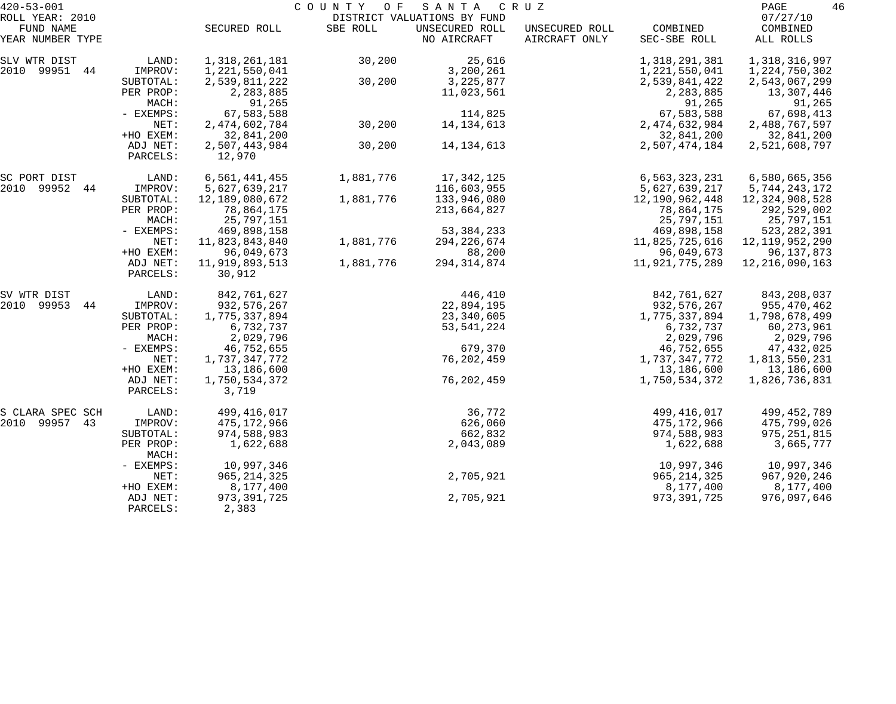| $420 - 53 - 001$              |                    |                | COUNTY OF | SANTA                         | C R U Z                         |                          | 46<br>PAGE            |
|-------------------------------|--------------------|----------------|-----------|-------------------------------|---------------------------------|--------------------------|-----------------------|
| ROLL YEAR: 2010               |                    |                |           | DISTRICT VALUATIONS BY FUND   |                                 |                          | 07/27/10              |
| FUND NAME<br>YEAR NUMBER TYPE |                    | SECURED ROLL   | SBE ROLL  | UNSECURED ROLL<br>NO AIRCRAFT | UNSECURED ROLL<br>AIRCRAFT ONLY | COMBINED<br>SEC-SBE ROLL | COMBINED<br>ALL ROLLS |
| SLV WTR DIST                  | LAND:              | 1,318,261,181  | 30,200    | 25,616                        |                                 | 1,318,291,381            | 1,318,316,997         |
| 2010 99951 44                 | IMPROV:            | 1,221,550,041  |           | 3,200,261                     |                                 | 1,221,550,041            | 1,224,750,302         |
|                               | SUBTOTAL:          | 2,539,811,222  | 30,200    | 3, 225, 877                   |                                 | 2,539,841,422            | 2,543,067,299         |
|                               | PER PROP:          | 2,283,885      |           | 11,023,561                    |                                 | 2,283,885                | 13,307,446            |
|                               | MACH:              | 91,265         |           |                               |                                 | 91,265                   | 91,265                |
|                               | - EXEMPS:          | 67,583,588     |           | 114,825                       |                                 | 67,583,588               | 67,698,413            |
|                               | NET:               | 2,474,602,784  | 30,200    | 14, 134, 613                  |                                 | 2, 474, 632, 984         | 2,488,767,597         |
|                               | +HO EXEM:          | 32,841,200     |           |                               |                                 | 32,841,200               | 32,841,200            |
|                               | ADJ NET:           | 2,507,443,984  | 30,200    | 14, 134, 613                  |                                 | 2,507,474,184            | 2,521,608,797         |
|                               | PARCELS:           | 12,970         |           |                               |                                 |                          |                       |
| SC PORT DIST                  | LAND:              | 6,561,441,455  | 1,881,776 | 17,342,125                    |                                 | 6,563,323,231            | 6,580,665,356         |
| 2010 99952 44                 | IMPROV:            | 5,627,639,217  |           | 116,603,955                   |                                 | 5,627,639,217            | 5,744,243,172         |
|                               | SUBTOTAL:          | 12,189,080,672 | 1,881,776 | 133,946,080                   |                                 | 12,190,962,448           | 12,324,908,528        |
|                               | PER PROP:          | 78,864,175     |           | 213,664,827                   |                                 | 78,864,175               | 292,529,002           |
|                               | MACH:              | 25,797,151     |           |                               |                                 | 25,797,151               | 25,797,151            |
|                               | - EXEMPS:          | 469,898,158    |           | 53, 384, 233                  |                                 | 469,898,158              | 523, 282, 391         |
|                               | NET:               | 11,823,843,840 | 1,881,776 | 294, 226, 674                 |                                 | 11,825,725,616           | 12,119,952,290        |
|                               | +HO EXEM:          | 96,049,673     |           | 88,200                        |                                 | 96,049,673               | 96,137,873            |
|                               | ADJ NET:           | 11,919,893,513 | 1,881,776 | 294, 314, 874                 |                                 | 11,921,775,289           | 12, 216, 090, 163     |
|                               | PARCELS:           | 30,912         |           |                               |                                 |                          |                       |
| SV WTR DIST                   | LAND:              | 842,761,627    |           | 446,410                       |                                 | 842,761,627              | 843,208,037           |
| 2010 99953<br>44              | IMPROV:            | 932, 576, 267  |           | 22,894,195                    |                                 | 932, 576, 267            | 955,470,462           |
|                               | SUBTOTAL:          | 1,775,337,894  |           | 23,340,605                    |                                 | 1,775,337,894            | 1,798,678,499         |
|                               | PER PROP:          | 6,732,737      |           | 53, 541, 224                  |                                 | 6,732,737                | 60,273,961            |
|                               | MACH:              | 2,029,796      |           |                               |                                 | 2,029,796                | 2,029,796             |
|                               | - EXEMPS:          | 46,752,655     |           | 679,370                       |                                 | 46,752,655               | 47,432,025            |
|                               | NET:               | 1,737,347,772  |           | 76, 202, 459                  |                                 | 1,737,347,772            | 1,813,550,231         |
|                               | +HO EXEM:          | 13,186,600     |           |                               |                                 | 13,186,600               | 13,186,600            |
|                               | ADJ NET:           | 1,750,534,372  |           | 76, 202, 459                  |                                 | 1,750,534,372            | 1,826,736,831         |
|                               | PARCELS:           | 3,719          |           |                               |                                 |                          |                       |
| S CLARA SPEC SCH              | LAND:              | 499,416,017    |           | 36,772                        |                                 | 499, 416, 017            | 499, 452, 789         |
| 2010 99957<br>43              | IMPROV:            | 475,172,966    |           | 626,060                       |                                 | 475,172,966              | 475,799,026           |
|                               | SUBTOTAL:          | 974,588,983    |           | 662,832                       |                                 | 974,588,983              | 975, 251, 815         |
|                               | PER PROP:<br>MACH: | 1,622,688      |           | 2,043,089                     |                                 | 1,622,688                | 3,665,777             |
|                               | $-$ EXEMPS:        | 10,997,346     |           |                               |                                 | 10,997,346               | 10,997,346            |
|                               | NET:               | 965, 214, 325  |           | 2,705,921                     |                                 | 965, 214, 325            | 967,920,246           |
|                               | +HO EXEM:          | 8,177,400      |           |                               |                                 | 8,177,400                | 8,177,400             |
|                               | ADJ NET:           | 973, 391, 725  |           | 2,705,921                     |                                 | 973, 391, 725            | 976,097,646           |
|                               | PARCELS:           | 2,383          |           |                               |                                 |                          |                       |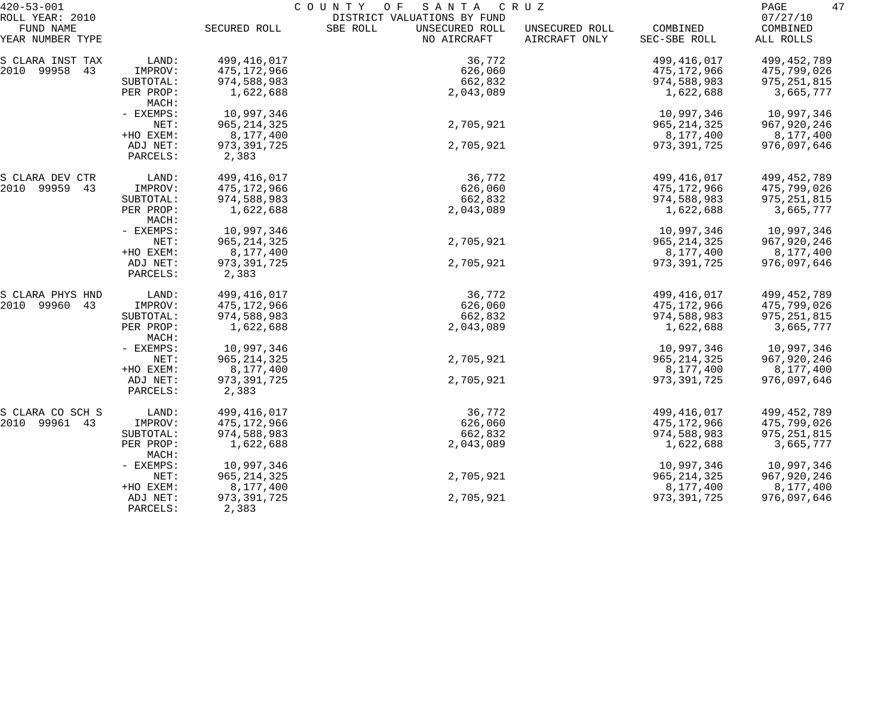| $420 - 53 - 001$              |           |               | COUNTY<br>O F<br>SANTA                    | C R U Z                         |                          | 47<br>PAGE            |
|-------------------------------|-----------|---------------|-------------------------------------------|---------------------------------|--------------------------|-----------------------|
| ROLL YEAR: 2010               |           |               | DISTRICT VALUATIONS BY FUND               |                                 |                          | 07/27/10              |
| FUND NAME<br>YEAR NUMBER TYPE |           | SECURED ROLL  | SBE ROLL<br>UNSECURED ROLL<br>NO AIRCRAFT | UNSECURED ROLL<br>AIRCRAFT ONLY | COMBINED<br>SEC-SBE ROLL | COMBINED<br>ALL ROLLS |
|                               |           |               |                                           |                                 |                          |                       |
| S CLARA INST TAX              | LAND:     | 499,416,017   | 36,772                                    |                                 | 499, 416, 017            | 499, 452, 789         |
| 2010 99958 43                 | IMPROV:   | 475,172,966   | 626,060                                   |                                 | 475,172,966              | 475,799,026           |
|                               | SUBTOTAL: | 974,588,983   | 662,832                                   |                                 | 974,588,983              | 975, 251, 815         |
|                               | PER PROP: | 1,622,688     | 2,043,089                                 |                                 | 1,622,688                | 3,665,777             |
|                               | MACH:     |               |                                           |                                 |                          |                       |
|                               | - EXEMPS: | 10,997,346    |                                           |                                 | 10,997,346               | 10,997,346            |
|                               | NET:      | 965, 214, 325 | 2,705,921                                 |                                 | 965, 214, 325            | 967,920,246           |
|                               | +HO EXEM: | 8,177,400     |                                           |                                 | 8,177,400                | 8,177,400             |
|                               | ADJ NET:  | 973, 391, 725 | 2,705,921                                 |                                 | 973, 391, 725            | 976,097,646           |
|                               | PARCELS:  | 2,383         |                                           |                                 |                          |                       |
| S CLARA DEV CTR               | LAND:     | 499,416,017   | 36,772                                    |                                 | 499, 416, 017            | 499, 452, 789         |
| 2010 99959<br>43              | IMPROV:   | 475,172,966   | 626,060                                   |                                 | 475,172,966              | 475,799,026           |
|                               | SUBTOTAL: | 974,588,983   | 662,832                                   |                                 | 974,588,983              | 975, 251, 815         |
|                               | PER PROP: | 1,622,688     | 2,043,089                                 |                                 | 1,622,688                | 3,665,777             |
|                               | MACH:     |               |                                           |                                 |                          |                       |
|                               | - EXEMPS: | 10,997,346    |                                           |                                 | 10,997,346               | 10,997,346            |
|                               | NET:      | 965, 214, 325 | 2,705,921                                 |                                 | 965, 214, 325            | 967, 920, 246         |
|                               | +HO EXEM: | 8,177,400     |                                           |                                 | 8,177,400                | 8,177,400             |
|                               | ADJ NET:  | 973, 391, 725 | 2,705,921                                 |                                 | 973, 391, 725            | 976,097,646           |
|                               | PARCELS:  | 2,383         |                                           |                                 |                          |                       |
|                               |           |               |                                           |                                 |                          |                       |
| S CLARA PHYS HND              | LAND:     | 499,416,017   | 36,772                                    |                                 | 499, 416, 017            | 499, 452, 789         |
| 2010 99960<br>43              | IMPROV:   | 475,172,966   | 626,060                                   |                                 | 475,172,966              | 475,799,026           |
|                               | SUBTOTAL: | 974,588,983   | 662,832                                   |                                 | 974,588,983              | 975, 251, 815         |
|                               | PER PROP: | 1,622,688     | 2,043,089                                 |                                 | 1,622,688                | 3,665,777             |
|                               | MACH:     |               |                                           |                                 |                          |                       |
|                               | - EXEMPS: | 10,997,346    |                                           |                                 | 10,997,346               | 10,997,346            |
|                               | NET:      | 965, 214, 325 | 2,705,921                                 |                                 | 965, 214, 325            | 967,920,246           |
|                               | +HO EXEM: | 8,177,400     |                                           |                                 | 8,177,400                | 8,177,400             |
|                               | ADJ NET:  | 973, 391, 725 | 2,705,921                                 |                                 | 973, 391, 725            | 976,097,646           |
|                               | PARCELS:  | 2,383         |                                           |                                 |                          |                       |
| S CLARA CO SCH S              | LAND:     | 499, 416, 017 | 36,772                                    |                                 | 499, 416, 017            | 499, 452, 789         |
| 2010 99961 43                 | IMPROV:   | 475, 172, 966 | 626,060                                   |                                 | 475,172,966              | 475,799,026           |
|                               | SUBTOTAL: | 974,588,983   | 662,832                                   |                                 | 974,588,983              | 975, 251, 815         |
|                               | PER PROP: | 1,622,688     | 2,043,089                                 |                                 | 1,622,688                | 3,665,777             |
|                               | MACH:     |               |                                           |                                 |                          |                       |
|                               | - EXEMPS: | 10,997,346    |                                           |                                 | 10,997,346               | 10,997,346            |
|                               | NET:      | 965, 214, 325 | 2,705,921                                 |                                 | 965, 214, 325            | 967, 920, 246         |
|                               | +HO EXEM: | 8,177,400     |                                           |                                 | 8,177,400                | 8,177,400             |
|                               | ADJ NET:  | 973, 391, 725 | 2,705,921                                 |                                 | 973, 391, 725            | 976,097,646           |
|                               | PARCELS:  | 2,383         |                                           |                                 |                          |                       |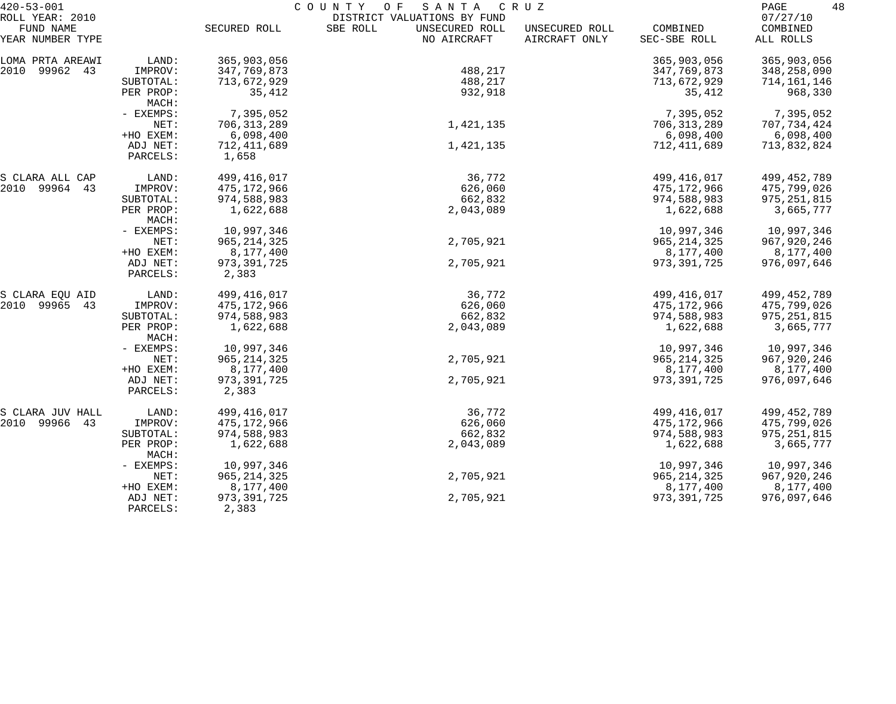| $420 - 53 - 001$             |                      | COUNTY<br>O F<br>SANTA<br>C R U Z |                                                           |                |               |                      |  |  |
|------------------------------|----------------------|-----------------------------------|-----------------------------------------------------------|----------------|---------------|----------------------|--|--|
| ROLL YEAR: 2010<br>FUND NAME |                      | SECURED ROLL                      | DISTRICT VALUATIONS BY FUND<br>SBE ROLL<br>UNSECURED ROLL | UNSECURED ROLL | COMBINED      | 07/27/10<br>COMBINED |  |  |
| YEAR NUMBER TYPE             |                      |                                   | NO AIRCRAFT                                               | AIRCRAFT ONLY  | SEC-SBE ROLL  | ALL ROLLS            |  |  |
| LOMA PRTA AREAWI             | LAND:                | 365,903,056                       |                                                           |                | 365,903,056   | 365,903,056          |  |  |
| 2010 99962 43                | IMPROV:              | 347,769,873                       | 488,217                                                   |                | 347,769,873   | 348,258,090          |  |  |
|                              | SUBTOTAL:            | 713,672,929                       | 488,217                                                   |                | 713,672,929   | 714,161,146          |  |  |
|                              | PER PROP:<br>MACH:   | 35,412                            | 932,918                                                   |                | 35,412        | 968,330              |  |  |
|                              | - EXEMPS:            | 7,395,052                         |                                                           |                | 7,395,052     | 7,395,052            |  |  |
|                              | NET:                 | 706, 313, 289                     | 1,421,135                                                 |                | 706, 313, 289 | 707,734,424          |  |  |
|                              | +HO EXEM:            | 6,098,400                         |                                                           |                | 6,098,400     | 6,098,400            |  |  |
|                              | ADJ NET:             | 712,411,689                       | 1,421,135                                                 |                | 712,411,689   | 713,832,824          |  |  |
|                              | PARCELS:             | 1,658                             |                                                           |                |               |                      |  |  |
| S CLARA ALL CAP              | LAND:                | 499,416,017                       | 36,772                                                    |                | 499,416,017   | 499, 452, 789        |  |  |
| 2010 99964 43                | IMPROV:              | 475,172,966                       | 626,060                                                   |                | 475,172,966   | 475,799,026          |  |  |
|                              | SUBTOTAL:            | 974,588,983                       | 662,832                                                   |                | 974,588,983   | 975, 251, 815        |  |  |
|                              | PER PROP:<br>MACH:   | 1,622,688                         | 2,043,089                                                 |                | 1,622,688     | 3,665,777            |  |  |
|                              | - EXEMPS:            | 10,997,346                        |                                                           |                | 10,997,346    | 10,997,346           |  |  |
|                              | NET:                 | 965, 214, 325                     | 2,705,921                                                 |                | 965, 214, 325 | 967,920,246          |  |  |
|                              | +HO EXEM:            | 8,177,400                         |                                                           |                | 8,177,400     | 8,177,400            |  |  |
|                              | ADJ NET:<br>PARCELS: | 973, 391, 725<br>2,383            | 2,705,921                                                 |                | 973, 391, 725 | 976,097,646          |  |  |
| S CLARA EQU AID              | LAND:                | 499,416,017                       | 36,772                                                    |                | 499, 416, 017 | 499, 452, 789        |  |  |
| 2010 99965 43                | IMPROV:              | 475,172,966                       | 626,060                                                   |                | 475,172,966   | 475,799,026          |  |  |
|                              | SUBTOTAL:            | 974,588,983                       | 662,832                                                   |                | 974,588,983   | 975, 251, 815        |  |  |
|                              | PER PROP:<br>MACH:   | 1,622,688                         | 2,043,089                                                 |                | 1,622,688     | 3,665,777            |  |  |
|                              | - EXEMPS:            | 10,997,346                        |                                                           |                | 10,997,346    | 10,997,346           |  |  |
|                              | NET:                 | 965, 214, 325                     | 2,705,921                                                 |                | 965, 214, 325 | 967,920,246          |  |  |
|                              | +HO EXEM:            | 8,177,400                         |                                                           |                | 8,177,400     | 8,177,400            |  |  |
|                              | ADJ NET:             | 973, 391, 725                     | 2,705,921                                                 |                | 973, 391, 725 | 976,097,646          |  |  |
|                              | PARCELS:             | 2,383                             |                                                           |                |               |                      |  |  |
| S CLARA JUV HALL             | LAND:                | 499,416,017                       | 36,772                                                    |                | 499,416,017   | 499,452,789          |  |  |
| 2010 99966<br>43             | IMPROV:              | 475,172,966                       | 626,060                                                   |                | 475,172,966   | 475,799,026          |  |  |
|                              | SUBTOTAL:            | 974,588,983                       | 662,832                                                   |                | 974,588,983   | 975, 251, 815        |  |  |
|                              | PER PROP:<br>MACH:   | 1,622,688                         | 2,043,089                                                 |                | 1,622,688     | 3,665,777            |  |  |
|                              | - EXEMPS:            | 10,997,346                        |                                                           |                | 10,997,346    | 10,997,346           |  |  |
|                              | NET:                 | 965, 214, 325                     | 2,705,921                                                 |                | 965, 214, 325 | 967,920,246          |  |  |
|                              | +HO EXEM:            | 8,177,400                         |                                                           |                | 8,177,400     | 8,177,400            |  |  |
|                              | ADJ NET:<br>PARCELS: | 973, 391, 725<br>2,383            | 2,705,921                                                 |                | 973, 391, 725 | 976,097,646          |  |  |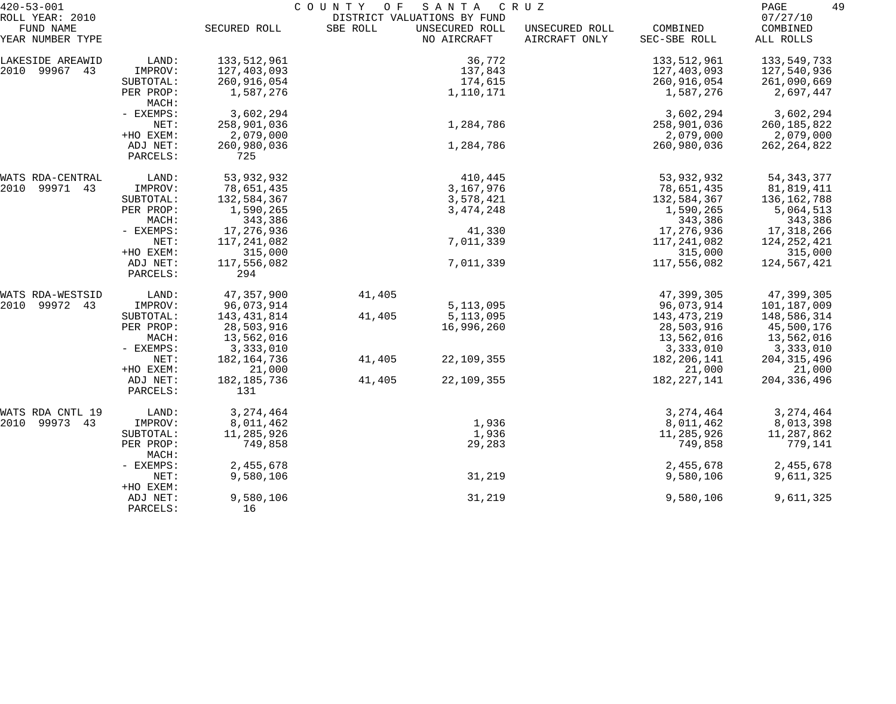| $420 - 53 - 001$ | COUNTY<br>SANTA<br>O F<br>C R U Z |              |          |                             |                |               |               |
|------------------|-----------------------------------|--------------|----------|-----------------------------|----------------|---------------|---------------|
| ROLL YEAR: 2010  |                                   |              |          | DISTRICT VALUATIONS BY FUND |                |               | 07/27/10      |
| FUND NAME        |                                   | SECURED ROLL | SBE ROLL | UNSECURED ROLL              | UNSECURED ROLL | COMBINED      | COMBINED      |
| YEAR NUMBER TYPE |                                   |              |          | NO AIRCRAFT                 | AIRCRAFT ONLY  | SEC-SBE ROLL  | ALL ROLLS     |
| LAKESIDE AREAWID | LAND:                             | 133,512,961  |          | 36,772                      |                | 133,512,961   | 133,549,733   |
| 2010 99967 43    | IMPROV:                           | 127,403,093  |          | 137,843                     |                | 127,403,093   | 127,540,936   |
|                  | SUBTOTAL:                         | 260,916,054  |          | 174,615                     |                | 260,916,054   | 261,090,669   |
|                  | PER PROP:<br>MACH:                | 1,587,276    |          | 1,110,171                   |                | 1,587,276     | 2,697,447     |
|                  | - EXEMPS:                         | 3,602,294    |          |                             |                | 3,602,294     | 3,602,294     |
|                  | NET:                              | 258,901,036  |          | 1,284,786                   |                | 258,901,036   | 260, 185, 822 |
|                  | +HO EXEM:                         | 2,079,000    |          |                             |                | 2,079,000     | 2,079,000     |
|                  | ADJ NET:                          | 260,980,036  |          | 1,284,786                   |                | 260,980,036   | 262, 264, 822 |
|                  | PARCELS:                          | 725          |          |                             |                |               |               |
| WATS RDA-CENTRAL | LAND:                             | 53,932,932   |          | 410,445                     |                | 53,932,932    | 54, 343, 377  |
| 2010 99971 43    | IMPROV:                           | 78,651,435   |          | 3,167,976                   |                | 78,651,435    | 81,819,411    |
|                  | SUBTOTAL:                         | 132,584,367  |          | 3,578,421                   |                | 132,584,367   | 136,162,788   |
|                  | PER PROP:                         | 1,590,265    |          | 3, 474, 248                 |                | 1,590,265     | 5,064,513     |
|                  | MACH:                             | 343,386      |          |                             |                | 343,386       | 343,386       |
|                  | - EXEMPS:                         | 17,276,936   |          | 41,330                      |                | 17,276,936    | 17,318,266    |
|                  | NET:                              | 117,241,082  |          | 7,011,339                   |                | 117,241,082   | 124, 252, 421 |
|                  | +HO EXEM:                         | 315,000      |          |                             |                | 315,000       | 315,000       |
|                  | ADJ NET:                          | 117,556,082  |          | 7,011,339                   |                | 117,556,082   | 124,567,421   |
|                  | PARCELS:                          | 294          |          |                             |                |               |               |
| WATS RDA-WESTSID | LAND:                             | 47,357,900   | 41,405   |                             |                | 47,399,305    | 47,399,305    |
| 2010 99972 43    | IMPROV:                           | 96,073,914   |          | 5, 113, 095                 |                | 96,073,914    | 101,187,009   |
|                  | SUBTOTAL:                         | 143,431,814  | 41,405   | 5, 113, 095                 |                | 143,473,219   | 148,586,314   |
|                  | PER PROP:                         | 28,503,916   |          | 16,996,260                  |                | 28,503,916    | 45,500,176    |
|                  | MACH:                             | 13,562,016   |          |                             |                | 13,562,016    | 13,562,016    |
|                  | - EXEMPS:                         | 3,333,010    |          |                             |                | 3,333,010     | 3,333,010     |
|                  | NET:                              | 182,164,736  | 41,405   | 22,109,355                  |                | 182, 206, 141 | 204, 315, 496 |
|                  | +HO EXEM:                         | 21,000       |          |                             |                | 21,000        | 21,000        |
|                  | ADJ NET:                          | 182,185,736  | 41,405   | 22, 109, 355                |                | 182, 227, 141 | 204, 336, 496 |
|                  | PARCELS:                          | 131          |          |                             |                |               |               |
| WATS RDA CNTL 19 | LAND:                             | 3, 274, 464  |          |                             |                | 3, 274, 464   | 3, 274, 464   |
| 2010 99973 43    | IMPROV:                           | 8,011,462    |          | 1,936                       |                | 8,011,462     | 8,013,398     |
|                  | SUBTOTAL:                         | 11,285,926   |          | 1,936                       |                | 11,285,926    | 11,287,862    |
|                  | PER PROP:<br>MACH:                | 749,858      |          | 29,283                      |                | 749,858       | 779,141       |
|                  | - EXEMPS:                         | 2,455,678    |          |                             |                | 2,455,678     | 2,455,678     |
|                  | NET:                              | 9,580,106    |          | 31,219                      |                | 9,580,106     | 9,611,325     |
|                  | +HO EXEM:                         |              |          |                             |                |               |               |
|                  | ADJ NET:                          | 9,580,106    |          | 31,219                      |                | 9,580,106     | 9,611,325     |
|                  | PARCELS:                          | 16           |          |                             |                |               |               |